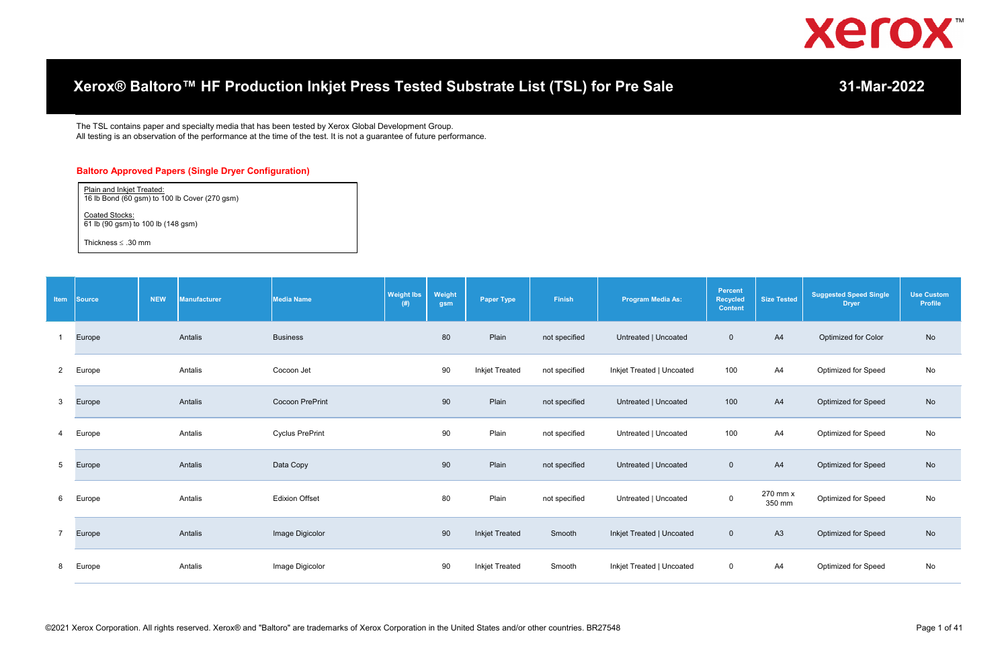| Item           | <b>Source</b> | <b>NEW</b> | Manufacturer | <b>Media Name</b>      | <b>Weight lbs</b><br>(#) | Weight<br>gsm | <b>Paper Type</b> | Finish        | <b>Program Media As:</b>  | <b>Percent</b><br><b>Recycled</b><br><b>Content</b> | <b>Size Tested</b> | <b>Suggested Speed Single</b><br><b>Dryer</b> | <b>Use Custom</b><br>Profile |
|----------------|---------------|------------|--------------|------------------------|--------------------------|---------------|-------------------|---------------|---------------------------|-----------------------------------------------------|--------------------|-----------------------------------------------|------------------------------|
|                | Europe        |            | Antalis      | <b>Business</b>        |                          | 80            | Plain             | not specified | Untreated   Uncoated      | $\mathbf{0}$                                        | A4                 | Optimized for Color                           | No                           |
| $2^{\circ}$    | Europe        |            | Antalis      | Cocoon Jet             |                          | 90            | Inkjet Treated    | not specified | Inkjet Treated   Uncoated | 100                                                 | A4                 | Optimized for Speed                           | No                           |
| $\mathbf{3}$   | Europe        |            | Antalis      | <b>Cocoon PrePrint</b> |                          | 90            | Plain             | not specified | Untreated   Uncoated      | 100                                                 | A4                 | Optimized for Speed                           | No                           |
| $\overline{4}$ | Europe        |            | Antalis      | <b>Cyclus PrePrint</b> |                          | 90            | Plain             | not specified | Untreated   Uncoated      | 100                                                 | A4                 | Optimized for Speed                           | $\operatorname{\mathsf{No}}$ |
| 5 <sub>5</sub> | Europe        |            | Antalis      | Data Copy              |                          | 90            | Plain             | not specified | Untreated   Uncoated      | $\overline{0}$                                      | A4                 | <b>Optimized for Speed</b>                    | No                           |
| 6              | Europe        |            | Antalis      | <b>Edixion Offset</b>  |                          | 80            | Plain             | not specified | Untreated   Uncoated      | $\mathbf 0$                                         | 270 mm x<br>350 mm | Optimized for Speed                           | No                           |
| $\overline{7}$ | Europe        |            | Antalis      | Image Digicolor        |                          | 90            | Inkjet Treated    | Smooth        | Inkjet Treated   Uncoated | $\overline{0}$                                      | A3                 | Optimized for Speed                           | No                           |
| 8              | Europe        |            | Antalis      | Image Digicolor        |                          | 90            | Inkjet Treated    | Smooth        | Inkjet Treated   Uncoated | $\overline{0}$                                      | A4                 | Optimized for Speed                           | No                           |



Plain and Inkjet Treated: 16 lb Bond (60 gsm) to 100 lb Cover (270 gsm) Coated Stocks: 61 lb (90 gsm) to 100 lb (148 gsm)

Thickness  $\leq .30$  mm

#### **Xerox® Baltoro™ HF Production Inkjet Press Tested Substrate List (TSL) for Pre Sale 31-Mar-2022**

The TSL contains paper and specialty media that has been tested by Xerox Global Development Group. All testing is an observation of the performance at the time of the test. It is not a guarantee of future performance.

#### **Baltoro Approved Papers (Single Dryer Configuration)**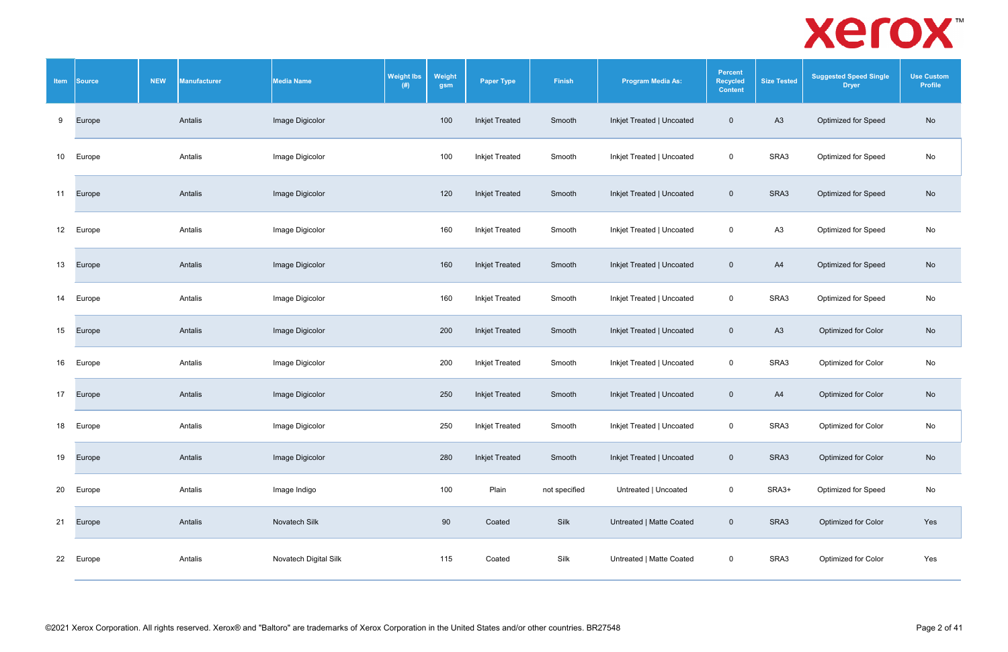|                 | Item Source | <b>NEW</b> | Manufacturer | <b>Media Name</b>     | <b>Weight lbs</b><br>(# ) | Weight<br>gsm | <b>Paper Type</b>     | Finish        | <b>Program Media As:</b>         | Percent<br><b>Recycled</b><br><b>Content</b> | <b>Size Tested</b> | <b>Suggested Speed Single</b><br><b>Dryer</b> | <b>Use Custom</b><br>Profile |
|-----------------|-------------|------------|--------------|-----------------------|---------------------------|---------------|-----------------------|---------------|----------------------------------|----------------------------------------------|--------------------|-----------------------------------------------|------------------------------|
| 9               | Europe      |            | Antalis      | Image Digicolor       |                           | 100           | <b>Inkjet Treated</b> | Smooth        | Inkjet Treated   Uncoated        | $\overline{0}$                               | A3                 | Optimized for Speed                           | No                           |
| 10 <sup>1</sup> | Europe      |            | Antalis      | Image Digicolor       |                           | 100           | <b>Inkjet Treated</b> | Smooth        | Inkjet Treated   Uncoated        | $\overline{0}$                               | SRA3               | Optimized for Speed                           | No                           |
| 11              | Europe      |            | Antalis      | Image Digicolor       |                           | 120           | <b>Inkjet Treated</b> | Smooth        | Inkjet Treated   Uncoated        | $\overline{0}$                               | SRA3               | Optimized for Speed                           | No                           |
| 12              | Europe      |            | Antalis      | Image Digicolor       |                           | 160           | <b>Inkjet Treated</b> | Smooth        | Inkjet Treated   Uncoated        | $\mathbf 0$                                  | A3                 | Optimized for Speed                           | No                           |
| 13              | Europe      |            | Antalis      | Image Digicolor       |                           | 160           | <b>Inkjet Treated</b> | Smooth        | Inkjet Treated   Uncoated        | $\overline{0}$                               | A4                 | Optimized for Speed                           | No                           |
| 14              | Europe      |            | Antalis      | Image Digicolor       |                           | 160           | <b>Inkjet Treated</b> | Smooth        | Inkjet Treated   Uncoated        | $\mathbf 0$                                  | SRA3               | Optimized for Speed                           | No                           |
| 15              | Europe      |            | Antalis      | Image Digicolor       |                           | 200           | <b>Inkjet Treated</b> | Smooth        | Inkjet Treated   Uncoated        | $\overline{0}$                               | A3                 | Optimized for Color                           | No                           |
| 16              | Europe      |            | Antalis      | Image Digicolor       |                           | 200           | <b>Inkjet Treated</b> | Smooth        | Inkjet Treated   Uncoated        | $\mathbf 0$                                  | SRA3               | Optimized for Color                           | No                           |
| 17              | Europe      |            | Antalis      | Image Digicolor       |                           | 250           | <b>Inkjet Treated</b> | Smooth        | Inkjet Treated   Uncoated        | $\overline{0}$                               | A4                 | Optimized for Color                           | No                           |
| 18              | Europe      |            | Antalis      | Image Digicolor       |                           | 250           | Inkjet Treated        | Smooth        | Inkjet Treated   Uncoated        | $\mathbf 0$                                  | SRA3               | Optimized for Color                           | No                           |
| 19              | Europe      |            | Antalis      | Image Digicolor       |                           | 280           | <b>Inkjet Treated</b> | Smooth        | <b>Inkjet Treated   Uncoated</b> | $\overline{0}$                               | SRA3               | Optimized for Color                           | $\operatorname{\mathsf{No}}$ |
| 20              | Europe      |            | Antalis      | Image Indigo          |                           | 100           | Plain                 | not specified | Untreated   Uncoated             | $\overline{0}$                               | SRA3+              | Optimized for Speed                           | No                           |
| 21              | Europe      |            | Antalis      | Novatech Silk         |                           | 90            | Coated                | Silk          | Untreated   Matte Coated         | $\overline{0}$                               | SRA3               | Optimized for Color                           | Yes                          |
| 22              | Europe      |            | Antalis      | Novatech Digital Silk |                           | 115           | Coated                | Silk          | Untreated   Matte Coated         | $\overline{0}$                               | SRA3               | Optimized for Color                           | Yes                          |

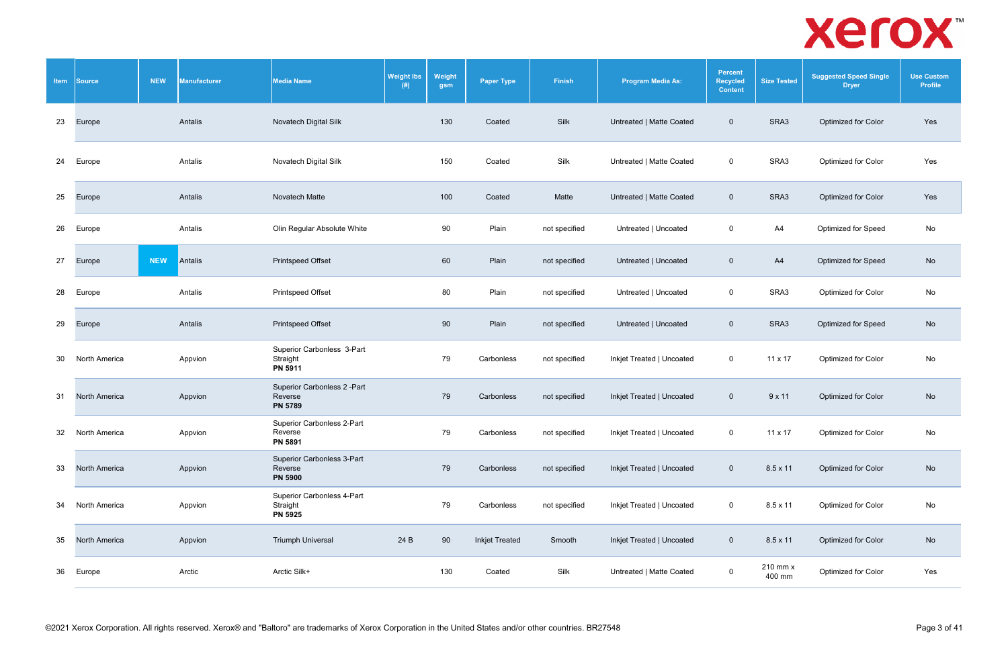| Item | Source               | <b>NEW</b> | Manufacturer | <b>Media Name</b>                                         | <b>Weight lbs</b><br>(#) | Weight<br>gsm | <b>Paper Type</b>     | Finish        | <b>Program Media As:</b>  | <b>Percent</b><br><b>Recycled</b><br><b>Content</b> | <b>Size Tested</b> | <b>Suggested Speed Single</b><br><b>Dryer</b> | <b>Use Custom</b><br>Profile |
|------|----------------------|------------|--------------|-----------------------------------------------------------|--------------------------|---------------|-----------------------|---------------|---------------------------|-----------------------------------------------------|--------------------|-----------------------------------------------|------------------------------|
| 23   | Europe               |            | Antalis      | Novatech Digital Silk                                     |                          | 130           | Coated                | Silk          | Untreated   Matte Coated  | $\overline{0}$                                      | SRA3               | Optimized for Color                           | Yes                          |
| 24   | Europe               |            | Antalis      | Novatech Digital Silk                                     |                          | 150           | Coated                | Silk          | Untreated   Matte Coated  | $\mathbf 0$                                         | SRA3               | Optimized for Color                           | Yes                          |
| 25   | Europe               |            | Antalis      | Novatech Matte                                            |                          | 100           | Coated                | Matte         | Untreated   Matte Coated  | $\overline{0}$                                      | SRA3               | Optimized for Color                           | Yes                          |
| 26   | Europe               |            | Antalis      | Olin Regular Absolute White                               |                          | 90            | Plain                 | not specified | Untreated   Uncoated      | $\mathsf{O}$                                        | A4                 | Optimized for Speed                           | No                           |
| 27   | Europe               | <b>NEW</b> | Antalis      | Printspeed Offset                                         |                          | 60            | Plain                 | not specified | Untreated   Uncoated      | $\overline{0}$                                      | A4                 | Optimized for Speed                           | No                           |
| 28   | Europe               |            | Antalis      | <b>Printspeed Offset</b>                                  |                          | 80            | Plain                 | not specified | Untreated   Uncoated      | $\mathbf 0$                                         | SRA3               | Optimized for Color                           | No                           |
| 29   | Europe               |            | Antalis      | <b>Printspeed Offset</b>                                  |                          | 90            | Plain                 | not specified | Untreated   Uncoated      | $\overline{0}$                                      | SRA3               | Optimized for Speed                           | No                           |
| 30   | North America        |            | Appvion      | Superior Carbonless 3-Part<br>Straight<br><b>PN 5911</b>  |                          | 79            | Carbonless            | not specified | Inkjet Treated   Uncoated | $\mathbf{0}$                                        | $11 \times 17$     | Optimized for Color                           | No                           |
| 31   | <b>North America</b> |            | Appvion      | Superior Carbonless 2 - Part<br>Reverse<br><b>PN 5789</b> |                          | 79            | Carbonless            | not specified | Inkjet Treated   Uncoated | $\mathbf 0$                                         | 9x11               | Optimized for Color                           | No                           |
| 32   | North America        |            | Appvion      | Superior Carbonless 2-Part<br>Reverse<br><b>PN 5891</b>   |                          | 79            | Carbonless            | not specified | Inkjet Treated   Uncoated | $\mathbf 0$                                         | $11 \times 17$     | Optimized for Color                           | No                           |
| 33   | North America        |            | Appvion      | Superior Carbonless 3-Part<br>Reverse<br><b>PN 5900</b>   |                          | 79            | Carbonless            | not specified | Inkjet Treated   Uncoated | $\overline{0}$                                      | 8.5 x 11           | Optimized for Color                           | $\operatorname{\mathsf{No}}$ |
| 34   | North America        |            | Appvion      | Superior Carbonless 4-Part<br>Straight<br><b>PN 5925</b>  |                          | 79            | Carbonless            | not specified | Inkjet Treated   Uncoated | $\mathbf{0}$                                        | 8.5 x 11           | Optimized for Color                           | No                           |
| 35   | North America        |            | Appvion      | <b>Triumph Universal</b>                                  | 24 B                     | $90\,$        | <b>Inkjet Treated</b> | Smooth        | Inkjet Treated   Uncoated | $\overline{0}$                                      | 8.5 x 11           | Optimized for Color                           | No                           |
| 36   | Europe               |            | Arctic       | Arctic Silk+                                              |                          | 130           | Coated                | Silk          | Untreated   Matte Coated  | $\overline{0}$                                      | 210 mm x<br>400 mm | Optimized for Color                           | Yes                          |

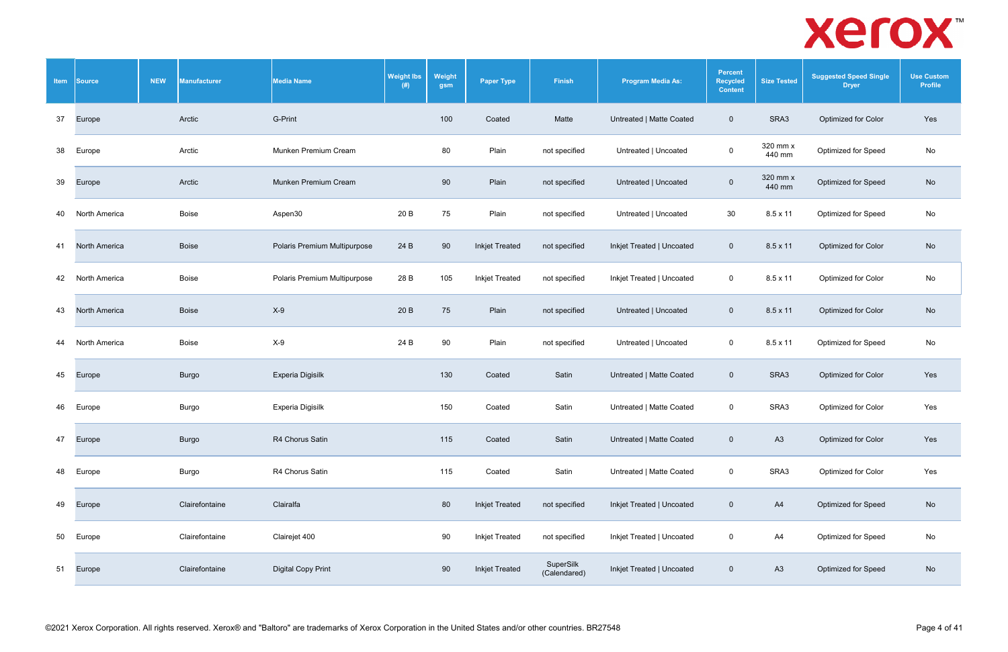| <b>Item</b> | Source               | <b>NEW</b> | <b>Manufacturer</b> | <b>Media Name</b>            | <b>Weight lbs</b><br>(#) | Weight<br>gsm | <b>Paper Type</b>     | Finish                    | <b>Program Media As:</b>  | <b>Percent</b><br><b>Recycled</b><br><b>Content</b> | <b>Size Tested</b> | <b>Suggested Speed Single</b><br><b>Dryer</b> | <b>Use Custom</b><br>Profile |
|-------------|----------------------|------------|---------------------|------------------------------|--------------------------|---------------|-----------------------|---------------------------|---------------------------|-----------------------------------------------------|--------------------|-----------------------------------------------|------------------------------|
| 37          | Europe               |            | Arctic              | G-Print                      |                          | 100           | Coated                | Matte                     | Untreated   Matte Coated  | $\mathbf{0}$                                        | SRA3               | <b>Optimized for Color</b>                    | Yes                          |
| 38          | Europe               |            | Arctic              | Munken Premium Cream         |                          | 80            | Plain                 | not specified             | Untreated   Uncoated      | $\mathbf 0$                                         | 320 mm x<br>440 mm | Optimized for Speed                           | No                           |
| 39          | Europe               |            | Arctic              | Munken Premium Cream         |                          | 90            | Plain                 | not specified             | Untreated   Uncoated      | $\overline{0}$                                      | 320 mm x<br>440 mm | Optimized for Speed                           | No                           |
| 40          | North America        |            | <b>Boise</b>        | Aspen30                      | 20 B                     | 75            | Plain                 | not specified             | Untreated   Uncoated      | 30                                                  | $8.5 \times 11$    | <b>Optimized for Speed</b>                    | No                           |
| 41          | <b>North America</b> |            | <b>Boise</b>        | Polaris Premium Multipurpose | 24 B                     | 90            | <b>Inkjet Treated</b> | not specified             | Inkjet Treated   Uncoated | $\overline{0}$                                      | $8.5 \times 11$    | Optimized for Color                           | No                           |
| 42          | North America        |            | <b>Boise</b>        | Polaris Premium Multipurpose | 28 B                     | 105           | <b>Inkjet Treated</b> | not specified             | Inkjet Treated   Uncoated | $\mathbf 0$                                         | $8.5 \times 11$    | Optimized for Color                           | No                           |
| 43          | North America        |            | <b>Boise</b>        | $X-9$                        | 20 B                     | 75            | Plain                 | not specified             | Untreated   Uncoated      | $\mathbf 0$                                         | 8.5 x 11           | Optimized for Color                           | No                           |
| 44          | North America        |            | <b>Boise</b>        | $X-9$                        | 24 B                     | 90            | Plain                 | not specified             | Untreated   Uncoated      | $\overline{0}$                                      | 8.5 x 11           | Optimized for Speed                           | No                           |
| 45          | Europe               |            | Burgo               | <b>Experia Digisilk</b>      |                          | 130           | Coated                | Satin                     | Untreated   Matte Coated  | $\overline{0}$                                      | SRA3               | Optimized for Color                           | Yes                          |
| 46          | Europe               |            | Burgo               | Experia Digisilk             |                          | 150           | Coated                | Satin                     | Untreated   Matte Coated  | $\mathbf{0}$                                        | SRA3               | Optimized for Color                           | Yes                          |
| 47          | Europe               |            | Burgo               | R4 Chorus Satin              |                          | 115           | Coated                | Satin                     | Untreated   Matte Coated  | $\overline{0}$                                      | A3                 | Optimized for Color                           | Yes                          |
| 48          | Europe               |            | Burgo               | R4 Chorus Satin              |                          | 115           | Coated                | Satin                     | Untreated   Matte Coated  | $\mathbf 0$                                         | SRA3               | Optimized for Color                           | Yes                          |
| 49          | Europe               |            | Clairefontaine      | Clairalfa                    |                          | 80            | <b>Inkjet Treated</b> | not specified             | Inkjet Treated   Uncoated | $\overline{0}$                                      | A4                 | Optimized for Speed                           | No                           |
| 50          | Europe               |            | Clairefontaine      | Clairejet 400                |                          | 90            | <b>Inkjet Treated</b> | not specified             | Inkjet Treated   Uncoated | $\overline{0}$                                      | A4                 | Optimized for Speed                           | No                           |
| 51          | Europe               |            | Clairefontaine      | <b>Digital Copy Print</b>    |                          | 90            | <b>Inkjet Treated</b> | SuperSilk<br>(Calendared) | Inkjet Treated   Uncoated | $\overline{0}$                                      | A3                 | Optimized for Speed                           | No                           |

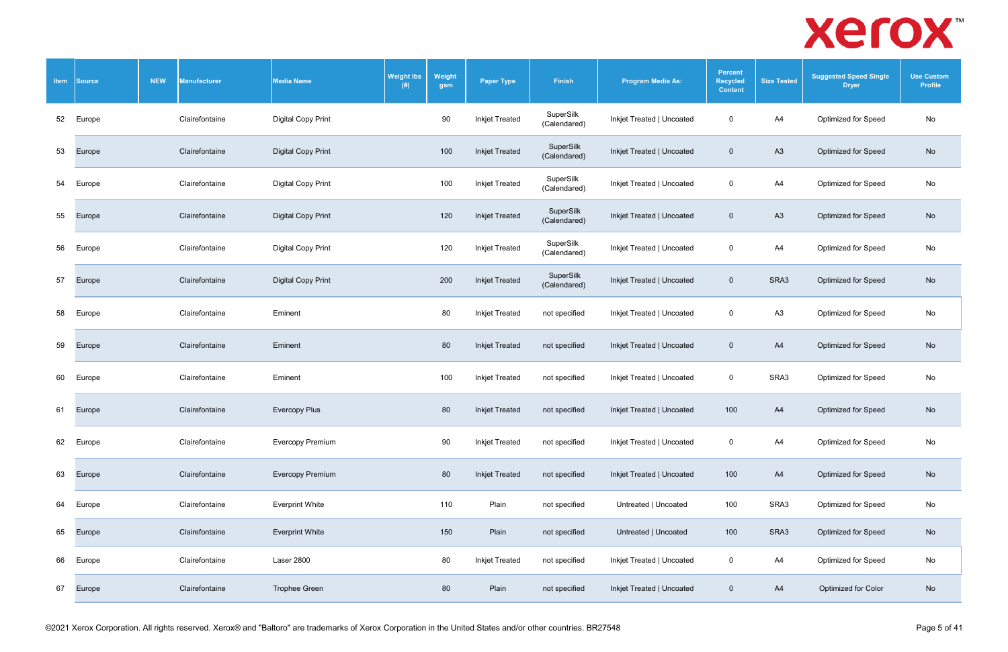| <b>Item</b> | <b>Source</b> | <b>NEW</b> | Manufacturer   | <b>Media Name</b>         | <b>Weight lbs</b><br>(# ) | Weight<br>gsm | <b>Paper Type</b>     | Finish                    | <b>Program Media As:</b>  | <b>Percent</b><br><b>Recycled</b><br><b>Content</b> | <b>Size Tested</b> | <b>Suggested Speed Single</b><br><b>Dryer</b> | Use Custom<br><b>Profile</b> |
|-------------|---------------|------------|----------------|---------------------------|---------------------------|---------------|-----------------------|---------------------------|---------------------------|-----------------------------------------------------|--------------------|-----------------------------------------------|------------------------------|
| 52          | Europe        |            | Clairefontaine | <b>Digital Copy Print</b> |                           | 90            | Inkjet Treated        | SuperSilk<br>(Calendared) | Inkjet Treated   Uncoated | $\mathbf 0$                                         | A4                 | <b>Optimized for Speed</b>                    | No                           |
| 53          | Europe        |            | Clairefontaine | <b>Digital Copy Print</b> |                           | 100           | <b>Inkjet Treated</b> | SuperSilk<br>(Calendared) | Inkjet Treated   Uncoated | $\mathbf{0}$                                        | A3                 | Optimized for Speed                           | No                           |
| 54          | Europe        |            | Clairefontaine | <b>Digital Copy Print</b> |                           | 100           | <b>Inkjet Treated</b> | SuperSilk<br>(Calendared) | Inkjet Treated   Uncoated | $\mathbf{0}$                                        | A4                 | Optimized for Speed                           | No                           |
| 55          | Europe        |            | Clairefontaine | <b>Digital Copy Print</b> |                           | 120           | <b>Inkjet Treated</b> | SuperSilk<br>(Calendared) | Inkjet Treated   Uncoated | $\overline{0}$                                      | A3                 | <b>Optimized for Speed</b>                    | No                           |
| 56          | Europe        |            | Clairefontaine | <b>Digital Copy Print</b> |                           | 120           | <b>Inkjet Treated</b> | SuperSilk<br>(Calendared) | Inkjet Treated   Uncoated | $\mathbf 0$                                         | A4                 | <b>Optimized for Speed</b>                    | No                           |
| 57          | Europe        |            | Clairefontaine | <b>Digital Copy Print</b> |                           | 200           | Inkjet Treated        | SuperSilk<br>(Calendared) | Inkjet Treated   Uncoated | $\mathbf{0}$                                        | SRA3               | Optimized for Speed                           | No                           |
| 58          | Europe        |            | Clairefontaine | Eminent                   |                           | 80            | <b>Inkjet Treated</b> | not specified             | Inkjet Treated   Uncoated | $\mathbf{0}$                                        | A <sub>3</sub>     | <b>Optimized for Speed</b>                    | No                           |
| 59          | Europe        |            | Clairefontaine | Eminent                   |                           | 80            | <b>Inkjet Treated</b> | not specified             | Inkjet Treated   Uncoated | $\overline{0}$                                      | A4                 | <b>Optimized for Speed</b>                    | No                           |
| 60          | Europe        |            | Clairefontaine | Eminent                   |                           | 100           | <b>Inkjet Treated</b> | not specified             | Inkjet Treated   Uncoated | $\mathbf 0$                                         | SRA3               | <b>Optimized for Speed</b>                    | No                           |
| 61          | Europe        |            | Clairefontaine | <b>Evercopy Plus</b>      |                           | 80            | <b>Inkjet Treated</b> | not specified             | Inkjet Treated   Uncoated | 100                                                 | A4                 | <b>Optimized for Speed</b>                    | No                           |
| 62          | Europe        |            | Clairefontaine | <b>Evercopy Premium</b>   |                           | 90            | <b>Inkjet Treated</b> | not specified             | Inkjet Treated   Uncoated | $\mathbf{0}$                                        | A4                 | <b>Optimized for Speed</b>                    | No                           |
| 63          | Europe        |            | Clairefontaine | <b>Evercopy Premium</b>   |                           | 80            | Inkjet Treated        | not specified             | Inkjet Treated   Uncoated | 100                                                 | A4                 | Optimized for Speed                           | No                           |
| 64          | Europe        |            | Clairefontaine | <b>Everprint White</b>    |                           | 110           | Plain                 | not specified             | Untreated   Uncoated      | 100                                                 | SRA3               | Optimized for Speed                           | No                           |
| 65          | Europe        |            | Clairefontaine | <b>Everprint White</b>    |                           | 150           | Plain                 | not specified             | Untreated   Uncoated      | 100                                                 | SRA3               | Optimized for Speed                           | No                           |
| 66          | Europe        |            | Clairefontaine | Laser 2800                |                           | 80            | <b>Inkjet Treated</b> | not specified             | Inkjet Treated   Uncoated | $\mathbf{0}$                                        | A4                 | <b>Optimized for Speed</b>                    | No                           |
| 67          | Europe        |            | Clairefontaine | Trophee Green             |                           | $80\,$        | Plain                 | not specified             | Inkjet Treated   Uncoated | $\overline{0}$                                      | A4                 | Optimized for Color                           | No                           |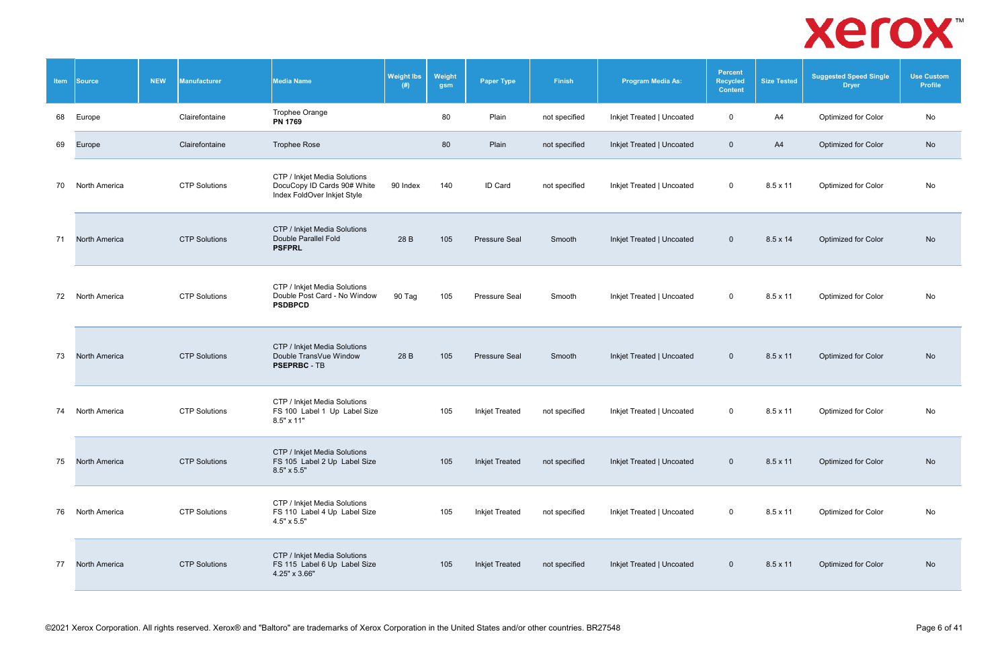| <b>Item</b> | Source               | <b>NEW</b> | <b>Manufacturer</b>  | <b>Media Name</b>                                                                          | <b>Weight lbs</b><br>(# ) | Weight<br>gsm | <b>Paper Type</b>     | Finish        | <b>Program Media As:</b>  | <b>Percent</b><br><b>Recycled</b><br><b>Content</b> | <b>Size Tested</b> | <b>Suggested Speed Single</b><br><b>Dryer</b> | <b>Use Custom</b><br>Profile |
|-------------|----------------------|------------|----------------------|--------------------------------------------------------------------------------------------|---------------------------|---------------|-----------------------|---------------|---------------------------|-----------------------------------------------------|--------------------|-----------------------------------------------|------------------------------|
| 68          | Europe               |            | Clairefontaine       | Trophee Orange<br><b>PN 1769</b>                                                           |                           | 80            | Plain                 | not specified | Inkjet Treated   Uncoated | $\mathbf 0$                                         | A4                 | Optimized for Color                           | No                           |
| 69          | Europe               |            | Clairefontaine       | <b>Trophee Rose</b>                                                                        |                           | 80            | Plain                 | not specified | Inkjet Treated   Uncoated | $\overline{0}$                                      | A4                 | Optimized for Color                           | No                           |
| 70          | North America        |            | <b>CTP Solutions</b> | CTP / Inkjet Media Solutions<br>DocuCopy ID Cards 90# White<br>Index FoldOver Inkjet Style | 90 Index                  | 140           | ID Card               | not specified | Inkjet Treated   Uncoated | $\overline{0}$                                      | 8.5 x 11           | Optimized for Color                           | No                           |
| 71          | <b>North America</b> |            | <b>CTP Solutions</b> | CTP / Inkjet Media Solutions<br>Double Parallel Fold<br><b>PSFPRL</b>                      | 28 B                      | 105           | Pressure Seal         | Smooth        | Inkjet Treated   Uncoated | $\overline{0}$                                      | $8.5 \times 14$    | Optimized for Color                           | No                           |
| 72          | North America        |            | <b>CTP Solutions</b> | CTP / Inkjet Media Solutions<br>Double Post Card - No Window<br><b>PSDBPCD</b>             | 90 Tag                    | 105           | Pressure Seal         | Smooth        | Inkjet Treated   Uncoated | $\overline{0}$                                      | $8.5 \times 11$    | Optimized for Color                           | No                           |
| 73          | <b>North America</b> |            | <b>CTP Solutions</b> | CTP / Inkjet Media Solutions<br>Double TransVue Window<br><b>PSEPRBC - TB</b>              | 28 B                      | 105           | Pressure Seal         | Smooth        | Inkjet Treated   Uncoated | $\overline{0}$                                      | $8.5 \times 11$    | Optimized for Color                           | No                           |
| 74          | North America        |            | <b>CTP Solutions</b> | CTP / Inkjet Media Solutions<br>FS 100 Label 1 Up Label Size<br>8.5" x 11"                 |                           | 105           | <b>Inkjet Treated</b> | not specified | Inkjet Treated   Uncoated | $\overline{0}$                                      | $8.5 \times 11$    | Optimized for Color                           | No                           |
| 75          | <b>North America</b> |            | <b>CTP Solutions</b> | CTP / Inkjet Media Solutions<br>FS 105 Label 2 Up Label Size<br>8.5" x 5.5"                |                           | 105           | <b>Inkjet Treated</b> | not specified | Inkjet Treated   Uncoated | $\overline{0}$                                      | 8.5 x 11           | Optimized for Color                           | No                           |
| 76          | North America        |            | <b>CTP Solutions</b> | CTP / Inkjet Media Solutions<br>FS 110 Label 4 Up Label Size<br>$4.5" \times 5.5"$         |                           | 105           | <b>Inkjet Treated</b> | not specified | Inkjet Treated   Uncoated | $\overline{0}$                                      | 8.5 x 11           | Optimized for Color                           | No                           |
| 77          | <b>North America</b> |            | <b>CTP Solutions</b> | CTP / Inkjet Media Solutions<br>FS 115 Label 6 Up Label Size<br>4.25" x 3.66"              |                           | 105           | <b>Inkjet Treated</b> | not specified | Inkjet Treated   Uncoated | $\overline{0}$                                      | $8.5 \times 11$    | Optimized for Color                           | No                           |

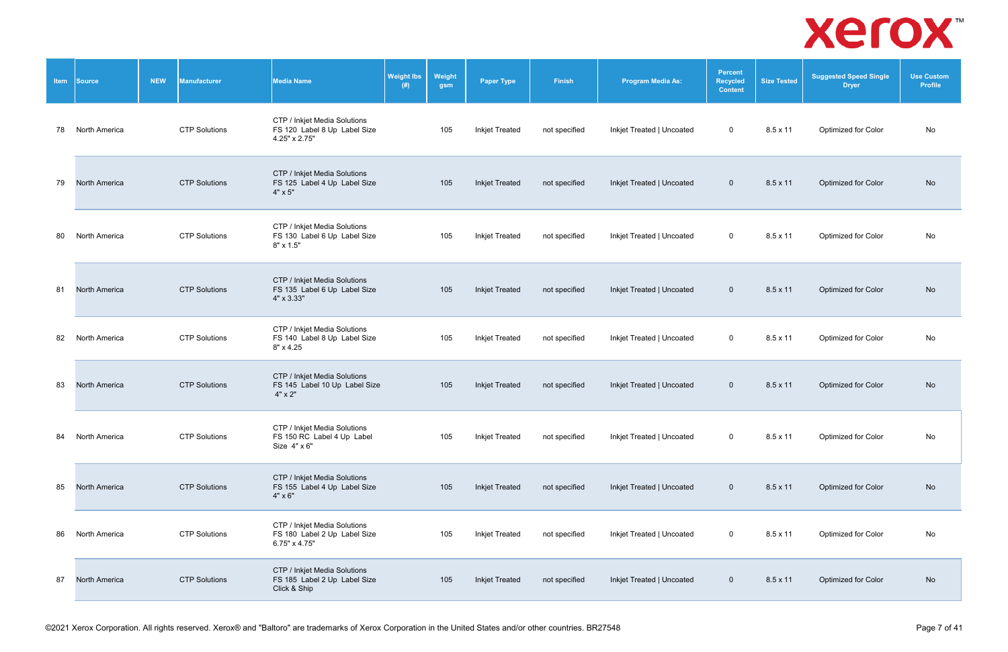| <b>Item</b> | Source               | <b>NEW</b> | <b>Manufacturer</b>  | <b>Media Name</b>                                                                | <b>Weight lbs</b><br>(#) | Weight<br>gsm | <b>Paper Type</b>     | Finish        | <b>Program Media As:</b>  | <b>Percent</b><br><b>Recycled</b><br><b>Content</b> | <b>Size Tested</b> | <b>Suggested Speed Single</b><br><b>Dryer</b> | <b>Use Custom</b><br><b>Profile</b> |
|-------------|----------------------|------------|----------------------|----------------------------------------------------------------------------------|--------------------------|---------------|-----------------------|---------------|---------------------------|-----------------------------------------------------|--------------------|-----------------------------------------------|-------------------------------------|
| 78          | North America        |            | <b>CTP Solutions</b> | CTP / Inkjet Media Solutions<br>FS 120 Label 8 Up Label Size<br>4.25" x 2.75"    |                          | 105           | <b>Inkjet Treated</b> | not specified | Inkjet Treated   Uncoated | $\overline{0}$                                      | 8.5 x 11           | Optimized for Color                           | No                                  |
| 79          | <b>North America</b> |            | <b>CTP Solutions</b> | CTP / Inkjet Media Solutions<br>FS 125 Label 4 Up Label Size<br>$4" \times 5"$   |                          | 105           | <b>Inkjet Treated</b> | not specified | Inkjet Treated   Uncoated | $\overline{0}$                                      | $8.5 \times 11$    | <b>Optimized for Color</b>                    | No                                  |
| 80          | North America        |            | <b>CTP Solutions</b> | CTP / Inkjet Media Solutions<br>FS 130 Label 6 Up Label Size<br>$8" \times 1.5"$ |                          | 105           | <b>Inkjet Treated</b> | not specified | Inkjet Treated   Uncoated | $\mathbf{0}$                                        | $8.5 \times 11$    | Optimized for Color                           | No                                  |
| 81          | <b>North America</b> |            | <b>CTP Solutions</b> | CTP / Inkjet Media Solutions<br>FS 135 Label 6 Up Label Size<br>4" x 3.33"       |                          | 105           | <b>Inkjet Treated</b> | not specified | Inkjet Treated   Uncoated | $\overline{0}$                                      | $8.5 \times 11$    | Optimized for Color                           | No                                  |
| 82          | North America        |            | <b>CTP Solutions</b> | CTP / Inkjet Media Solutions<br>FS 140 Label 8 Up Label Size<br>$8" \times 4.25$ |                          | 105           | <b>Inkjet Treated</b> | not specified | Inkjet Treated   Uncoated | $\mathbf 0$                                         | 8.5 x 11           | Optimized for Color                           | No                                  |
| 83          | <b>North America</b> |            | <b>CTP Solutions</b> | CTP / Inkjet Media Solutions<br>FS 145 Label 10 Up Label Size<br>4" x 2"         |                          | 105           | <b>Inkjet Treated</b> | not specified | Inkjet Treated   Uncoated | $\overline{0}$                                      | 8.5 x 11           | Optimized for Color                           | No                                  |
| 84          | North America        |            | <b>CTP Solutions</b> | CTP / Inkjet Media Solutions<br>FS 150 RC Label 4 Up Label<br>Size 4" x 6"       |                          | 105           | <b>Inkjet Treated</b> | not specified | Inkjet Treated   Uncoated | $\overline{0}$                                      | 8.5 x 11           | Optimized for Color                           | No                                  |
| 85          | <b>North America</b> |            | <b>CTP Solutions</b> | CTP / Inkjet Media Solutions<br>FS 155 Label 4 Up Label Size<br>$4" \times 6"$   |                          | 105           | <b>Inkjet Treated</b> | not specified | Inkjet Treated   Uncoated | $\overline{0}$                                      | $8.5 \times 11$    | Optimized for Color                           | No                                  |
| 86          | North America        |            | <b>CTP Solutions</b> | CTP / Inkjet Media Solutions<br>FS 180 Label 2 Up Label Size<br>6.75" x 4.75"    |                          | 105           | <b>Inkjet Treated</b> | not specified | Inkjet Treated   Uncoated | $\overline{0}$                                      | $8.5 \times 11$    | Optimized for Color                           | No                                  |
| 87          | <b>North America</b> |            | <b>CTP Solutions</b> | CTP / Inkjet Media Solutions<br>FS 185 Label 2 Up Label Size<br>Click & Ship     |                          | 105           | <b>Inkjet Treated</b> | not specified | Inkjet Treated   Uncoated | $\overline{0}$                                      | $8.5 \times 11$    | Optimized for Color                           | No                                  |

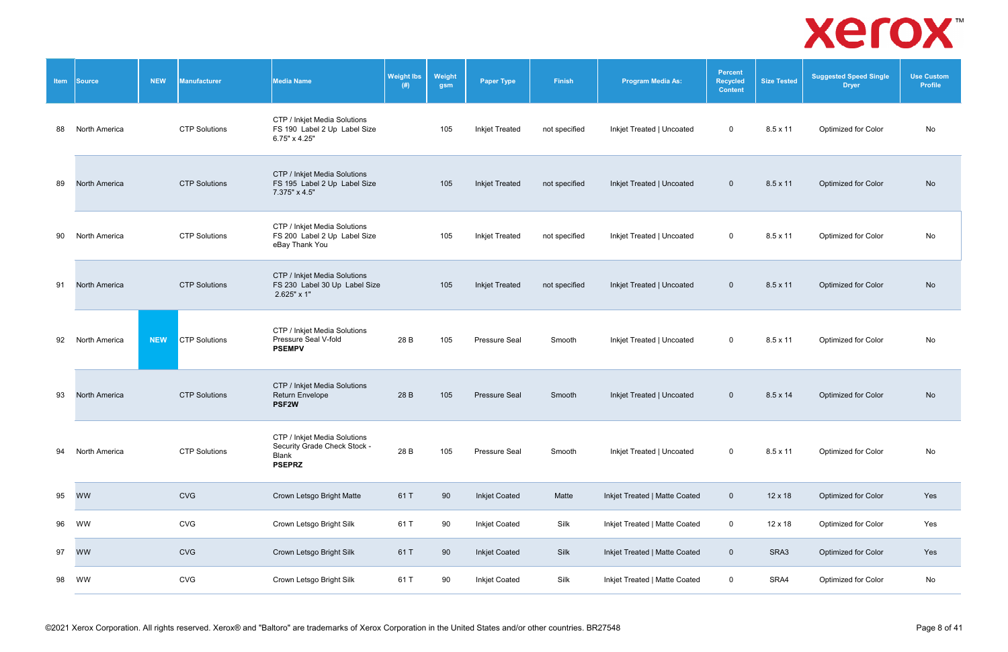| <b>Item</b> | Source               | <b>NEW</b> | <b>Manufacturer</b>  | <b>Media Name</b>                                                                             | <b>Weight lbs</b><br>(# ) | Weight<br>gsm | <b>Paper Type</b>     | <b>Finish</b> | <b>Program Media As:</b>      | <b>Percent</b><br><b>Recycled</b><br><b>Content</b> | <b>Size Tested</b> | <b>Suggested Speed Single</b><br><b>Dryer</b> | <b>Use Custom</b><br><b>Profile</b> |
|-------------|----------------------|------------|----------------------|-----------------------------------------------------------------------------------------------|---------------------------|---------------|-----------------------|---------------|-------------------------------|-----------------------------------------------------|--------------------|-----------------------------------------------|-------------------------------------|
| 88          | North America        |            | <b>CTP Solutions</b> | CTP / Inkjet Media Solutions<br>FS 190 Label 2 Up Label Size<br>6.75" x 4.25"                 |                           | 105           | <b>Inkjet Treated</b> | not specified | Inkjet Treated   Uncoated     | $\mathsf{O}$                                        | $8.5 \times 11$    | Optimized for Color                           | No                                  |
| 89          | <b>North America</b> |            | <b>CTP Solutions</b> | CTP / Inkjet Media Solutions<br>FS 195 Label 2 Up Label Size<br>7.375" x 4.5"                 |                           | 105           | <b>Inkjet Treated</b> | not specified | Inkjet Treated   Uncoated     | $\overline{0}$                                      | $8.5 \times 11$    | Optimized for Color                           | No                                  |
| 90          | North America        |            | <b>CTP Solutions</b> | CTP / Inkjet Media Solutions<br>FS 200 Label 2 Up Label Size<br>eBay Thank You                |                           | 105           | <b>Inkjet Treated</b> | not specified | Inkjet Treated   Uncoated     | $\mathbf 0$                                         | $8.5 \times 11$    | Optimized for Color                           | No                                  |
| 91          | <b>North America</b> |            | <b>CTP Solutions</b> | CTP / Inkjet Media Solutions<br>FS 230 Label 30 Up Label Size<br>2.625" x 1"                  |                           | 105           | <b>Inkjet Treated</b> | not specified | Inkjet Treated   Uncoated     | $\overline{0}$                                      | $8.5 \times 11$    | Optimized for Color                           | No                                  |
| 92          | North America        | <b>NEW</b> | <b>CTP Solutions</b> | CTP / Inkjet Media Solutions<br>Pressure Seal V-fold<br><b>PSEMPV</b>                         | 28 B                      | 105           | Pressure Seal         | Smooth        | Inkjet Treated   Uncoated     | $\mathbf 0$                                         | $8.5 \times 11$    | Optimized for Color                           | No                                  |
| 93          | <b>North America</b> |            | <b>CTP Solutions</b> | CTP / Inkjet Media Solutions<br>Return Envelope<br>PSF2W                                      | 28 B                      | 105           | Pressure Seal         | Smooth        | Inkjet Treated   Uncoated     | $\overline{0}$                                      | $8.5 \times 14$    | Optimized for Color                           | No                                  |
| 94          | North America        |            | <b>CTP Solutions</b> | CTP / Inkjet Media Solutions<br>Security Grade Check Stock -<br><b>Blank</b><br><b>PSEPRZ</b> | 28 B                      | 105           | Pressure Seal         | Smooth        | Inkjet Treated   Uncoated     | $\mathbf 0$                                         | $8.5 \times 11$    | Optimized for Color                           | No                                  |
| 95          | <b>WW</b>            |            | CVG                  | Crown Letsgo Bright Matte                                                                     | 61 T                      | $90\,$        | <b>Inkjet Coated</b>  | Matte         | Inkjet Treated   Matte Coated | $\overline{0}$                                      | $12 \times 18$     | Optimized for Color                           | Yes                                 |
| 96          | WW                   |            | CVG                  | Crown Letsgo Bright Silk                                                                      | 61 T                      | $90\,$        | <b>Inkjet Coated</b>  | Silk          | Inkjet Treated   Matte Coated | $\boldsymbol{0}$                                    | 12 x 18            | Optimized for Color                           | Yes                                 |
| 97          | <b>WW</b>            |            | CVG                  | Crown Letsgo Bright Silk                                                                      | 61 T                      | 90            | <b>Inkjet Coated</b>  | Silk          | Inkjet Treated   Matte Coated | $\overline{0}$                                      | SRA3               | Optimized for Color                           | Yes                                 |
| 98          | WW                   |            | CVG                  | Crown Letsgo Bright Silk                                                                      | 61 T                      | 90            | <b>Inkjet Coated</b>  | Silk          | Inkjet Treated   Matte Coated | $\mathbf 0$                                         | SRA4               | Optimized for Color                           | No                                  |

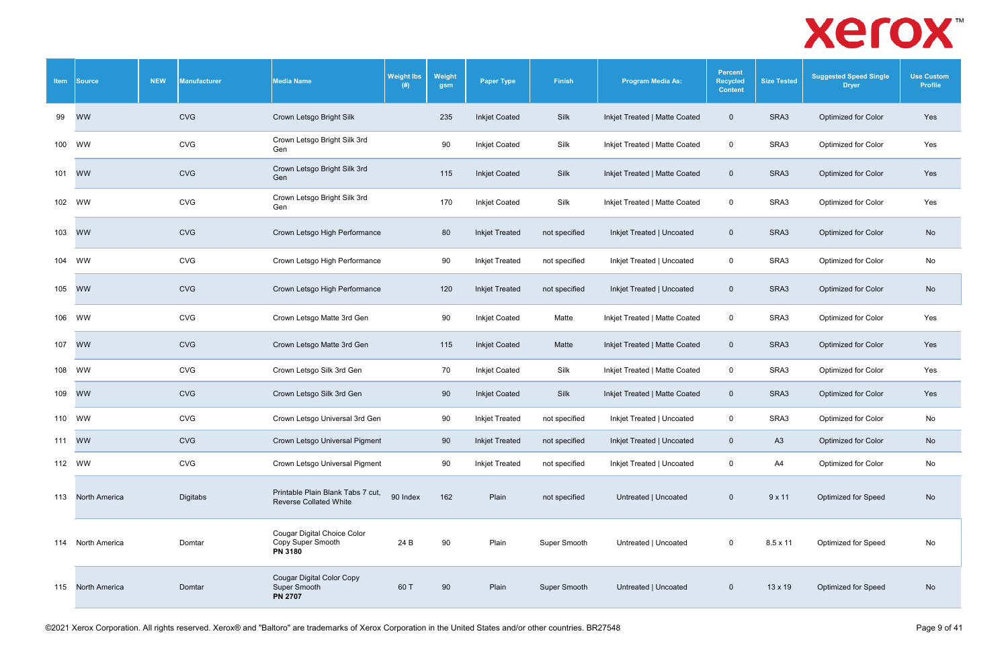| <b>Item</b> | Source               | <b>NEW</b> | <b>Manufacturer</b> | <b>Media Name</b>                                                  | <b>Weight lbs</b><br>(# ) | Weight<br>gsm | <b>Paper Type</b>     | Finish        | <b>Program Media As:</b>      | <b>Percent</b><br><b>Recycled</b><br><b>Content</b> | <b>Size Tested</b> | <b>Suggested Speed Single</b><br><b>Dryer</b> | <b>Use Custom</b><br><b>Profile</b> |
|-------------|----------------------|------------|---------------------|--------------------------------------------------------------------|---------------------------|---------------|-----------------------|---------------|-------------------------------|-----------------------------------------------------|--------------------|-----------------------------------------------|-------------------------------------|
| 99          | <b>WW</b>            |            | <b>CVG</b>          | Crown Letsgo Bright Silk                                           |                           | 235           | Inkjet Coated         | Silk          | Inkjet Treated   Matte Coated | 0                                                   | SRA3               | Optimized for Color                           | Yes                                 |
| 100         | WW                   |            | CVG                 | Crown Letsgo Bright Silk 3rd<br>Gen                                |                           | 90            | <b>Inkjet Coated</b>  | Silk          | Inkjet Treated   Matte Coated | 0                                                   | SRA3               | Optimized for Color                           | Yes                                 |
| 101         | <b>WW</b>            |            | <b>CVG</b>          | Crown Letsgo Bright Silk 3rd<br>Gen                                |                           | 115           | Inkjet Coated         | Silk          | Inkjet Treated   Matte Coated | $\mathbf{0}$                                        | SRA3               | Optimized for Color                           | Yes                                 |
| 102 WW      |                      |            | CVG                 | Crown Letsgo Bright Silk 3rd<br>Gen                                |                           | 170           | Inkjet Coated         | Silk          | Inkjet Treated   Matte Coated | $\mathbf 0$                                         | SRA3               | Optimized for Color                           | Yes                                 |
| 103         | <b>WW</b>            |            | <b>CVG</b>          | Crown Letsgo High Performance                                      |                           | 80            | <b>Inkjet Treated</b> | not specified | Inkjet Treated   Uncoated     | $\mathbf{0}$                                        | SRA3               | Optimized for Color                           | No                                  |
| 104         | WW                   |            | CVG                 | Crown Letsgo High Performance                                      |                           | 90            | <b>Inkjet Treated</b> | not specified | Inkjet Treated   Uncoated     | 0                                                   | SRA3               | Optimized for Color                           | No                                  |
| 105         | <b>WW</b>            |            | <b>CVG</b>          | Crown Letsgo High Performance                                      |                           | 120           | <b>Inkjet Treated</b> | not specified | Inkjet Treated   Uncoated     | $\mathbf{0}$                                        | SRA3               | Optimized for Color                           | No                                  |
| 106         | <b>WW</b>            |            | CVG                 | Crown Letsgo Matte 3rd Gen                                         |                           | 90            | Inkjet Coated         | Matte         | Inkjet Treated   Matte Coated | $\mathbf 0$                                         | SRA3               | Optimized for Color                           | Yes                                 |
| 107         | <b>WW</b>            |            | CVG                 | Crown Letsgo Matte 3rd Gen                                         |                           | 115           | Inkjet Coated         | Matte         | Inkjet Treated   Matte Coated | $\mathbf{0}$                                        | SRA3               | Optimized for Color                           | Yes                                 |
| 108         | WW                   |            | CVG                 | Crown Letsgo Silk 3rd Gen                                          |                           | 70            | Inkjet Coated         | Silk          | Inkjet Treated   Matte Coated | 0                                                   | SRA3               | Optimized for Color                           | Yes                                 |
| 109         | <b>WW</b>            |            | CVG                 | Crown Letsgo Silk 3rd Gen                                          |                           | 90            | Inkjet Coated         | Silk          | Inkjet Treated   Matte Coated | $\mathbf{0}$                                        | SRA3               | <b>Optimized for Color</b>                    | Yes                                 |
| 110 WW      |                      |            | CVG                 | Crown Letsgo Universal 3rd Gen                                     |                           | 90            | <b>Inkjet Treated</b> | not specified | Inkjet Treated   Uncoated     | 0                                                   | SRA3               | Optimized for Color                           | No                                  |
| 111         | <b>WW</b>            |            | CVG                 | Crown Letsgo Universal Pigment                                     |                           | 90            | <b>Inkjet Treated</b> | not specified | Inkjet Treated   Uncoated     | $\mathbf{0}$                                        | A3                 | Optimized for Color                           | No                                  |
| 112 WW      |                      |            | CVG                 | Crown Letsgo Universal Pigment                                     |                           | 90            | <b>Inkjet Treated</b> | not specified | Inkjet Treated   Uncoated     | $\mathbf 0$                                         | A4                 | Optimized for Color                           | No                                  |
| 113         | <b>North America</b> |            | Digitabs            | Printable Plain Blank Tabs 7 cut,<br><b>Reverse Collated White</b> | 90 Index                  | 162           | Plain                 | not specified | Untreated   Uncoated          | $\overline{0}$                                      | 9x11               | Optimized for Speed                           | No                                  |
|             | 114 North America    |            | Domtar              | Cougar Digital Choice Color<br>Copy Super Smooth<br><b>PN 3180</b> | 24 B                      | 90            | Plain                 | Super Smooth  | Untreated   Uncoated          | $\mathbf{0}$                                        | 8.5 x 11           | Optimized for Speed                           | No                                  |
|             | 115 North America    |            | Domtar              | <b>Cougar Digital Color Copy</b><br>Super Smooth<br><b>PN 2707</b> | 60 T                      | 90            | Plain                 | Super Smooth  | Untreated   Uncoated          | $\overline{0}$                                      | 13 x 19            | Optimized for Speed                           | No                                  |

©2021 Xerox Corporation. All rights reserved. Xerox® and "Baltoro" are trademarks of Xerox Corporation in the United States and/or other countries. BR27548 Page 9 of 41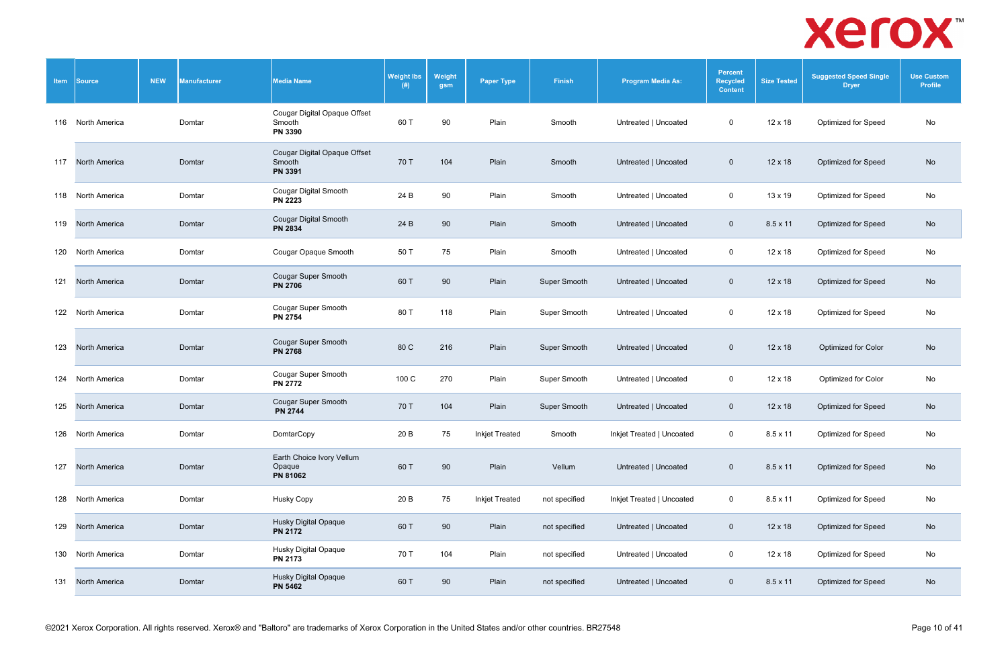| <b>Item</b> | Source               | <b>NEW</b> | Manufacturer | <b>Media Name</b>                                        | <b>Weight lbs</b><br>(# ) | Weight<br>gsm | <b>Paper Type</b>     | Finish        | <b>Program Media As:</b>  | <b>Percent</b><br><b>Recycled</b><br><b>Content</b> | <b>Size Tested</b> | <b>Suggested Speed Single</b><br><b>Dryer</b> | <b>Use Custom</b><br><b>Profile</b> |
|-------------|----------------------|------------|--------------|----------------------------------------------------------|---------------------------|---------------|-----------------------|---------------|---------------------------|-----------------------------------------------------|--------------------|-----------------------------------------------|-------------------------------------|
|             | 116 North America    |            | Domtar       | Cougar Digital Opaque Offset<br>Smooth<br><b>PN 3390</b> | 60 T                      | 90            | Plain                 | Smooth        | Untreated   Uncoated      | $\mathbf 0$                                         | 12 x 18            | Optimized for Speed                           | No                                  |
|             | 117 North America    |            | Domtar       | Cougar Digital Opaque Offset<br>Smooth<br><b>PN 3391</b> | 70 T                      | 104           | Plain                 | Smooth        | Untreated   Uncoated      | $\overline{0}$                                      | 12 x 18            | Optimized for Speed                           | No                                  |
|             | 118 North America    |            | Domtar       | <b>Cougar Digital Smooth</b><br><b>PN 2223</b>           | 24 B                      | 90            | Plain                 | Smooth        | Untreated   Uncoated      | $\mathbf 0$                                         | 13 x 19            | Optimized for Speed                           | No                                  |
| 119         | <b>North America</b> |            | Domtar       | <b>Cougar Digital Smooth</b><br><b>PN 2834</b>           | 24 B                      | 90            | Plain                 | Smooth        | Untreated   Uncoated      | $\overline{0}$                                      | $8.5 \times 11$    | Optimized for Speed                           | No                                  |
| 120         | North America        |            | Domtar       | Cougar Opaque Smooth                                     | 50 T                      | 75            | Plain                 | Smooth        | Untreated   Uncoated      | $\overline{0}$                                      | 12 x 18            | Optimized for Speed                           | No                                  |
| 121         | <b>North America</b> |            | Domtar       | Cougar Super Smooth<br><b>PN 2706</b>                    | 60 T                      | 90            | Plain                 | Super Smooth  | Untreated   Uncoated      | $\overline{0}$                                      | 12 x 18            | <b>Optimized for Speed</b>                    | No                                  |
|             | 122 North America    |            | Domtar       | <b>Cougar Super Smooth</b><br><b>PN 2754</b>             | 80 T                      | 118           | Plain                 | Super Smooth  | Untreated   Uncoated      | $\overline{0}$                                      | 12 x 18            | <b>Optimized for Speed</b>                    | No                                  |
| 123         | <b>North America</b> |            | Domtar       | Cougar Super Smooth<br><b>PN 2768</b>                    | 80 C                      | 216           | Plain                 | Super Smooth  | Untreated   Uncoated      | $\overline{0}$                                      | 12 x 18            | Optimized for Color                           | No                                  |
| 124         | North America        |            | Domtar       | Cougar Super Smooth<br><b>PN 2772</b>                    | 100 C                     | 270           | Plain                 | Super Smooth  | Untreated   Uncoated      | $\mathbf{0}$                                        | 12 x 18            | Optimized for Color                           | No                                  |
| 125         | <b>North America</b> |            | Domtar       | Cougar Super Smooth<br><b>PN 2744</b>                    | 70 T                      | 104           | Plain                 | Super Smooth  | Untreated   Uncoated      | $\overline{0}$                                      | 12 x 18            | <b>Optimized for Speed</b>                    | No                                  |
| 126         | North America        |            | Domtar       | DomtarCopy                                               | 20 B                      | 75            | <b>Inkjet Treated</b> | Smooth        | Inkjet Treated   Uncoated | $\mathbf{0}$                                        | 8.5 x 11           | Optimized for Speed                           | No                                  |
|             | 127 North America    |            | Domtar       | Earth Choice Ivory Vellum<br>Opaque<br><b>PN 81062</b>   | 60 T                      | 90            | Plain                 | Vellum        | Untreated   Uncoated      | $\overline{0}$                                      | 8.5 x 11           | <b>Optimized for Speed</b>                    | No                                  |
| 128         | North America        |            | Domtar       | <b>Husky Copy</b>                                        | 20 B                      | 75            | <b>Inkjet Treated</b> | not specified | Inkjet Treated   Uncoated | $\overline{0}$                                      | 8.5 x 11           | <b>Optimized for Speed</b>                    | $\operatorname{\mathsf{No}}$        |
| 129         | North America        |            | Domtar       | Husky Digital Opaque<br><b>PN 2172</b>                   | 60 T                      | 90            | Plain                 | not specified | Untreated   Uncoated      | $\overline{0}$                                      | 12 x 18            | Optimized for Speed                           | No                                  |
|             | 130 North America    |            | Domtar       | Husky Digital Opaque<br><b>PN 2173</b>                   | 70 T                      | 104           | Plain                 | not specified | Untreated   Uncoated      | $\mathbf 0$                                         | 12 x 18            | <b>Optimized for Speed</b>                    | No                                  |
| 131         | North America        |            | Domtar       | Husky Digital Opaque<br><b>PN 5462</b>                   | 60 T                      | 90            | Plain                 | not specified | Untreated   Uncoated      | $\mathbf{0}$                                        | 8.5 x 11           | Optimized for Speed                           | No                                  |

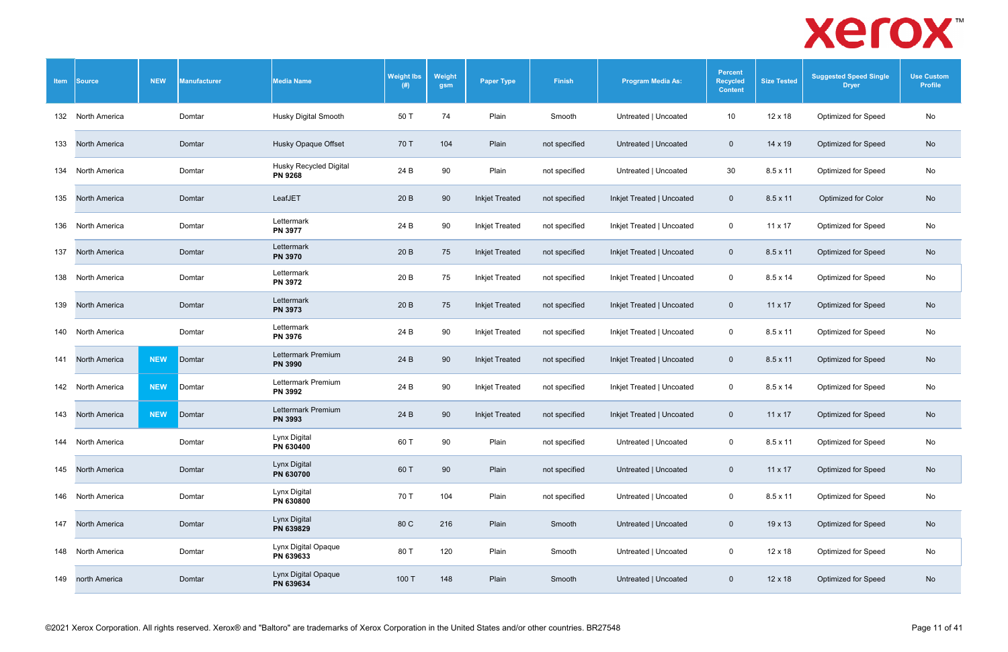| <b>Item</b> | <b>Source</b>        | <b>NEW</b> | <b>Manufacturer</b> | <b>Media Name</b>                        | <b>Weight lbs</b><br>(# ) | Weight<br>gsm | <b>Paper Type</b>     | Finish        | <b>Program Media As:</b>  | <b>Percent</b><br><b>Recycled</b><br><b>Content</b> | <b>Size Tested</b> | <b>Suggested Speed Single</b><br><b>Dryer</b> | <b>Use Custom</b><br>Profile |
|-------------|----------------------|------------|---------------------|------------------------------------------|---------------------------|---------------|-----------------------|---------------|---------------------------|-----------------------------------------------------|--------------------|-----------------------------------------------|------------------------------|
| 132         | North America        |            | Domtar              | <b>Husky Digital Smooth</b>              | 50 T                      | 74            | Plain                 | Smooth        | Untreated   Uncoated      | 10                                                  | 12 x 18            | Optimized for Speed                           | No                           |
| 133         | <b>North America</b> |            | Domtar              | Husky Opaque Offset                      | 70 T                      | 104           | Plain                 | not specified | Untreated   Uncoated      | $\overline{0}$                                      | 14 x 19            | Optimized for Speed                           | No                           |
| 134         | North America        |            | Domtar              | Husky Recycled Digital<br><b>PN 9268</b> | 24 B                      | 90            | Plain                 | not specified | Untreated   Uncoated      | 30                                                  | 8.5 x 11           | <b>Optimized for Speed</b>                    | No                           |
| 135         | North America        |            | Domtar              | LeafJET                                  | 20 B                      | 90            | <b>Inkjet Treated</b> | not specified | Inkjet Treated   Uncoated | $\overline{0}$                                      | 8.5 x 11           | <b>Optimized for Color</b>                    | No                           |
| 136         | North America        |            | Domtar              | Lettermark<br><b>PN 3977</b>             | 24 B                      | $90\,$        | <b>Inkjet Treated</b> | not specified | Inkjet Treated   Uncoated | $\mathbf 0$                                         | 11 x 17            | <b>Optimized for Speed</b>                    | No                           |
| 137         | North America        |            | Domtar              | Lettermark<br><b>PN 3970</b>             | 20 B                      | 75            | <b>Inkjet Treated</b> | not specified | Inkjet Treated   Uncoated | $\mathbf 0$                                         | $8.5 \times 11$    | <b>Optimized for Speed</b>                    | No                           |
| 138         | North America        |            | Domtar              | Lettermark<br><b>PN 3972</b>             | 20 B                      | 75            | <b>Inkjet Treated</b> | not specified | Inkjet Treated   Uncoated | $\overline{0}$                                      | $8.5 \times 14$    | <b>Optimized for Speed</b>                    | No                           |
| 139         | North America        |            | Domtar              | Lettermark<br><b>PN 3973</b>             | 20 B                      | 75            | <b>Inkjet Treated</b> | not specified | Inkjet Treated   Uncoated | $\overline{0}$                                      | 11 x 17            | <b>Optimized for Speed</b>                    | No                           |
| 140         | North America        |            | Domtar              | Lettermark<br><b>PN 3976</b>             | 24 B                      | $90\,$        | Inkjet Treated        | not specified | Inkjet Treated   Uncoated | $\mathbf 0$                                         | 8.5 x 11           | Optimized for Speed                           | No                           |
| 141         | North America        | <b>NEW</b> | Domtar              | Lettermark Premium<br><b>PN 3990</b>     | 24 B                      | 90            | <b>Inkjet Treated</b> | not specified | Inkjet Treated   Uncoated | $\overline{0}$                                      | $8.5 \times 11$    | <b>Optimized for Speed</b>                    | No                           |
| 142         | North America        | <b>NEW</b> | Domtar              | Lettermark Premium<br><b>PN 3992</b>     | 24 B                      | 90            | <b>Inkjet Treated</b> | not specified | Inkjet Treated   Uncoated | $\overline{0}$                                      | $8.5 \times 14$    | <b>Optimized for Speed</b>                    | No                           |
| 143         | <b>North America</b> | <b>NEW</b> | Domtar              | Lettermark Premium<br><b>PN 3993</b>     | 24 B                      | 90            | <b>Inkjet Treated</b> | not specified | Inkjet Treated   Uncoated | $\overline{0}$                                      | 11 x 17            | <b>Optimized for Speed</b>                    | No                           |
| 144         | North America        |            | Domtar              | Lynx Digital<br>PN 630400                | 60 T                      | $90\,$        | Plain                 | not specified | Untreated   Uncoated      | $\mathbf 0$                                         | $8.5 \times 11$    | Optimized for Speed                           | No                           |
| 145         | <b>North America</b> |            | Domtar              | Lynx Digital<br>PN 630700                | 60 T                      | $90\,$        | Plain                 | not specified | Untreated   Uncoated      | $\overline{0}$                                      | 11 x 17            | Optimized for Speed                           | No                           |
|             | 146 North America    |            | Domtar              | Lynx Digital<br>PN 630800                | 70 T                      | 104           | Plain                 | not specified | Untreated   Uncoated      | $\mathbf 0$                                         | 8.5 x 11           | <b>Optimized for Speed</b>                    | No                           |
| 147         | <b>North America</b> |            | Domtar              | Lynx Digital<br>PN 639829                | 80 C                      | 216           | Plain                 | Smooth        | Untreated   Uncoated      | $\mathbf{0}$                                        | 19 x 13            | Optimized for Speed                           | No                           |
| 148         | North America        |            | Domtar              | Lynx Digital Opaque<br>PN 639633         | 80 T                      | 120           | Plain                 | Smooth        | Untreated   Uncoated      | $\mathbf 0$                                         | 12 x 18            | Optimized for Speed                           | No                           |
|             | 149 north America    |            | Domtar              | Lynx Digital Opaque<br>PN 639634         | 100 T                     | 148           | Plain                 | Smooth        | Untreated   Uncoated      | $\overline{0}$                                      | 12 x 18            | Optimized for Speed                           | No                           |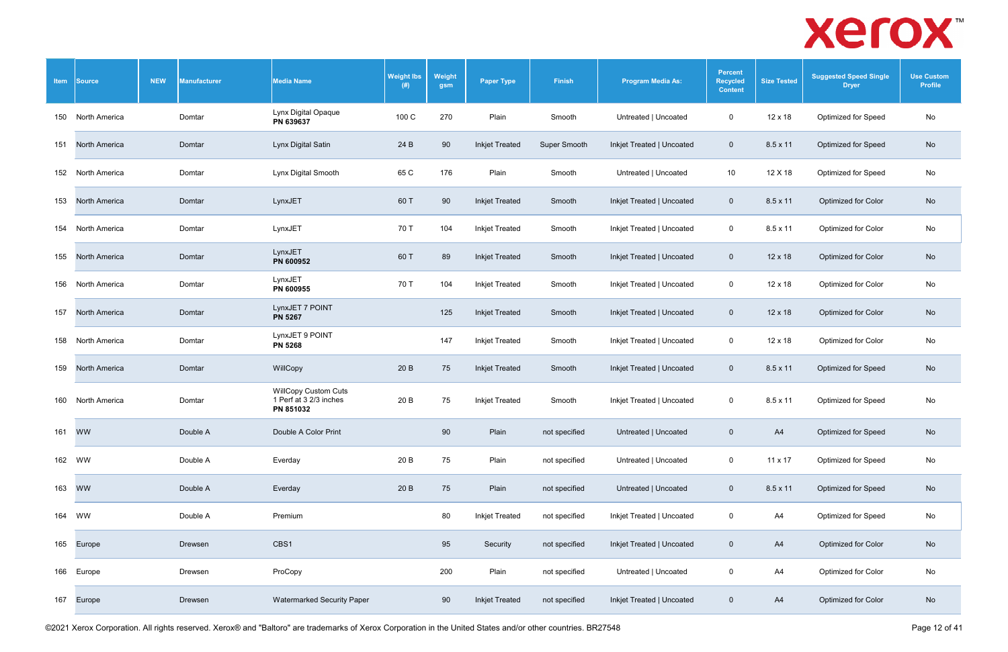| <b>Item</b> | <b>Source</b>        | <b>NEW</b> | <b>Manufacturer</b> | <b>Media Name</b>                                                  | <b>Weight lbs</b><br>(# ) | Weight<br>gsm | <b>Paper Type</b>     | Finish        | <b>Program Media As:</b>  | <b>Percent</b><br><b>Recycled</b><br><b>Content</b> | <b>Size Tested</b> | <b>Suggested Speed Single</b><br><b>Dryer</b> | <b>Use Custom</b><br>Profile |
|-------------|----------------------|------------|---------------------|--------------------------------------------------------------------|---------------------------|---------------|-----------------------|---------------|---------------------------|-----------------------------------------------------|--------------------|-----------------------------------------------|------------------------------|
| 150         | North America        |            | Domtar              | Lynx Digital Opaque<br>PN 639637                                   | 100 C                     | 270           | Plain                 | Smooth        | Untreated   Uncoated      | $\mathbf{0}$                                        | 12 x 18            | <b>Optimized for Speed</b>                    | No                           |
| 151         | North America        |            | Domtar              | Lynx Digital Satin                                                 | 24 B                      | 90            | <b>Inkjet Treated</b> | Super Smooth  | Inkjet Treated   Uncoated | $\overline{0}$                                      | 8.5 x 11           | <b>Optimized for Speed</b>                    | No                           |
| 152         | North America        |            | Domtar              | Lynx Digital Smooth                                                | 65 C                      | 176           | Plain                 | Smooth        | Untreated   Uncoated      | 10                                                  | 12 X 18            | <b>Optimized for Speed</b>                    | No                           |
| 153         | North America        |            | Domtar              | LynxJET                                                            | 60 T                      | 90            | <b>Inkjet Treated</b> | Smooth        | Inkjet Treated   Uncoated | $\overline{0}$                                      | 8.5 x 11           | <b>Optimized for Color</b>                    | No                           |
| 154         | North America        |            | Domtar              | LynxJET                                                            | 70 T                      | 104           | <b>Inkjet Treated</b> | Smooth        | Inkjet Treated   Uncoated | $\mathbf 0$                                         | 8.5 x 11           | Optimized for Color                           | No                           |
| 155         | <b>North America</b> |            | Domtar              | LynxJET<br>PN 600952                                               | 60 T                      | 89            | <b>Inkjet Treated</b> | Smooth        | Inkjet Treated   Uncoated | $\overline{0}$                                      | 12 x 18            | <b>Optimized for Color</b>                    | No                           |
| 156         | North America        |            | Domtar              | LynxJET<br>PN 600955                                               | 70 T                      | 104           | <b>Inkjet Treated</b> | Smooth        | Inkjet Treated   Uncoated | $\mathbf 0$                                         | 12 x 18            | Optimized for Color                           | No                           |
| 157         | <b>North America</b> |            | Domtar              | LynxJET 7 POINT<br><b>PN 5267</b>                                  |                           | 125           | <b>Inkjet Treated</b> | Smooth        | Inkjet Treated   Uncoated | $\overline{0}$                                      | 12 x 18            | Optimized for Color                           | No                           |
| 158         | North America        |            | Domtar              | LynxJET 9 POINT<br><b>PN 5268</b>                                  |                           | 147           | <b>Inkjet Treated</b> | Smooth        | Inkjet Treated   Uncoated | $\mathbf{0}$                                        | 12 x 18            | Optimized for Color                           | No                           |
| 159         | North America        |            | Domtar              | WillCopy                                                           | 20 B                      | 75            | <b>Inkjet Treated</b> | Smooth        | Inkjet Treated   Uncoated | $\overline{0}$                                      | 8.5 x 11           | <b>Optimized for Speed</b>                    | No                           |
| 160         | North America        |            | Domtar              | <b>WillCopy Custom Cuts</b><br>1 Perf at 3 2/3 inches<br>PN 851032 | 20 B                      | 75            | <b>Inkjet Treated</b> | Smooth        | Inkjet Treated   Uncoated | $\overline{0}$                                      | $8.5 \times 11$    | <b>Optimized for Speed</b>                    | No                           |
| 161         | <b>WW</b>            |            | Double A            | Double A Color Print                                               |                           | 90            | Plain                 | not specified | Untreated   Uncoated      | $\mathbf{0}$                                        | A4                 | Optimized for Speed                           | $\operatorname{\mathsf{No}}$ |
| 162 WW      |                      |            | Double A            | Everday                                                            | 20 B                      | 75            | Plain                 | not specified | Untreated   Uncoated      | $\mathbf 0$                                         | $11 \times 17$     | Optimized for Speed                           | No                           |
| 163         | <b>WW</b>            |            | Double A            | Everday                                                            | 20 B                      | 75            | Plain                 | not specified | Untreated   Uncoated      | $\overline{0}$                                      | 8.5 x 11           | Optimized for Speed                           | No                           |
| 164 WW      |                      |            | Double A            | Premium                                                            |                           | 80            | <b>Inkjet Treated</b> | not specified | Inkjet Treated   Uncoated | $\mathbf 0$                                         | A4                 | <b>Optimized for Speed</b>                    | No                           |
| 165         | Europe               |            | Drewsen             | CBS1                                                               |                           | $95\,$        | Security              | not specified | Inkjet Treated   Uncoated | $\overline{0}$                                      | A4                 | Optimized for Color                           | No                           |
| 166         | Europe               |            | Drewsen             | ProCopy                                                            |                           | 200           | Plain                 | not specified | Untreated   Uncoated      | $\mathbf 0$                                         | A4                 | Optimized for Color                           | No                           |
| 167         | Europe               |            | Drewsen             | <b>Watermarked Security Paper</b>                                  |                           | 90            | <b>Inkjet Treated</b> | not specified | Inkjet Treated   Uncoated | $\mathbf{0}$                                        | A4                 | Optimized for Color                           | No                           |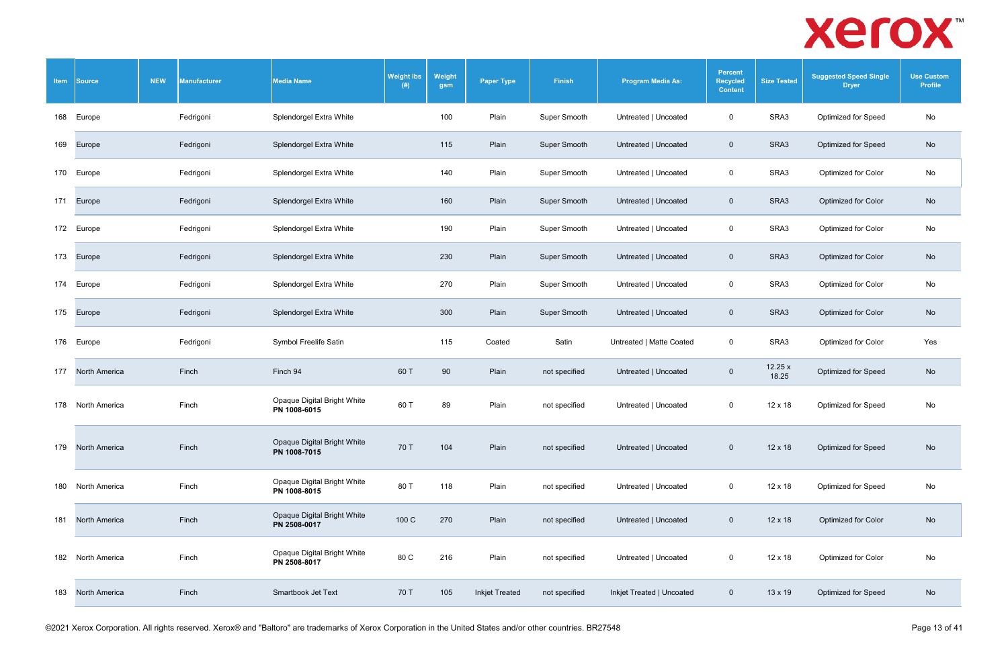| <b>Item</b> | Source            | <b>NEW</b> | <b>Manufacturer</b> | <b>Media Name</b>                           | <b>Weight lbs</b><br>(# ) | Weight<br>gsm | <b>Paper Type</b>     | Finish        | <b>Program Media As:</b>  | Percent<br><b>Recycled</b><br><b>Content</b> | <b>Size Tested</b> | <b>Suggested Speed Single</b><br><b>Dryer</b> | <b>Use Custom</b><br>Profile |
|-------------|-------------------|------------|---------------------|---------------------------------------------|---------------------------|---------------|-----------------------|---------------|---------------------------|----------------------------------------------|--------------------|-----------------------------------------------|------------------------------|
| 168         | Europe            |            | Fedrigoni           | Splendorgel Extra White                     |                           | 100           | Plain                 | Super Smooth  | Untreated   Uncoated      | $\mathbf 0$                                  | SRA3               | Optimized for Speed                           | No                           |
| 169         | Europe            |            | Fedrigoni           | Splendorgel Extra White                     |                           | 115           | Plain                 | Super Smooth  | Untreated   Uncoated      | $\mathbf 0$                                  | SRA3               | Optimized for Speed                           | No                           |
| 170         | Europe            |            | Fedrigoni           | Splendorgel Extra White                     |                           | 140           | Plain                 | Super Smooth  | Untreated   Uncoated      | $\mathsf{O}$                                 | SRA3               | Optimized for Color                           | No                           |
| 171         | Europe            |            | Fedrigoni           | Splendorgel Extra White                     |                           | 160           | Plain                 | Super Smooth  | Untreated   Uncoated      | $\mathbf{0}$                                 | SRA3               | Optimized for Color                           | No                           |
| 172         | Europe            |            | Fedrigoni           | Splendorgel Extra White                     |                           | 190           | Plain                 | Super Smooth  | Untreated   Uncoated      | $\mathbf 0$                                  | SRA3               | Optimized for Color                           | No                           |
| 173         | Europe            |            | Fedrigoni           | Splendorgel Extra White                     |                           | 230           | Plain                 | Super Smooth  | Untreated   Uncoated      | $\mathbf 0$                                  | SRA3               | Optimized for Color                           | No                           |
| 174         | Europe            |            | Fedrigoni           | Splendorgel Extra White                     |                           | 270           | Plain                 | Super Smooth  | Untreated   Uncoated      | $\mathbf 0$                                  | SRA3               | <b>Optimized for Color</b>                    | No                           |
| 175         | Europe            |            | Fedrigoni           | Splendorgel Extra White                     |                           | 300           | Plain                 | Super Smooth  | Untreated   Uncoated      | $\mathbf 0$                                  | SRA3               | Optimized for Color                           | No                           |
| 176         | Europe            |            | Fedrigoni           | Symbol Freelife Satin                       |                           | 115           | Coated                | Satin         | Untreated   Matte Coated  | $\mathbf 0$                                  | SRA3               | Optimized for Color                           | Yes                          |
| 177         | North America     |            | Finch               | Finch 94                                    | 60 T                      | 90            | Plain                 | not specified | Untreated   Uncoated      | $\mathbf 0$                                  | 12.25x<br>18.25    | Optimized for Speed                           | No                           |
| 178         | North America     |            | Finch               | Opaque Digital Bright White<br>PN 1008-6015 | 60 T                      | 89            | Plain                 | not specified | Untreated   Uncoated      | $\mathbf{0}$                                 | 12 x 18            | <b>Optimized for Speed</b>                    | No                           |
|             | 179 North America |            | Finch               | Opaque Digital Bright White<br>PN 1008-7015 | 70 T                      | 104           | Plain                 | not specified | Untreated   Uncoated      | $\overline{0}$                               | $12 \times 18$     | <b>Optimized for Speed</b>                    | No                           |
| 180         | North America     |            | Finch               | Opaque Digital Bright White<br>PN 1008-8015 | 80 T                      | 118           | Plain                 | not specified | Untreated   Uncoated      | $\overline{0}$                               | 12 x 18            | Optimized for Speed                           | No                           |
| 181         | North America     |            | Finch               | Opaque Digital Bright White<br>PN 2508-0017 | 100 C                     | 270           | Plain                 | not specified | Untreated   Uncoated      | $\mathbf{0}$                                 | 12 x 18            | Optimized for Color                           | No                           |
| 182         | North America     |            | Finch               | Opaque Digital Bright White<br>PN 2508-8017 | 80 C                      | 216           | Plain                 | not specified | Untreated   Uncoated      | $\mathbf 0$                                  | 12 x 18            | Optimized for Color                           | No                           |
| 183         | North America     |            | Finch               | Smartbook Jet Text                          | 70 T                      | 105           | <b>Inkjet Treated</b> | not specified | Inkjet Treated   Uncoated | $\mathbf 0$                                  | 13 x 19            | Optimized for Speed                           | No                           |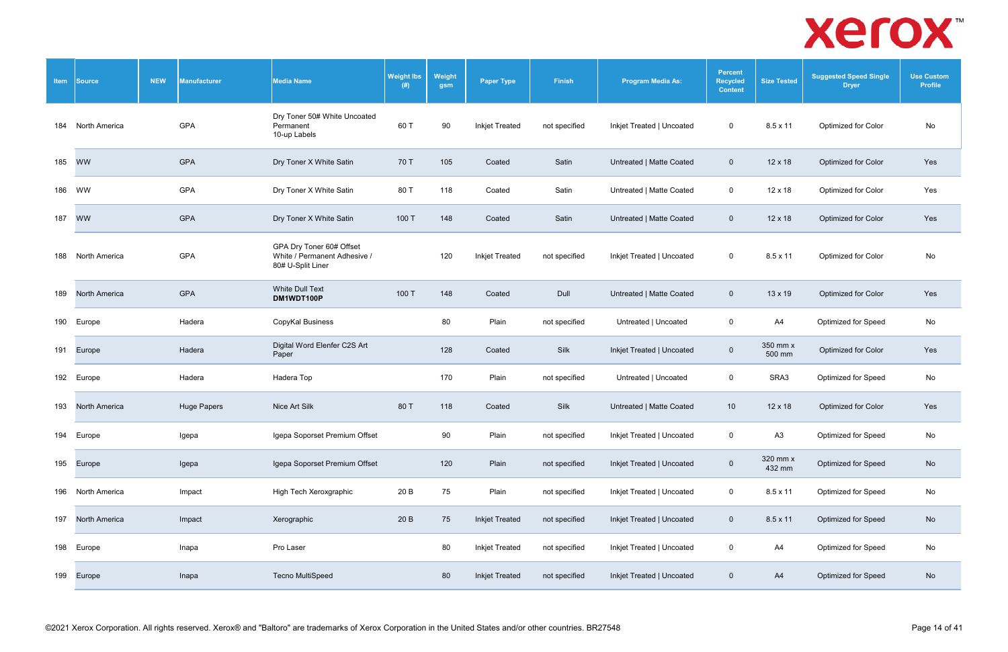| <b>Item</b> | Source               | <b>NEW</b> | Manufacturer | <b>Media Name</b>                                                             | <b>Weight lbs</b><br>(# ) | Weight<br>gsm | <b>Paper Type</b>     | Finish        | <b>Program Media As:</b>  | <b>Percent</b><br><b>Recycled</b><br><b>Content</b> | <b>Size Tested</b> | <b>Suggested Speed Single</b><br><b>Dryer</b> | <b>Use Custom</b><br><b>Profile</b> |
|-------------|----------------------|------------|--------------|-------------------------------------------------------------------------------|---------------------------|---------------|-----------------------|---------------|---------------------------|-----------------------------------------------------|--------------------|-----------------------------------------------|-------------------------------------|
| 184         | North America        |            | <b>GPA</b>   | Dry Toner 50# White Uncoated<br>Permanent<br>10-up Labels                     | 60 T                      | 90            | <b>Inkjet Treated</b> | not specified | Inkjet Treated   Uncoated | $\mathbf 0$                                         | 8.5 x 11           | Optimized for Color                           | No                                  |
| 185         | <b>WW</b>            |            | <b>GPA</b>   | Dry Toner X White Satin                                                       | 70 T                      | 105           | Coated                | Satin         | Untreated   Matte Coated  | $\mathbf{0}$                                        | 12 x 18            | Optimized for Color                           | Yes                                 |
| 186         | WW                   |            | <b>GPA</b>   | Dry Toner X White Satin                                                       | 80 T                      | 118           | Coated                | Satin         | Untreated   Matte Coated  | $\mathbf 0$                                         | 12 x 18            | Optimized for Color                           | Yes                                 |
| 187         | <b>WW</b>            |            | <b>GPA</b>   | Dry Toner X White Satin                                                       | 100 T                     | 148           | Coated                | Satin         | Untreated   Matte Coated  | $\mathbf{0}$                                        | 12 x 18            | Optimized for Color                           | Yes                                 |
| 188         | North America        |            | <b>GPA</b>   | GPA Dry Toner 60# Offset<br>White / Permanent Adhesive /<br>80# U-Split Liner |                           | 120           | <b>Inkjet Treated</b> | not specified | Inkjet Treated   Uncoated | $\mathbf{0}$                                        | $8.5 \times 11$    | Optimized for Color                           | No                                  |
| 189         | <b>North America</b> |            | <b>GPA</b>   | White Dull Text<br>DM1WDT100P                                                 | 100 T                     | 148           | Coated                | Dull          | Untreated   Matte Coated  | $\mathbf{0}$                                        | 13 x 19            | <b>Optimized for Color</b>                    | Yes                                 |
| 190         | Europe               |            | Hadera       | CopyKal Business                                                              |                           | 80            | Plain                 | not specified | Untreated   Uncoated      | 0                                                   | A4                 | <b>Optimized for Speed</b>                    | No                                  |
| 191         | Europe               |            | Hadera       | Digital Word Elenfer C2S Art<br>Paper                                         |                           | 128           | Coated                | Silk          | Inkjet Treated   Uncoated | $\mathbf{0}$                                        | 350 mm x<br>500 mm | Optimized for Color                           | Yes                                 |
| 192         | Europe               |            | Hadera       | Hadera Top                                                                    |                           | 170           | Plain                 | not specified | Untreated   Uncoated      | $\mathbf 0$                                         | SRA3               | <b>Optimized for Speed</b>                    | No                                  |
| 193         | <b>North America</b> |            | Huge Papers  | Nice Art Silk                                                                 | 80 T                      | 118           | Coated                | Silk          | Untreated   Matte Coated  | 10 <sup>°</sup>                                     | 12 x 18            | Optimized for Color                           | Yes                                 |
| 194         | Europe               |            | Igepa        | Igepa Soporset Premium Offset                                                 |                           | 90            | Plain                 | not specified | Inkjet Treated   Uncoated | $\mathbf 0$                                         | A3                 | Optimized for Speed                           | ${\sf No}$                          |
| 195         | Europe               |            | Igepa        | Igepa Soporset Premium Offset                                                 |                           | 120           | Plain                 | not specified | Inkjet Treated   Uncoated | 0                                                   | 320 mm x<br>432 mm | Optimized for Speed                           | No                                  |
| 196         | North America        |            | Impact       | High Tech Xeroxgraphic                                                        | 20 B                      | 75            | Plain                 | not specified | Inkjet Treated   Uncoated | $\mathbf 0$                                         | 8.5 x 11           | <b>Optimized for Speed</b>                    | No                                  |
| 197         | <b>North America</b> |            | Impact       | Xerographic                                                                   | 20 B                      | 75            | <b>Inkjet Treated</b> | not specified | Inkjet Treated   Uncoated | $\mathbf{0}$                                        | 8.5 x 11           | Optimized for Speed                           | No                                  |
| 198         | Europe               |            | Inapa        | Pro Laser                                                                     |                           | 80            | <b>Inkjet Treated</b> | not specified | Inkjet Treated   Uncoated | $\mathbf 0$                                         | A4                 | Optimized for Speed                           | No                                  |
| 199         | Europe               |            | Inapa        | Tecno MultiSpeed                                                              |                           | 80            | Inkjet Treated        | not specified | Inkjet Treated   Uncoated | $\mathbf{0}$                                        | A4                 | <b>Optimized for Speed</b>                    | $\mathsf{No}$                       |

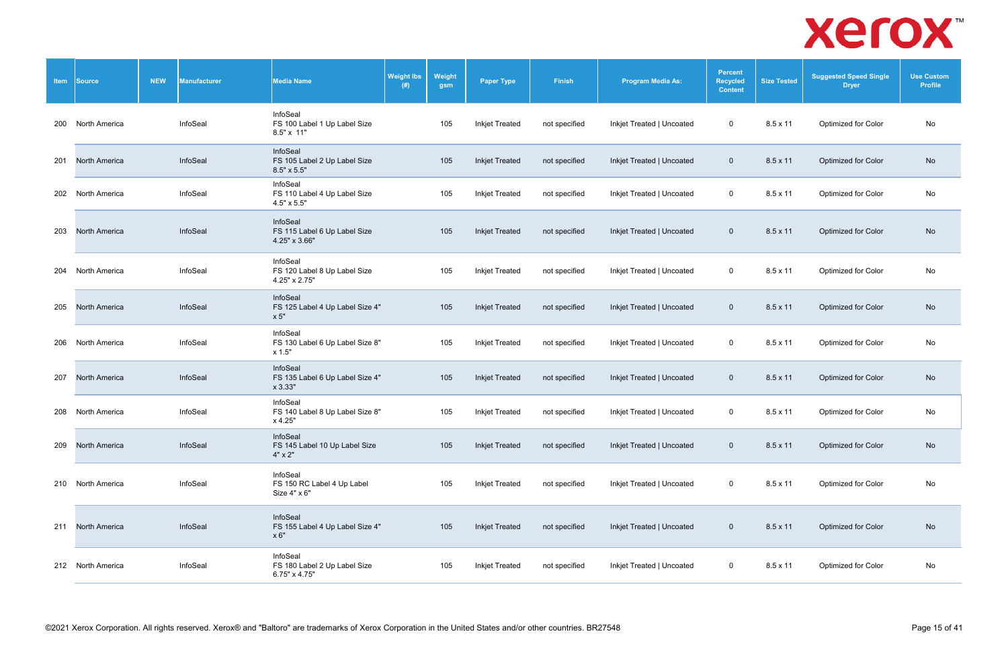| <b>Item</b> | <b>Source</b>        | <b>NEW</b> | Manufacturer | <b>Media Name</b>                                              | <b>Weight lbs</b><br>(#) | Weight<br>gsm | <b>Paper Type</b>     | Finish        | <b>Program Media As:</b>  | <b>Percent</b><br><b>Recycled</b><br><b>Content</b> | <b>Size Tested</b> | <b>Suggested Speed Single</b><br><b>Dryer</b> | <b>Use Custom</b><br>Profile |
|-------------|----------------------|------------|--------------|----------------------------------------------------------------|--------------------------|---------------|-----------------------|---------------|---------------------------|-----------------------------------------------------|--------------------|-----------------------------------------------|------------------------------|
| 200         | North America        |            | InfoSeal     | InfoSeal<br>FS 100 Label 1 Up Label Size<br>8.5" x 11"         |                          | 105           | <b>Inkjet Treated</b> | not specified | Inkjet Treated   Uncoated | $\mathbf{0}$                                        | 8.5 x 11           | Optimized for Color                           | No                           |
| 201         | <b>North America</b> |            | InfoSeal     | InfoSeal<br>FS 105 Label 2 Up Label Size<br>$8.5" \times 5.5"$ |                          | 105           | <b>Inkjet Treated</b> | not specified | Inkjet Treated   Uncoated | $\overline{0}$                                      | $8.5 \times 11$    | <b>Optimized for Color</b>                    | No                           |
|             | 202 North America    |            | InfoSeal     | InfoSeal<br>FS 110 Label 4 Up Label Size<br>$4.5" \times 5.5"$ |                          | 105           | <b>Inkjet Treated</b> | not specified | Inkjet Treated   Uncoated | $\overline{0}$                                      | 8.5 x 11           | Optimized for Color                           | No                           |
| 203         | <b>North America</b> |            | InfoSeal     | InfoSeal<br>FS 115 Label 6 Up Label Size<br>4.25" x 3.66"      |                          | 105           | <b>Inkjet Treated</b> | not specified | Inkjet Treated   Uncoated | $\overline{0}$                                      | $8.5 \times 11$    | Optimized for Color                           | No                           |
| 204         | North America        |            | InfoSeal     | InfoSeal<br>FS 120 Label 8 Up Label Size<br>4.25" x 2.75"      |                          | 105           | <b>Inkjet Treated</b> | not specified | Inkjet Treated   Uncoated | $\mathbf{0}$                                        | $8.5 \times 11$    | Optimized for Color                           | No                           |
| 205         | <b>North America</b> |            | InfoSeal     | InfoSeal<br>FS 125 Label 4 Up Label Size 4"<br>x 5"            |                          | 105           | <b>Inkjet Treated</b> | not specified | Inkjet Treated   Uncoated | $\overline{0}$                                      | 8.5 x 11           | Optimized for Color                           | No                           |
| 206         | North America        |            | InfoSeal     | InfoSeal<br>FS 130 Label 6 Up Label Size 8"<br>x 1.5"          |                          | 105           | <b>Inkjet Treated</b> | not specified | Inkjet Treated   Uncoated | $\overline{0}$                                      | 8.5 x 11           | Optimized for Color                           | No                           |
| 207         | <b>North America</b> |            | InfoSeal     | InfoSeal<br>FS 135 Label 6 Up Label Size 4"<br>x 3.33"         |                          | 105           | <b>Inkjet Treated</b> | not specified | Inkjet Treated   Uncoated | $\overline{0}$                                      | 8.5 x 11           | Optimized for Color                           | No                           |
| 208         | <b>North America</b> |            | InfoSeal     | InfoSeal<br>FS 140 Label 8 Up Label Size 8"<br>x 4.25"         |                          | 105           | <b>Inkjet Treated</b> | not specified | Inkjet Treated   Uncoated | $\overline{0}$                                      | $8.5 \times 11$    | <b>Optimized for Color</b>                    | No                           |
| 209         | North America        |            | InfoSeal     | InfoSeal<br>FS 145 Label 10 Up Label Size<br>$4" \times 2"$    |                          | 105           | <b>Inkjet Treated</b> | not specified | Inkjet Treated   Uncoated | $\overline{0}$                                      | 8.5 x 11           | Optimized for Color                           | No                           |
| 210         | North America        |            | InfoSeal     | InfoSeal<br>FS 150 RC Label 4 Up Label<br>Size 4" x 6"         |                          | 105           | <b>Inkjet Treated</b> | not specified | Inkjet Treated   Uncoated | $\mathbf 0$                                         | 8.5 x 11           | Optimized for Color                           | No                           |
|             | 211 North America    |            | InfoSeal     | InfoSeal<br>FS 155 Label 4 Up Label Size 4"<br>x 6"            |                          | 105           | <b>Inkjet Treated</b> | not specified | Inkjet Treated   Uncoated | $\overline{0}$                                      | 8.5 x 11           | Optimized for Color                           | No                           |
|             | 212 North America    |            | InfoSeal     | InfoSeal<br>FS 180 Label 2 Up Label Size<br>6.75" x 4.75"      |                          | 105           | <b>Inkjet Treated</b> | not specified | Inkjet Treated   Uncoated | $\overline{0}$                                      | 8.5 x 11           | Optimized for Color                           | No                           |

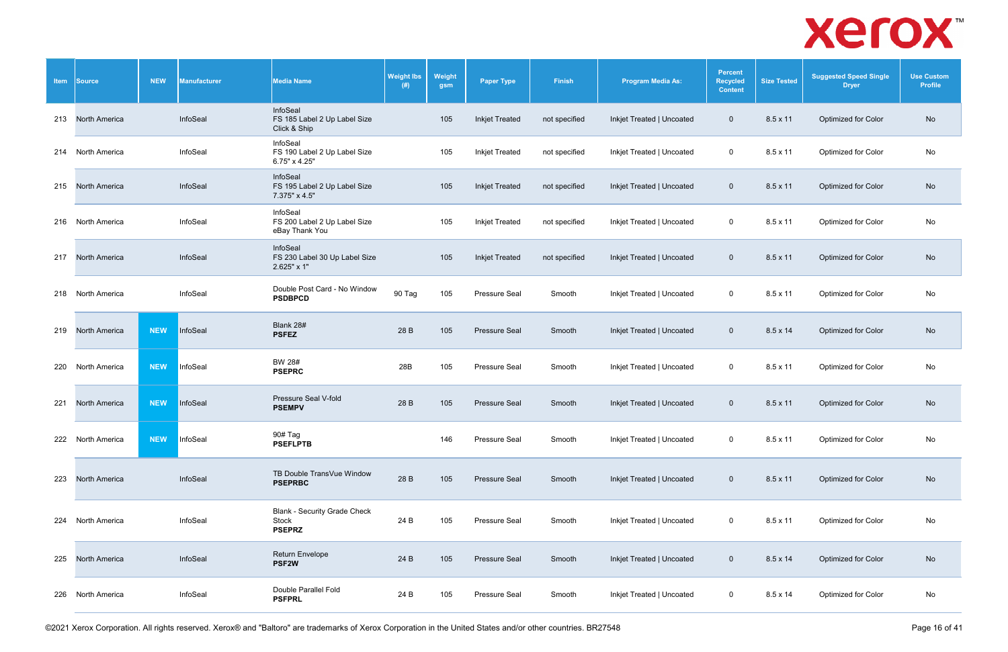| <b>Item</b> | <b>Source</b>        | <b>NEW</b> | <b>Manufacturer</b> | <b>Media Name</b>                                             | <b>Weight lbs</b><br>(# ) | Weight<br>gsm | <b>Paper Type</b>     | Finish        | <b>Program Media As:</b>  | <b>Percent</b><br><b>Recycled</b><br><b>Content</b> | <b>Size Tested</b> | <b>Suggested Speed Single</b><br><b>Dryer</b> | <b>Use Custom</b><br>Profile |
|-------------|----------------------|------------|---------------------|---------------------------------------------------------------|---------------------------|---------------|-----------------------|---------------|---------------------------|-----------------------------------------------------|--------------------|-----------------------------------------------|------------------------------|
|             | 213 North America    |            | InfoSeal            | InfoSeal<br>FS 185 Label 2 Up Label Size<br>Click & Ship      |                           | 105           | <b>Inkjet Treated</b> | not specified | Inkjet Treated   Uncoated | $\mathbf{0}$                                        | 8.5 x 11           | <b>Optimized for Color</b>                    | No                           |
| 214         | North America        |            | InfoSeal            | InfoSeal<br>FS 190 Label 2 Up Label Size<br>6.75" x 4.25"     |                           | 105           | <b>Inkjet Treated</b> | not specified | Inkjet Treated   Uncoated | $\mathbf 0$                                         | $8.5 \times 11$    | Optimized for Color                           | No                           |
|             | 215 North America    |            | InfoSeal            | InfoSeal<br>FS 195 Label 2 Up Label Size<br>7.375" x 4.5"     |                           | 105           | <b>Inkjet Treated</b> | not specified | Inkjet Treated   Uncoated | $\overline{0}$                                      | $8.5 \times 11$    | <b>Optimized for Color</b>                    | No                           |
|             | 216 North America    |            | InfoSeal            | InfoSeal<br>FS 200 Label 2 Up Label Size<br>eBay Thank You    |                           | 105           | <b>Inkjet Treated</b> | not specified | Inkjet Treated   Uncoated | $\mathbf 0$                                         | $8.5 \times 11$    | Optimized for Color                           | No                           |
| 217         | <b>North America</b> |            | InfoSeal            | InfoSeal<br>FS 230 Label 30 Up Label Size<br>2.625" x 1"      |                           | 105           | <b>Inkjet Treated</b> | not specified | Inkjet Treated   Uncoated | $\overline{0}$                                      | $8.5 \times 11$    | Optimized for Color                           | No                           |
|             | 218 North America    |            | InfoSeal            | Double Post Card - No Window<br><b>PSDBPCD</b>                | 90 Tag                    | 105           | <b>Pressure Seal</b>  | Smooth        | Inkjet Treated   Uncoated | $\overline{0}$                                      | 8.5 x 11           | <b>Optimized for Color</b>                    | No                           |
|             | 219 North America    | <b>NEW</b> | InfoSeal            | Blank 28#<br><b>PSFEZ</b>                                     | 28 B                      | 105           | <b>Pressure Seal</b>  | Smooth        | Inkjet Treated   Uncoated | $\overline{0}$                                      | $8.5 \times 14$    | <b>Optimized for Color</b>                    | No                           |
| 220         | North America        | <b>NEW</b> | InfoSeal            | BW 28#<br><b>PSEPRC</b>                                       | 28B                       | 105           | <b>Pressure Seal</b>  | Smooth        | Inkjet Treated   Uncoated | $\overline{0}$                                      | $8.5 \times 11$    | Optimized for Color                           | No                           |
| 221         | <b>North America</b> | <b>NEW</b> | InfoSeal            | Pressure Seal V-fold<br><b>PSEMPV</b>                         | 28 B                      | 105           | Pressure Seal         | Smooth        | Inkjet Treated   Uncoated | $\overline{0}$                                      | $8.5 \times 11$    | <b>Optimized for Color</b>                    | No                           |
| 222         | North America        | <b>NEW</b> | InfoSeal            | 90# Tag<br><b>PSEFLPTB</b>                                    |                           | 146           | Pressure Seal         | Smooth        | Inkjet Treated   Uncoated | $\overline{0}$                                      | 8.5 x 11           | Optimized for Color                           | No                           |
| 223         | North America        |            | InfoSeal            | TB Double TransVue Window<br><b>PSEPRBC</b>                   | 28 B                      | 105           | Pressure Seal         | Smooth        | Inkjet Treated   Uncoated | $\overline{0}$                                      | 8.5 x 11           | Optimized for Color                           | No                           |
| 224         | North America        |            | InfoSeal            | <b>Blank - Security Grade Check</b><br>Stock<br><b>PSEPRZ</b> | 24 B                      | 105           | Pressure Seal         | Smooth        | Inkjet Treated   Uncoated | $\overline{0}$                                      | 8.5 x 11           | Optimized for Color                           | No                           |
| 225         | <b>North America</b> |            | InfoSeal            | Return Envelope<br>PSF2W                                      | 24 B                      | 105           | Pressure Seal         | Smooth        | Inkjet Treated   Uncoated | $\overline{0}$                                      | 8.5 x 14           | Optimized for Color                           | No                           |
| 226         | North America        |            | InfoSeal            | Double Parallel Fold<br><b>PSFPRL</b>                         | 24 B                      | 105           | Pressure Seal         | Smooth        | Inkjet Treated   Uncoated | $\overline{0}$                                      | 8.5 x 14           | Optimized for Color                           | No                           |

©2021 Xerox Corporation. All rights reserved. Xerox® and "Baltoro" are trademarks of Xerox Corporation in the United States and/or other countries. BR27548 Page 16 of 41

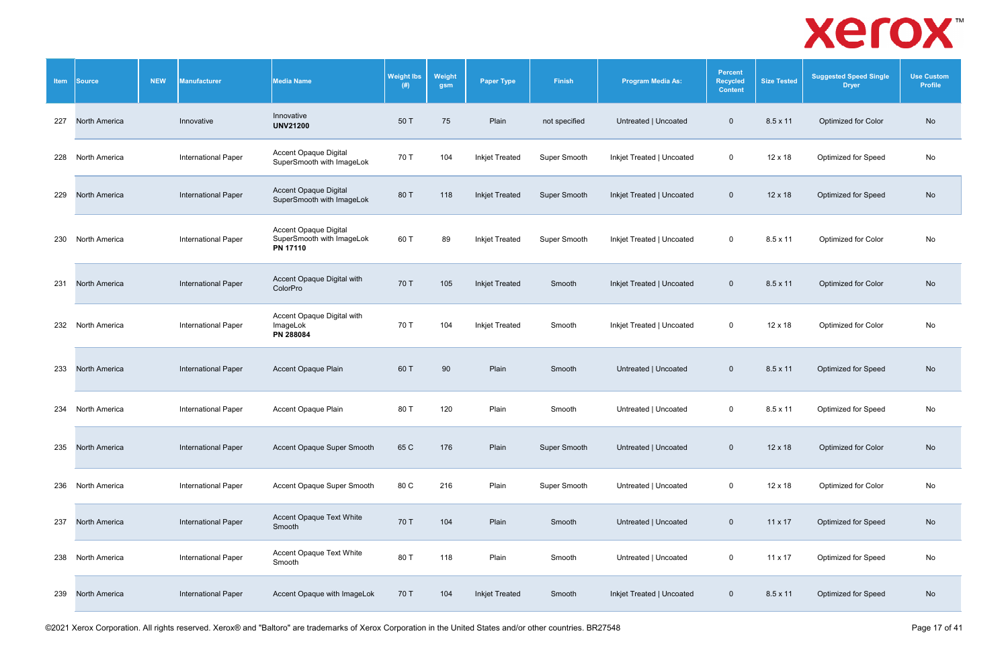|     | <b>Item Source</b>   | <b>NEW</b> | <b>Manufacturer</b>        | <b>Media Name</b>                                                            | <b>Weight lbs</b><br>(# ) | Weight<br>gsm | <b>Paper Type</b>     | Finish        | <b>Program Media As:</b>  | <b>Percent</b><br><b>Recycled</b><br><b>Content</b> | <b>Size Tested</b> | <b>Suggested Speed Single</b><br><b>Dryer</b> | <b>Use Custom</b><br>Profile |
|-----|----------------------|------------|----------------------------|------------------------------------------------------------------------------|---------------------------|---------------|-----------------------|---------------|---------------------------|-----------------------------------------------------|--------------------|-----------------------------------------------|------------------------------|
| 227 | <b>North America</b> |            | Innovative                 | Innovative<br><b>UNV21200</b>                                                | 50 T                      | 75            | Plain                 | not specified | Untreated   Uncoated      | $\overline{0}$                                      | $8.5 \times 11$    | Optimized for Color                           | No                           |
| 228 | North America        |            | International Paper        | <b>Accent Opaque Digital</b><br>SuperSmooth with ImageLok                    | 70 T                      | 104           | <b>Inkjet Treated</b> | Super Smooth  | Inkjet Treated   Uncoated | $\overline{0}$                                      | 12 x 18            | Optimized for Speed                           | No                           |
| 229 | <b>North America</b> |            | International Paper        | <b>Accent Opaque Digital</b><br>SuperSmooth with ImageLok                    | 80 T                      | 118           | <b>Inkjet Treated</b> | Super Smooth  | Inkjet Treated   Uncoated | $\overline{0}$                                      | $12 \times 18$     | <b>Optimized for Speed</b>                    | No                           |
| 230 | North America        |            | <b>International Paper</b> | <b>Accent Opaque Digital</b><br>SuperSmooth with ImageLok<br><b>PN 17110</b> | 60 T                      | 89            | <b>Inkjet Treated</b> | Super Smooth  | Inkjet Treated   Uncoated | $\mathbf{0}$                                        | $8.5 \times 11$    | <b>Optimized for Color</b>                    | No                           |
| 231 | North America        |            | <b>International Paper</b> | Accent Opaque Digital with<br>ColorPro                                       | 70 T                      | 105           | <b>Inkjet Treated</b> | Smooth        | Inkjet Treated   Uncoated | $\overline{0}$                                      | $8.5 \times 11$    | <b>Optimized for Color</b>                    | No                           |
| 232 | North America        |            | International Paper        | Accent Opaque Digital with<br>ImageLok<br>PN 288084                          | 70 T                      | 104           | <b>Inkjet Treated</b> | Smooth        | Inkjet Treated   Uncoated | $\mathbf{0}$                                        | $12 \times 18$     | Optimized for Color                           | No                           |
| 233 | <b>North America</b> |            | <b>International Paper</b> | Accent Opaque Plain                                                          | 60 T                      | 90            | Plain                 | Smooth        | Untreated   Uncoated      | $\overline{0}$                                      | $8.5 \times 11$    | <b>Optimized for Speed</b>                    | No                           |
| 234 | North America        |            | <b>International Paper</b> | Accent Opaque Plain                                                          | 80 T                      | 120           | Plain                 | Smooth        | Untreated   Uncoated      | $\mathbf{0}$                                        | $8.5 \times 11$    | <b>Optimized for Speed</b>                    | No                           |
| 235 | <b>North America</b> |            | <b>International Paper</b> | Accent Opaque Super Smooth                                                   | 65 C                      | 176           | Plain                 | Super Smooth  | Untreated   Uncoated      | $\overline{0}$                                      | 12 x 18            | Optimized for Color                           | No                           |
|     | 236 North America    |            | International Paper        | Accent Opaque Super Smooth                                                   | 80 C                      | 216           | Plain                 | Super Smooth  | Untreated   Uncoated      | $\mathbf{0}$                                        | 12 x 18            | Optimized for Color                           | No                           |
| 237 | North America        |            | International Paper        | Accent Opaque Text White<br>Smooth                                           | 70 T                      | 104           | Plain                 | Smooth        | Untreated   Uncoated      | $\overline{0}$                                      | $11 \times 17$     | Optimized for Speed                           | No                           |
| 238 | North America        |            | International Paper        | Accent Opaque Text White<br>Smooth                                           | 80 T                      | 118           | Plain                 | Smooth        | Untreated   Uncoated      | $\mathbf 0$                                         | $11 \times 17$     | <b>Optimized for Speed</b>                    | No                           |
| 239 | North America        |            | International Paper        | Accent Opaque with ImageLok                                                  | 70 T                      | 104           | <b>Inkjet Treated</b> | Smooth        | Inkjet Treated   Uncoated | $\overline{0}$                                      | 8.5 x 11           | <b>Optimized for Speed</b>                    | No                           |

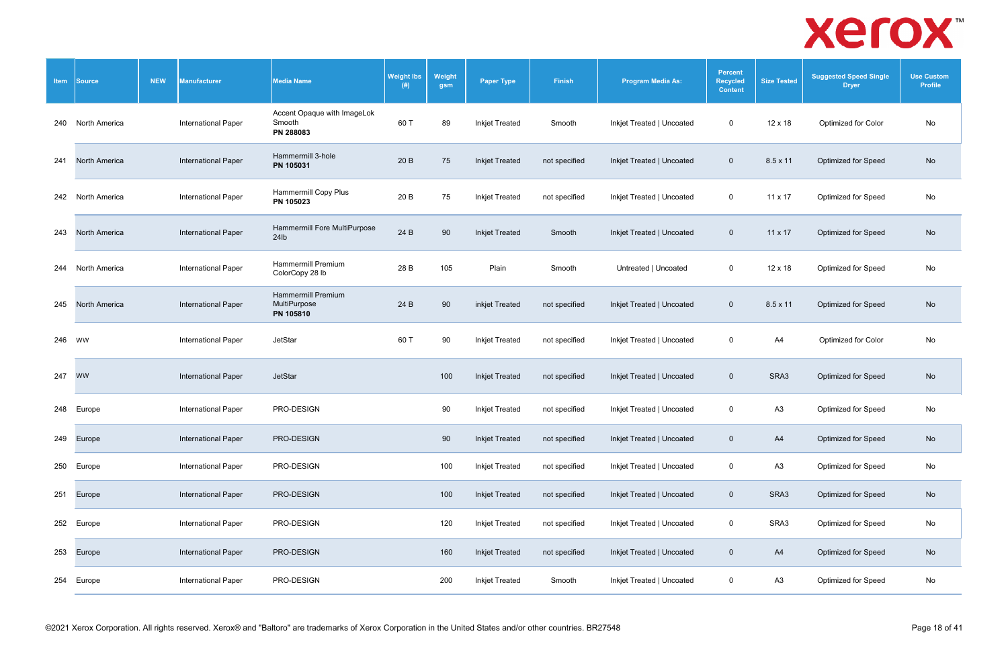| <b>Item</b> | <b>Source</b>        | <b>NEW</b> | <b>Manufacturer</b>        | <b>Media Name</b>                                      | <b>Weight lbs</b><br>(#) | Weight<br>gsm | <b>Paper Type</b>     | Finish        | <b>Program Media As:</b>  | <b>Percent</b><br><b>Recycled</b><br><b>Content</b> | <b>Size Tested</b> | <b>Suggested Speed Single</b><br><b>Dryer</b> | <b>Use Custom</b><br>Profile |
|-------------|----------------------|------------|----------------------------|--------------------------------------------------------|--------------------------|---------------|-----------------------|---------------|---------------------------|-----------------------------------------------------|--------------------|-----------------------------------------------|------------------------------|
|             | 240 North America    |            | <b>International Paper</b> | Accent Opaque with ImageLok<br>Smooth<br>PN 288083     | 60 T                     | 89            | <b>Inkjet Treated</b> | Smooth        | Inkjet Treated   Uncoated | $\mathbf 0$                                         | 12 x 18            | Optimized for Color                           | No                           |
| 241         | <b>North America</b> |            | <b>International Paper</b> | Hammermill 3-hole<br>PN 105031                         | 20 B                     | 75            | <b>Inkjet Treated</b> | not specified | Inkjet Treated   Uncoated | $\overline{0}$                                      | 8.5 x 11           | <b>Optimized for Speed</b>                    | No                           |
|             | 242 North America    |            | <b>International Paper</b> | <b>Hammermill Copy Plus</b><br>PN 105023               | 20 B                     | 75            | <b>Inkjet Treated</b> | not specified | Inkjet Treated   Uncoated | $\overline{0}$                                      | 11 x 17            | Optimized for Speed                           | No                           |
| 243         | North America        |            | <b>International Paper</b> | Hammermill Fore MultiPurpose<br>24 <sub>lb</sub>       | 24 B                     | 90            | <b>Inkjet Treated</b> | Smooth        | Inkjet Treated   Uncoated | $\overline{0}$                                      | $11 \times 17$     | <b>Optimized for Speed</b>                    | No                           |
| 244         | North America        |            | <b>International Paper</b> | Hammermill Premium<br>ColorCopy 28 lb                  | 28 B                     | 105           | Plain                 | Smooth        | Untreated   Uncoated      | $\mathbf 0$                                         | 12 x 18            | <b>Optimized for Speed</b>                    | No                           |
| 245         | North America        |            | <b>International Paper</b> | <b>Hammermill Premium</b><br>MultiPurpose<br>PN 105810 | 24 B                     | 90            | inkjet Treated        | not specified | Inkjet Treated   Uncoated | $\overline{0}$                                      | 8.5 x 11           | <b>Optimized for Speed</b>                    | No                           |
| 246 WW      |                      |            | <b>International Paper</b> | JetStar                                                | 60 T                     | 90            | <b>Inkjet Treated</b> | not specified | Inkjet Treated   Uncoated | $\mathbf 0$                                         | A4                 | Optimized for Color                           | No                           |
| 247         | <b>WW</b>            |            | <b>International Paper</b> | <b>JetStar</b>                                         |                          | 100           | <b>Inkjet Treated</b> | not specified | Inkjet Treated   Uncoated | $\overline{0}$                                      | SRA3               | Optimized for Speed                           | No                           |
| 248         | Europe               |            | <b>International Paper</b> | PRO-DESIGN                                             |                          | 90            | <b>Inkjet Treated</b> | not specified | Inkjet Treated   Uncoated | $\mathbf{0}$                                        | A3                 | Optimized for Speed                           | No                           |
|             | 249 Europe           |            | <b>International Paper</b> | PRO-DESIGN                                             |                          | 90            | Inkjet Treated        | not specified | Inkjet Treated   Uncoated | $\overline{0}$                                      | A4                 | <b>Optimized for Speed</b>                    | No                           |
| 250         | Europe               |            | International Paper        | PRO-DESIGN                                             |                          | 100           | <b>Inkjet Treated</b> | not specified | Inkjet Treated   Uncoated | $\mathbf 0$                                         | A3                 | <b>Optimized for Speed</b>                    | No                           |
| 251         | Europe               |            | <b>International Paper</b> | PRO-DESIGN                                             |                          | 100           | Inkjet Treated        | not specified | Inkjet Treated   Uncoated | $\overline{0}$                                      | SRA3               | <b>Optimized for Speed</b>                    | No                           |
| 252         | Europe               |            | <b>International Paper</b> | PRO-DESIGN                                             |                          | 120           | Inkjet Treated        | not specified | Inkjet Treated   Uncoated | $\mathbf 0$                                         | SRA3               | <b>Optimized for Speed</b>                    | No                           |
| 253         | Europe               |            | <b>International Paper</b> | PRO-DESIGN                                             |                          | 160           | Inkjet Treated        | not specified | Inkjet Treated   Uncoated | $\overline{0}$                                      | A4                 | Optimized for Speed                           | No                           |
| 254         | Europe               |            | <b>International Paper</b> | PRO-DESIGN                                             |                          | 200           | <b>Inkjet Treated</b> | Smooth        | Inkjet Treated   Uncoated | $\mathbf 0$                                         | A3                 | <b>Optimized for Speed</b>                    | No                           |

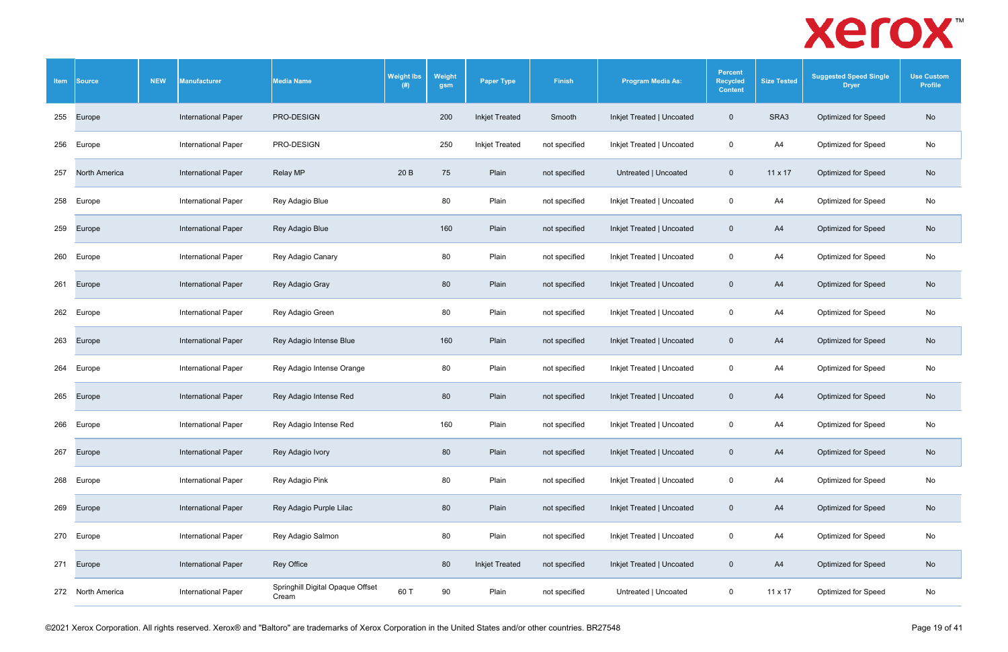| <b>Item</b> | Source            | <b>NEW</b> | Manufacturer               | <b>Media Name</b>                         | <b>Weight lbs</b><br>(#) | Weight<br>gsm | <b>Paper Type</b>     | Finish        | <b>Program Media As:</b>  | Percent<br><b>Recycled</b><br><b>Content</b> | <b>Size Tested</b> | <b>Suggested Speed Single</b><br><b>Dryer</b> | <b>Use Custom</b><br>Profile |
|-------------|-------------------|------------|----------------------------|-------------------------------------------|--------------------------|---------------|-----------------------|---------------|---------------------------|----------------------------------------------|--------------------|-----------------------------------------------|------------------------------|
| 255         | Europe            |            | International Paper        | PRO-DESIGN                                |                          | 200           | Inkjet Treated        | Smooth        | Inkjet Treated   Uncoated | $\mathbf{0}$                                 | SRA3               | <b>Optimized for Speed</b>                    | No                           |
| 256         | Europe            |            | International Paper        | PRO-DESIGN                                |                          | 250           | Inkjet Treated        | not specified | Inkjet Treated   Uncoated | $\mathbf 0$                                  | A4                 | Optimized for Speed                           | No                           |
| 257         | North America     |            | International Paper        | <b>Relay MP</b>                           | 20 B                     | 75            | Plain                 | not specified | Untreated   Uncoated      | $\overline{0}$                               | 11 x 17            | <b>Optimized for Speed</b>                    | No                           |
| 258         | Europe            |            | International Paper        | Rey Adagio Blue                           |                          | 80            | Plain                 | not specified | Inkjet Treated   Uncoated | 0                                            | A4                 | <b>Optimized for Speed</b>                    | No                           |
| 259         | Europe            |            | <b>International Paper</b> | Rey Adagio Blue                           |                          | 160           | Plain                 | not specified | Inkjet Treated   Uncoated | $\mathbf{0}$                                 | A4                 | Optimized for Speed                           | No                           |
| 260         | Europe            |            | International Paper        | Rey Adagio Canary                         |                          | 80            | Plain                 | not specified | Inkjet Treated   Uncoated | $\mathbf 0$                                  | A4                 | <b>Optimized for Speed</b>                    | No                           |
| 261         | Europe            |            | International Paper        | Rey Adagio Gray                           |                          | 80            | Plain                 | not specified | Inkjet Treated   Uncoated | $\overline{0}$                               | A4                 | Optimized for Speed                           | No                           |
| 262         | Europe            |            | <b>International Paper</b> | Rey Adagio Green                          |                          | 80            | Plain                 | not specified | Inkjet Treated   Uncoated | $\mathbf 0$                                  | A4                 | <b>Optimized for Speed</b>                    | No                           |
| 263         | Europe            |            | International Paper        | Rey Adagio Intense Blue                   |                          | 160           | Plain                 | not specified | Inkjet Treated   Uncoated | $\mathbf{0}$                                 | A4                 | Optimized for Speed                           | No                           |
| 264         | Europe            |            | <b>International Paper</b> | Rey Adagio Intense Orange                 |                          | 80            | Plain                 | not specified | Inkjet Treated   Uncoated | $\mathbf 0$                                  | A4                 | <b>Optimized for Speed</b>                    | No                           |
| 265         | Europe            |            | International Paper        | Rey Adagio Intense Red                    |                          | 80            | Plain                 | not specified | Inkjet Treated   Uncoated | $\mathbf{0}$                                 | A4                 | Optimized for Speed                           | No                           |
|             | 266 Europe        |            | International Paper        | Rey Adagio Intense Red                    |                          | 160           | Plain                 | not specified | Inkjet Treated   Uncoated | $\overline{0}$                               | A4                 | Optimized for Speed                           | No                           |
| 267         | Europe            |            | International Paper        | Rey Adagio Ivory                          |                          | 80            | Plain                 | not specified | Inkjet Treated   Uncoated | $\overline{0}$                               | A4                 | Optimized for Speed                           | No                           |
| 268         | Europe            |            | <b>International Paper</b> | Rey Adagio Pink                           |                          | 80            | Plain                 | not specified | Inkjet Treated   Uncoated | $\mathbf 0$                                  | A4                 | Optimized for Speed                           | No                           |
| 269         | Europe            |            | <b>International Paper</b> | Rey Adagio Purple Lilac                   |                          | 80            | Plain                 | not specified | Inkjet Treated   Uncoated | $\mathbf{0}$                                 | A4                 | Optimized for Speed                           | No                           |
| 270         | Europe            |            | <b>International Paper</b> | Rey Adagio Salmon                         |                          | 80            | Plain                 | not specified | Inkjet Treated   Uncoated | $\mathbf 0$                                  | A4                 | Optimized for Speed                           | No                           |
| 271         | Europe            |            | International Paper        | Rey Office                                |                          | 80            | <b>Inkjet Treated</b> | not specified | Inkjet Treated   Uncoated | $\overline{0}$                               | A4                 | Optimized for Speed                           | No                           |
|             | 272 North America |            | <b>International Paper</b> | Springhill Digital Opaque Offset<br>Cream | 60 T                     | 90            | Plain                 | not specified | Untreated   Uncoated      | 0                                            | $11 \times 17$     | Optimized for Speed                           | No                           |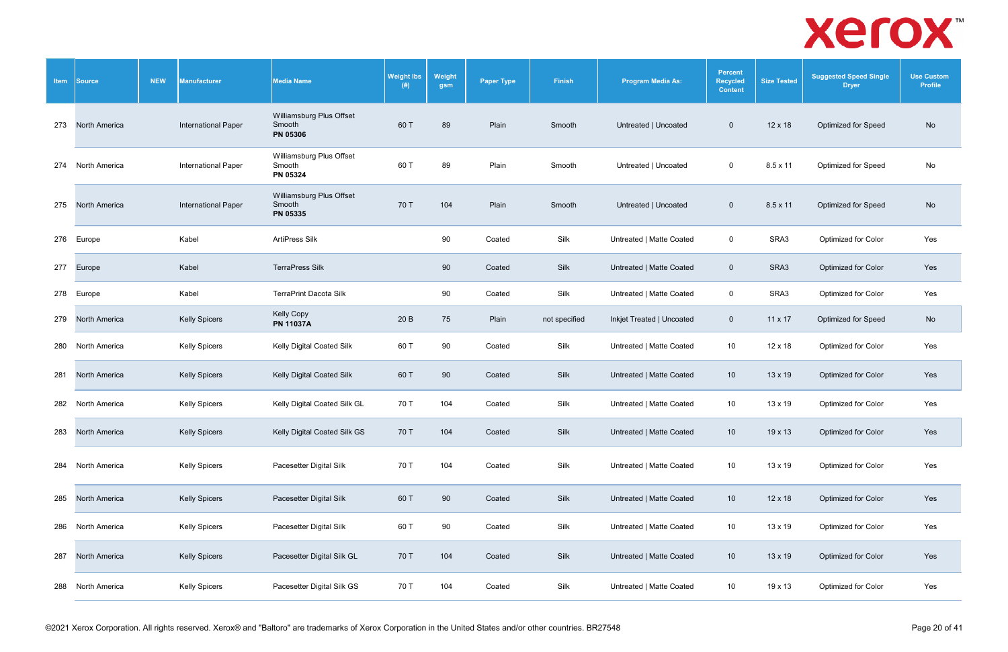| <b>Item</b> | Source               | <b>NEW</b> | <b>Manufacturer</b>        | <b>Media Name</b>                                     | <b>Weight lbs</b><br>(#) | Weight<br>gsm | <b>Paper Type</b> | Finish        | <b>Program Media As:</b>  | <b>Percent</b><br><b>Recycled</b><br><b>Content</b> | <b>Size Tested</b> | <b>Suggested Speed Single</b><br><b>Dryer</b> | <b>Use Custom</b><br>Profile |
|-------------|----------------------|------------|----------------------------|-------------------------------------------------------|--------------------------|---------------|-------------------|---------------|---------------------------|-----------------------------------------------------|--------------------|-----------------------------------------------|------------------------------|
| 273         | <b>North America</b> |            | <b>International Paper</b> | Williamsburg Plus Offset<br>Smooth<br><b>PN 05306</b> | 60 T                     | 89            | Plain             | Smooth        | Untreated   Uncoated      | $\overline{0}$                                      | 12 x 18            | <b>Optimized for Speed</b>                    | No                           |
| 274         | North America        |            | <b>International Paper</b> | Williamsburg Plus Offset<br>Smooth<br>PN 05324        | 60 T                     | 89            | Plain             | Smooth        | Untreated   Uncoated      | $\mathbf{0}$                                        | $8.5 \times 11$    | <b>Optimized for Speed</b>                    | No                           |
|             | 275 North America    |            | <b>International Paper</b> | Williamsburg Plus Offset<br>Smooth<br><b>PN 05335</b> | 70 T                     | 104           | Plain             | Smooth        | Untreated   Uncoated      | $\overline{0}$                                      | 8.5 x 11           | <b>Optimized for Speed</b>                    | No                           |
| 276         | Europe               |            | Kabel                      | <b>ArtiPress Silk</b>                                 |                          | 90            | Coated            | Silk          | Untreated   Matte Coated  | $\mathbf 0$                                         | SRA3               | Optimized for Color                           | Yes                          |
| 277         | Europe               |            | Kabel                      | <b>TerraPress Silk</b>                                |                          | 90            | Coated            | Silk          | Untreated   Matte Coated  | $\overline{0}$                                      | SRA3               | <b>Optimized for Color</b>                    | Yes                          |
| 278         | Europe               |            | Kabel                      | <b>TerraPrint Dacota Silk</b>                         |                          | 90            | Coated            | Silk          | Untreated   Matte Coated  | $\overline{0}$                                      | SRA3               | <b>Optimized for Color</b>                    | Yes                          |
| 279         | <b>North America</b> |            | <b>Kelly Spicers</b>       | <b>Kelly Copy</b><br><b>PN 11037A</b>                 | 20 B                     | 75            | Plain             | not specified | Inkjet Treated   Uncoated | $\overline{0}$                                      | $11 \times 17$     | <b>Optimized for Speed</b>                    | No                           |
| 280         | North America        |            | <b>Kelly Spicers</b>       | Kelly Digital Coated Silk                             | 60 T                     | 90            | Coated            | Silk          | Untreated   Matte Coated  | 10 <sup>1</sup>                                     | 12 x 18            | Optimized for Color                           | Yes                          |
| 281         | <b>North America</b> |            | <b>Kelly Spicers</b>       | Kelly Digital Coated Silk                             | 60 T                     | 90            | Coated            | Silk          | Untreated   Matte Coated  | 10 <sup>°</sup>                                     | 13 x 19            | Optimized for Color                           | Yes                          |
| 282         | North America        |            | <b>Kelly Spicers</b>       | Kelly Digital Coated Silk GL                          | 70 T                     | 104           | Coated            | Silk          | Untreated   Matte Coated  | 10                                                  | $13 \times 19$     | <b>Optimized for Color</b>                    | Yes                          |
| 283         | North America        |            | <b>Kelly Spicers</b>       | Kelly Digital Coated Silk GS                          | 70 T                     | 104           | Coated            | Silk          | Untreated   Matte Coated  | 10                                                  | 19 x 13            | Optimized for Color                           | Yes                          |
| 284         | North America        |            | Kelly Spicers              | Pacesetter Digital Silk                               | 70 T                     | 104           | Coated            | Silk          | Untreated   Matte Coated  | 10                                                  | 13 x 19            | Optimized for Color                           | Yes                          |
| 285         | <b>North America</b> |            | <b>Kelly Spicers</b>       | Pacesetter Digital Silk                               | 60 T                     | 90            | Coated            | Silk          | Untreated   Matte Coated  | 10                                                  | 12 x 18            | Optimized for Color                           | Yes                          |
| 286         | North America        |            | <b>Kelly Spicers</b>       | Pacesetter Digital Silk                               | 60 T                     | 90            | Coated            | Silk          | Untreated   Matte Coated  | 10                                                  | 13 x 19            | Optimized for Color                           | Yes                          |
| 287         | North America        |            | <b>Kelly Spicers</b>       | Pacesetter Digital Silk GL                            | 70 T                     | 104           | Coated            | Silk          | Untreated   Matte Coated  | 10                                                  | 13 x 19            | Optimized for Color                           | Yes                          |
| 288         | North America        |            | <b>Kelly Spicers</b>       | Pacesetter Digital Silk GS                            | 70 T                     | 104           | Coated            | Silk          | Untreated   Matte Coated  | 10                                                  | 19 x 13            | Optimized for Color                           | Yes                          |

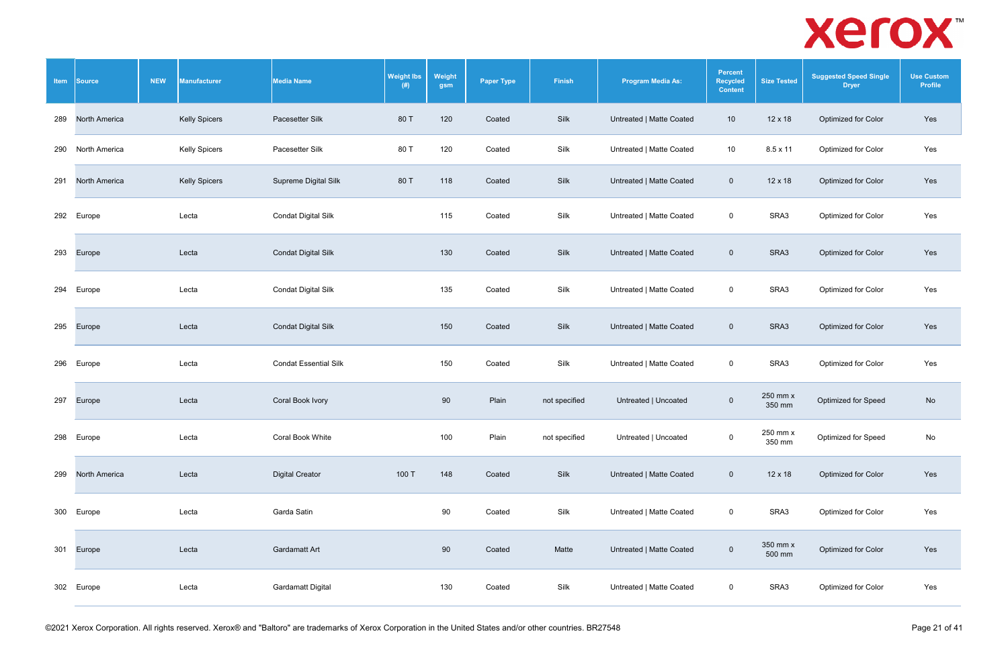| Item | Source        | <b>NEW</b> | <b>Manufacturer</b>  | <b>Media Name</b>            | <b>Weight lbs</b><br>(#) | Weight<br>gsm | <b>Paper Type</b> | Finish        | <b>Program Media As:</b> | Percent<br><b>Recycled</b><br><b>Content</b> | <b>Size Tested</b> | <b>Suggested Speed Single</b><br><b>Dryer</b> | <b>Use Custom</b><br>Profile |
|------|---------------|------------|----------------------|------------------------------|--------------------------|---------------|-------------------|---------------|--------------------------|----------------------------------------------|--------------------|-----------------------------------------------|------------------------------|
| 289  | North America |            | <b>Kelly Spicers</b> | Pacesetter Silk              | 80 T                     | 120           | Coated            | Silk          | Untreated   Matte Coated | 10                                           | 12 x 18            | Optimized for Color                           | Yes                          |
| 290  | North America |            | <b>Kelly Spicers</b> | Pacesetter Silk              | 80 T                     | 120           | Coated            | Silk          | Untreated   Matte Coated | 10                                           | 8.5 x 11           | Optimized for Color                           | Yes                          |
| 291  | North America |            | <b>Kelly Spicers</b> | Supreme Digital Silk         | 80 T                     | 118           | Coated            | Silk          | Untreated   Matte Coated | $\overline{0}$                               | 12 x 18            | Optimized for Color                           | Yes                          |
| 292  | Europe        |            | Lecta                | <b>Condat Digital Silk</b>   |                          | 115           | Coated            | Silk          | Untreated   Matte Coated | $\overline{0}$                               | SRA3               | Optimized for Color                           | Yes                          |
| 293  | Europe        |            | Lecta                | <b>Condat Digital Silk</b>   |                          | 130           | Coated            | Silk          | Untreated   Matte Coated | $\overline{0}$                               | SRA3               | Optimized for Color                           | Yes                          |
| 294  | Europe        |            | Lecta                | <b>Condat Digital Silk</b>   |                          | 135           | Coated            | Silk          | Untreated   Matte Coated | $\mathbf 0$                                  | SRA3               | Optimized for Color                           | Yes                          |
| 295  | Europe        |            | Lecta                | <b>Condat Digital Silk</b>   |                          | 150           | Coated            | Silk          | Untreated   Matte Coated | $\overline{0}$                               | SRA3               | Optimized for Color                           | Yes                          |
| 296  | Europe        |            | Lecta                | <b>Condat Essential Silk</b> |                          | 150           | Coated            | Silk          | Untreated   Matte Coated | $\overline{0}$                               | SRA3               | Optimized for Color                           | Yes                          |
| 297  | Europe        |            | Lecta                | Coral Book Ivory             |                          | 90            | Plain             | not specified | Untreated   Uncoated     | $\mathbf{0}$                                 | 250 mm x<br>350 mm | Optimized for Speed                           | No                           |
| 298  | Europe        |            | Lecta                | Coral Book White             |                          | 100           | Plain             | not specified | Untreated   Uncoated     | 0                                            | 250 mm x<br>350 mm | Optimized for Speed                           | $\operatorname{\mathsf{No}}$ |
| 299  | North America |            | Lecta                | <b>Digital Creator</b>       | 100 T                    | 148           | Coated            | Silk          | Untreated   Matte Coated | $\overline{0}$                               | 12 x 18            | Optimized for Color                           | Yes                          |
|      | 300 Europe    |            | Lecta                | Garda Satin                  |                          | 90            | Coated            | Silk          | Untreated   Matte Coated | $\overline{0}$                               | SRA3               | Optimized for Color                           | Yes                          |
| 301  | Europe        |            | Lecta                | Gardamatt Art                |                          | $90\,$        | Coated            | Matte         | Untreated   Matte Coated | 0                                            | 350 mm x<br>500 mm | Optimized for Color                           | Yes                          |
|      | 302 Europe    |            | Lecta                | <b>Gardamatt Digital</b>     |                          | 130           | Coated            | Silk          | Untreated   Matte Coated | $\overline{0}$                               | SRA3               | Optimized for Color                           | Yes                          |

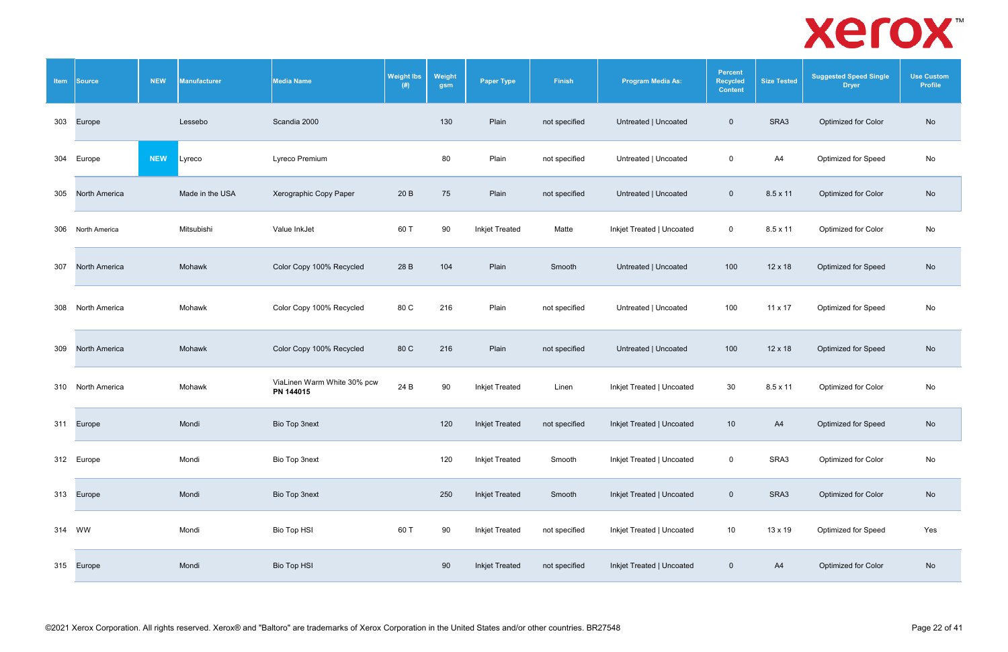|        | <b>Item</b> Source   | <b>NEW</b> | Manufacturer    | <b>Media Name</b>                        | <b>Weight lbs</b><br>(#) | Weight<br>gsm | <b>Paper Type</b>            | Finish        | <b>Program Media As:</b>  | Percent<br><b>Recycled</b><br><b>Content</b> | <b>Size Tested</b> | <b>Suggested Speed Single</b><br><b>Dryer</b> | <b>Use Custom</b><br>Profile |
|--------|----------------------|------------|-----------------|------------------------------------------|--------------------------|---------------|------------------------------|---------------|---------------------------|----------------------------------------------|--------------------|-----------------------------------------------|------------------------------|
| 303    | Europe               |            | Lessebo         | Scandia 2000                             |                          | 130           | Plain                        | not specified | Untreated   Uncoated      | $\overline{0}$                               | SRA3               | Optimized for Color                           | No                           |
| 304    | Europe               | <b>NEW</b> | Lyreco          | Lyreco Premium                           |                          | 80            | Plain                        | not specified | Untreated   Uncoated      | $\mathbf{0}$                                 | A4                 | <b>Optimized for Speed</b>                    | No                           |
| 305    | <b>North America</b> |            | Made in the USA | Xerographic Copy Paper                   | 20 B                     | 75            | Plain                        | not specified | Untreated   Uncoated      | $\overline{0}$                               | 8.5 x 11           | Optimized for Color                           | No                           |
| 306    | North America        |            | Mitsubishi      | Value InkJet                             | 60 T                     | 90            | <b>Inkjet Treated</b>        | Matte         | Inkjet Treated   Uncoated | $\overline{0}$                               | $8.5 \times 11$    | Optimized for Color                           | No                           |
| 307    | North America        |            | Mohawk          | Color Copy 100% Recycled                 | 28 B                     | 104           | Plain                        | Smooth        | Untreated   Uncoated      | 100                                          | $12 \times 18$     | <b>Optimized for Speed</b>                    | No                           |
| 308    | North America        |            | Mohawk          | Color Copy 100% Recycled                 | 80 C                     | 216           | Plain                        | not specified | Untreated   Uncoated      | 100                                          | $11 \times 17$     | <b>Optimized for Speed</b>                    | No                           |
| 309    | <b>North America</b> |            | Mohawk          | Color Copy 100% Recycled                 | 80 C                     | 216           | Plain                        | not specified | Untreated   Uncoated      | 100                                          | 12 x 18            | <b>Optimized for Speed</b>                    | No                           |
|        | 310 North America    |            | Mohawk          | ViaLinen Warm White 30% pcw<br>PN 144015 | 24 B                     | 90            | <b>Inkjet Treated</b>        | Linen         | Inkjet Treated   Uncoated | 30                                           | 8.5 x 11           | Optimized for Color                           | No                           |
|        | 311 Europe           |            | Mondi           | Bio Top 3next                            |                          | 120           | Inkjet Treated not specified |               | Inkjet Treated   Uncoated | 10                                           | A4                 | Optimized for Speed                           | No                           |
|        | 312 Europe           |            | Mondi           | Bio Top 3next                            |                          | 120           | <b>Inkjet Treated</b>        | Smooth        | Inkjet Treated   Uncoated | $\mathbf{0}$                                 | SRA3               | Optimized for Color                           | $\operatorname{\mathsf{No}}$ |
|        | 313 Europe           |            | Mondi           | Bio Top 3next                            |                          | 250           | <b>Inkjet Treated</b>        | Smooth        | Inkjet Treated   Uncoated | $\overline{0}$                               | SRA3               | Optimized for Color                           | No                           |
| 314 WW |                      |            | Mondi           | Bio Top HSI                              | 60 T                     | 90            | <b>Inkjet Treated</b>        | not specified | Inkjet Treated   Uncoated | 10                                           | 13 x 19            | Optimized for Speed                           | Yes                          |
|        | 315 Europe           |            | Mondi           | <b>Bio Top HSI</b>                       |                          | 90            | <b>Inkjet Treated</b>        | not specified | Inkjet Treated   Uncoated | $\overline{0}$                               | A4                 | Optimized for Color                           | No                           |

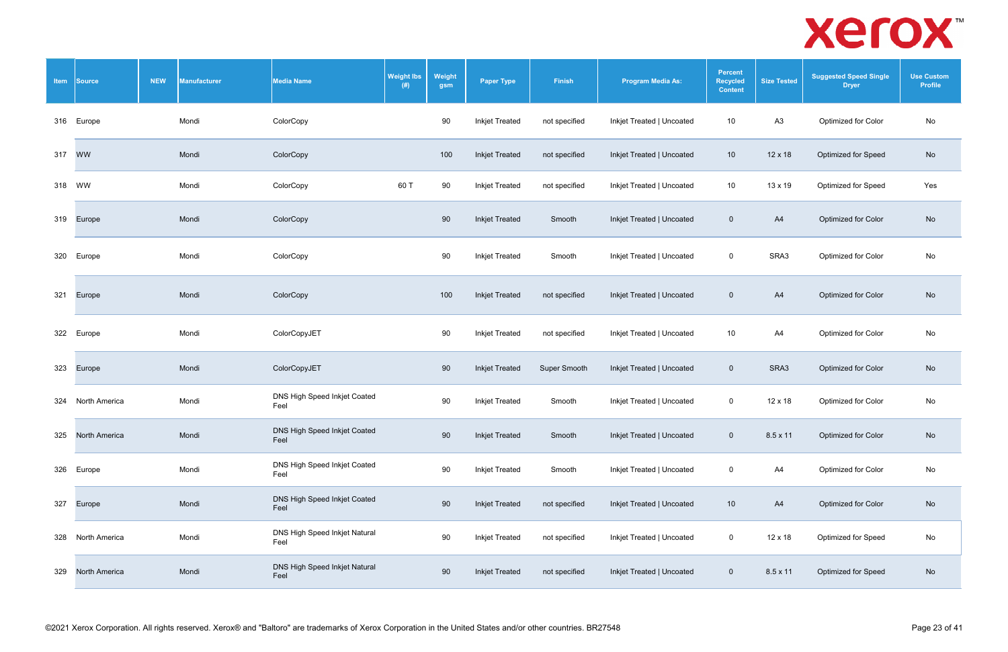| <b>Item</b> | Source        | <b>NEW</b> | <b>Manufacturer</b> | <b>Media Name</b>                     | <b>Weight lbs</b><br>(#) | Weight<br>gsm | <b>Paper Type</b>     | Finish        | <b>Program Media As:</b>  | <b>Percent</b><br>Recycled<br><b>Content</b> | <b>Size Tested</b> | <b>Suggested Speed Single</b><br><b>Dryer</b> | <b>Use Custom</b><br>Profile |
|-------------|---------------|------------|---------------------|---------------------------------------|--------------------------|---------------|-----------------------|---------------|---------------------------|----------------------------------------------|--------------------|-----------------------------------------------|------------------------------|
| 316         | Europe        |            | Mondi               | ColorCopy                             |                          | 90            | Inkjet Treated        | not specified | Inkjet Treated   Uncoated | 10                                           | A3                 | Optimized for Color                           | No                           |
| 317         | <b>WW</b>     |            | Mondi               | ColorCopy                             |                          | 100           | Inkjet Treated        | not specified | Inkjet Treated   Uncoated | 10                                           | 12 x 18            | <b>Optimized for Speed</b>                    | No                           |
| 318 WW      |               |            | Mondi               | ColorCopy                             | 60 T                     | 90            | <b>Inkjet Treated</b> | not specified | Inkjet Treated   Uncoated | 10                                           | 13 x 19            | <b>Optimized for Speed</b>                    | Yes                          |
| 319         | Europe        |            | Mondi               | ColorCopy                             |                          | 90            | <b>Inkjet Treated</b> | Smooth        | Inkjet Treated   Uncoated | $\overline{0}$                               | A4                 | Optimized for Color                           | No                           |
| 320         | Europe        |            | Mondi               | ColorCopy                             |                          | 90            | Inkjet Treated        | Smooth        | Inkjet Treated   Uncoated | $\overline{0}$                               | SRA3               | Optimized for Color                           | No                           |
| 321         | Europe        |            | Mondi               | ColorCopy                             |                          | 100           | <b>Inkjet Treated</b> | not specified | Inkjet Treated   Uncoated | $\overline{0}$                               | A4                 | Optimized for Color                           | No                           |
| 322         | Europe        |            | Mondi               | ColorCopyJET                          |                          | 90            | <b>Inkjet Treated</b> | not specified | Inkjet Treated   Uncoated | 10                                           | A4                 | Optimized for Color                           | No                           |
| 323         | Europe        |            | Mondi               | ColorCopyJET                          |                          | 90            | Inkjet Treated        | Super Smooth  | Inkjet Treated   Uncoated | $\overline{0}$                               | SRA3               | Optimized for Color                           | No                           |
| 324         | North America |            | Mondi               | DNS High Speed Inkjet Coated<br>Feel  |                          | 90            | Inkjet Treated        | Smooth        | Inkjet Treated   Uncoated | $\overline{0}$                               | $12 \times 18$     | Optimized for Color                           | No                           |
| 325         | North America |            | Mondi               | DNS High Speed Inkjet Coated<br>Feel  |                          | $90\,$        | Inkjet Treated        | Smooth        | Inkjet Treated   Uncoated | $\mathbf{0}$                                 | 8.5 x 11           | Optimized for Color                           | No                           |
| 326         | Europe        |            | Mondi               | DNS High Speed Inkjet Coated<br>Feel  |                          | $90\,$        | <b>Inkjet Treated</b> | Smooth        | Inkjet Treated   Uncoated | $\overline{0}$                               | A4                 | Optimized for Color                           | No                           |
| 327         | Europe        |            | Mondi               | DNS High Speed Inkjet Coated<br>Feel  |                          | $90\,$        | Inkjet Treated        | not specified | Inkjet Treated   Uncoated | 10                                           | A4                 | Optimized for Color                           | No                           |
| 328         | North America |            | Mondi               | DNS High Speed Inkjet Natural<br>Feel |                          | 90            | <b>Inkjet Treated</b> | not specified | Inkjet Treated   Uncoated | $\overline{0}$                               | 12 x 18            | Optimized for Speed                           | No                           |
| 329         | North America |            | Mondi               | DNS High Speed Inkjet Natural<br>Feel |                          | 90            | Inkjet Treated        | not specified | Inkjet Treated   Uncoated | $\overline{0}$                               | 8.5 x 11           | Optimized for Speed                           | No                           |

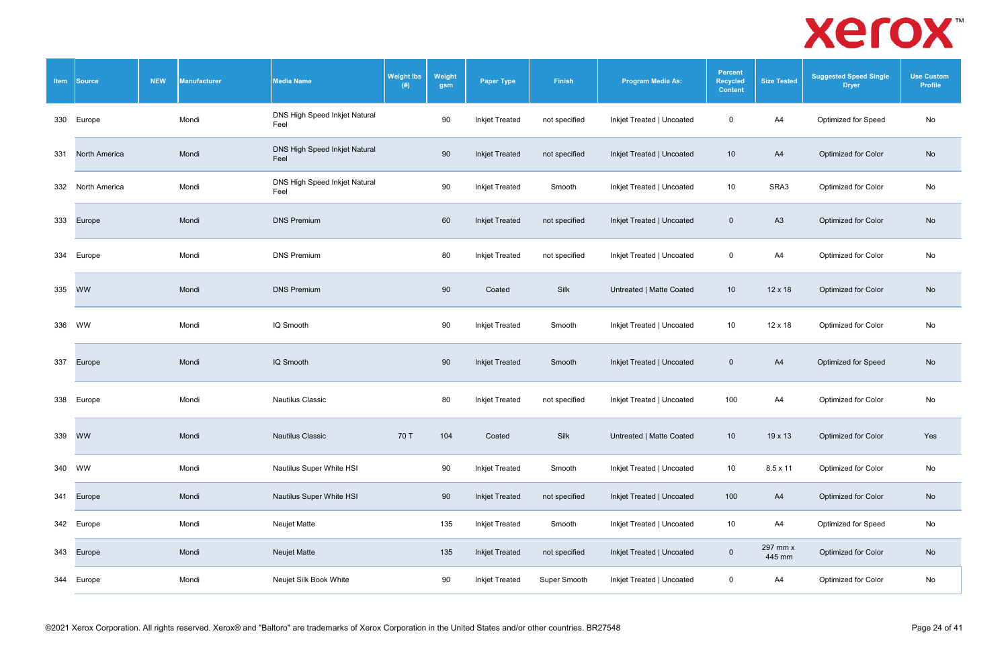| <b>Item</b> | <b>Source</b>        | <b>NEW</b> | <b>Manufacturer</b> | <b>Media Name</b>                     | <b>Weight lbs</b><br>(#) | Weight<br>gsm | <b>Paper Type</b>     | Finish        | <b>Program Media As:</b>  | <b>Percent</b><br><b>Recycled</b><br><b>Content</b> | <b>Size Tested</b> | <b>Suggested Speed Single</b><br><b>Dryer</b> | <b>Use Custom</b><br>Profile |
|-------------|----------------------|------------|---------------------|---------------------------------------|--------------------------|---------------|-----------------------|---------------|---------------------------|-----------------------------------------------------|--------------------|-----------------------------------------------|------------------------------|
| 330         | Europe               |            | Mondi               | DNS High Speed Inkjet Natural<br>Feel |                          | 90            | <b>Inkjet Treated</b> | not specified | Inkjet Treated   Uncoated | $\overline{0}$                                      | A4                 | Optimized for Speed                           | No                           |
| 331         | <b>North America</b> |            | Mondi               | DNS High Speed Inkjet Natural<br>Feel |                          | 90            | <b>Inkjet Treated</b> | not specified | Inkjet Treated   Uncoated | 10 <sup>°</sup>                                     | A4                 | Optimized for Color                           | No                           |
| 332         | North America        |            | Mondi               | DNS High Speed Inkjet Natural<br>Feel |                          | 90            | <b>Inkjet Treated</b> | Smooth        | Inkjet Treated   Uncoated | 10                                                  | SRA3               | Optimized for Color                           | No                           |
| 333         | Europe               |            | Mondi               | <b>DNS Premium</b>                    |                          | 60            | <b>Inkjet Treated</b> | not specified | Inkjet Treated   Uncoated | $\overline{0}$                                      | A3                 | <b>Optimized for Color</b>                    | No                           |
| 334         | Europe               |            | Mondi               | <b>DNS Premium</b>                    |                          | 80            | <b>Inkjet Treated</b> | not specified | Inkjet Treated   Uncoated | $\mathbf 0$                                         | A4                 | Optimized for Color                           | No                           |
| 335         | <b>WW</b>            |            | Mondi               | <b>DNS Premium</b>                    |                          | 90            | Coated                | Silk          | Untreated   Matte Coated  | 10                                                  | 12 x 18            | Optimized for Color                           | No                           |
| 336         | WW                   |            | Mondi               | IQ Smooth                             |                          | 90            | <b>Inkjet Treated</b> | Smooth        | Inkjet Treated   Uncoated | 10 <sup>°</sup>                                     | 12 x 18            | Optimized for Color                           | No                           |
| 337         | Europe               |            | Mondi               | IQ Smooth                             |                          | 90            | <b>Inkjet Treated</b> | Smooth        | Inkjet Treated   Uncoated | $\overline{0}$                                      | A4                 | <b>Optimized for Speed</b>                    | No                           |
| 338         | Europe               |            | Mondi               | Nautilus Classic                      |                          | 80            | <b>Inkjet Treated</b> | not specified | Inkjet Treated   Uncoated | 100                                                 | A4                 | Optimized for Color                           | No                           |
| 339         | <b>WW</b>            |            | Mondi               | <b>Nautilus Classic</b>               | 70 T                     | 104           | Coated                | Silk          | Untreated   Matte Coated  | 10                                                  | 19 x 13            | Optimized for Color                           | Yes                          |
|             | 340 WW               |            | Mondi               | Nautilus Super White HSI              |                          | 90            | <b>Inkjet Treated</b> | Smooth        | Inkjet Treated   Uncoated | 10                                                  | 8.5 x 11           | Optimized for Color                           | No                           |
| 341         | Europe               |            | Mondi               | Nautilus Super White HSI              |                          | $90\,$        | Inkjet Treated        | not specified | Inkjet Treated   Uncoated | 100                                                 | A4                 | Optimized for Color                           | No                           |
|             | 342 Europe           |            | Mondi               | Neujet Matte                          |                          | 135           | <b>Inkjet Treated</b> | Smooth        | Inkjet Treated   Uncoated | 10                                                  | A4                 | <b>Optimized for Speed</b>                    | No                           |
| 343         | Europe               |            | Mondi               | Neujet Matte                          |                          | 135           | <b>Inkjet Treated</b> | not specified | Inkjet Treated   Uncoated | $\mathbf 0$                                         | 297 mm x<br>445 mm | Optimized for Color                           | No                           |
| 344         | Europe               |            | Mondi               | Neujet Silk Book White                |                          | 90            | <b>Inkjet Treated</b> | Super Smooth  | Inkjet Treated   Uncoated | $\overline{0}$                                      | A4                 | Optimized for Color                           | No                           |

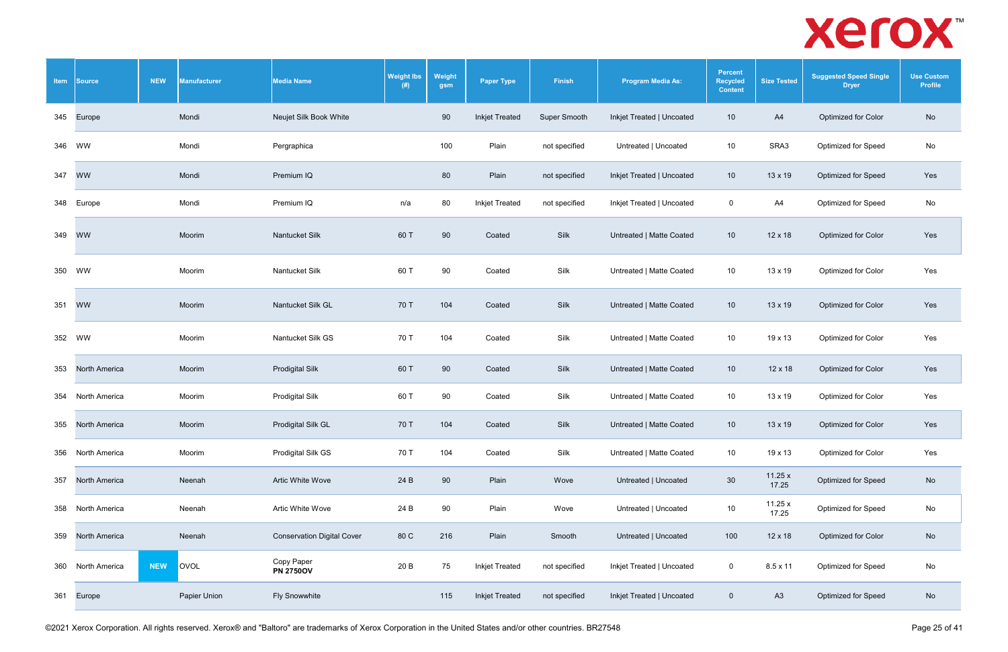|        | <b>Item Source</b> | <b>NEW</b> | Manufacturer | <b>Media Name</b>                 | <b>Weight lbs</b><br>(# ) | Weight<br>gsm | <b>Paper Type</b>     | Finish        | <b>Program Media As:</b>  | <b>Percent</b><br><b>Recycled</b><br><b>Content</b> | <b>Size Tested</b> | <b>Suggested Speed Single</b><br><b>Dryer</b> | <b>Use Custom</b><br>Profile |
|--------|--------------------|------------|--------------|-----------------------------------|---------------------------|---------------|-----------------------|---------------|---------------------------|-----------------------------------------------------|--------------------|-----------------------------------------------|------------------------------|
|        | 345 Europe         |            | Mondi        | Neujet Silk Book White            |                           | 90            | <b>Inkjet Treated</b> | Super Smooth  | Inkjet Treated   Uncoated | 10                                                  | A4                 | Optimized for Color                           | No                           |
| 346 WW |                    |            | Mondi        | Pergraphica                       |                           | 100           | Plain                 | not specified | Untreated   Uncoated      | 10                                                  | SRA3               | <b>Optimized for Speed</b>                    | No                           |
| 347    | <b>WW</b>          |            | Mondi        | Premium IQ                        |                           | 80            | Plain                 | not specified | Inkjet Treated   Uncoated | 10                                                  | 13 x 19            | <b>Optimized for Speed</b>                    | Yes                          |
|        | 348 Europe         |            | Mondi        | Premium IQ                        | n/a                       | 80            | <b>Inkjet Treated</b> | not specified | Inkjet Treated   Uncoated | $\overline{0}$                                      | A4                 | Optimized for Speed                           | No                           |
| 349    | <b>WW</b>          |            | Moorim       | Nantucket Silk                    | 60 T                      | 90            | Coated                | Silk          | Untreated   Matte Coated  | 10 <sup>°</sup>                                     | $12 \times 18$     | Optimized for Color                           | Yes                          |
| 350    | WW                 |            | Moorim       | Nantucket Silk                    | 60 T                      | 90            | Coated                | Silk          | Untreated   Matte Coated  | 10                                                  | 13 x 19            | Optimized for Color                           | Yes                          |
| 351    | <b>WW</b>          |            | Moorim       | Nantucket Silk GL                 | 70 T                      | 104           | Coated                | Silk          | Untreated   Matte Coated  | 10                                                  | 13 x 19            | Optimized for Color                           | Yes                          |
| 352    | WW                 |            | Moorim       | Nantucket Silk GS                 | 70 T                      | 104           | Coated                | Silk          | Untreated   Matte Coated  | 10                                                  | 19 x 13            | Optimized for Color                           | Yes                          |
| 353    | North America      |            | Moorim       | <b>Prodigital Silk</b>            | 60 T                      | 90            | Coated                | Silk          | Untreated   Matte Coated  | 10                                                  | 12 x 18            | Optimized for Color                           | Yes                          |
| 354    | North America      |            | Moorim       | <b>Prodigital Silk</b>            | 60 T                      | 90            | Coated                | Silk          | Untreated   Matte Coated  | 10                                                  | 13 x 19            | Optimized for Color                           | Yes                          |
|        | 355 North America  |            | Moorim       | Prodigital Silk GL                | 70 T                      | 104           | Coated                | Silk          | Untreated   Matte Coated  | 10 <sup>°</sup>                                     | 13 x 19            | Optimized for Color                           | Yes                          |
|        | 356 North America  |            | Moorim       | Prodigital Silk GS                | 70 T                      | 104           | Coated                | Silk          | Untreated   Matte Coated  | 10                                                  | 19 x 13            | Optimized for Color                           | Yes                          |
| 357    | North America      |            | Neenah       | Artic White Wove                  | 24 B                      | 90            | Plain                 | Wove          | Untreated   Uncoated      | 30 <sub>o</sub>                                     | 11.25x<br>17.25    | Optimized for Speed                           | No                           |
| 358    | North America      |            | Neenah       | Artic White Wove                  | 24 B                      | 90            | Plain                 | Wove          | Untreated   Uncoated      | 10                                                  | 11.25x<br>17.25    | Optimized for Speed                           | No                           |
| 359    | North America      |            | Neenah       | <b>Conservation Digital Cover</b> | 80 C                      | 216           | Plain                 | Smooth        | Untreated   Uncoated      | 100                                                 | 12 x 18            | Optimized for Color                           | No                           |
| 360    | North America      | <b>NEW</b> | OVOL         | Copy Paper<br><b>PN 2750OV</b>    | 20 B                      | 75            | <b>Inkjet Treated</b> | not specified | Inkjet Treated   Uncoated | $\overline{0}$                                      | $8.5 \times 11$    | <b>Optimized for Speed</b>                    | No                           |
| 361    | Europe             |            | Papier Union | Fly Snowwhite                     |                           | 115           | <b>Inkjet Treated</b> | not specified | Inkjet Treated   Uncoated | $\overline{0}$                                      | A3                 | <b>Optimized for Speed</b>                    | No                           |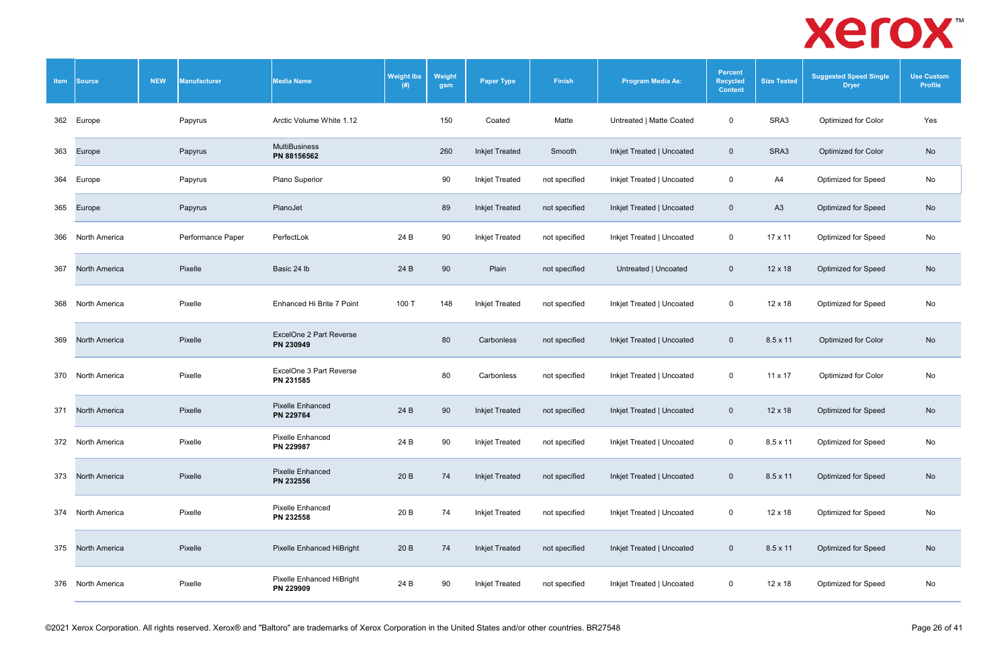|     | <b>Item Source</b> | <b>NEW</b> | <b>Manufacturer</b> | <b>Media Name</b>                             | <b>Weight lbs</b><br>(# ) | Weight<br>gsm | <b>Paper Type</b>     | Finish        | <b>Program Media As:</b>  | <b>Percent</b><br><b>Recycled</b><br><b>Content</b> | <b>Size Tested</b> | <b>Suggested Speed Single</b><br><b>Dryer</b> | <b>Use Custom</b><br><b>Profile</b> |
|-----|--------------------|------------|---------------------|-----------------------------------------------|---------------------------|---------------|-----------------------|---------------|---------------------------|-----------------------------------------------------|--------------------|-----------------------------------------------|-------------------------------------|
| 362 | Europe             |            | Papyrus             | Arctic Volume White 1.12                      |                           | 150           | Coated                | Matte         | Untreated   Matte Coated  | $\overline{0}$                                      | SRA3               | Optimized for Color                           | Yes                                 |
| 363 | Europe             |            | Papyrus             | <b>MultiBusiness</b><br>PN 88156562           |                           | 260           | <b>Inkjet Treated</b> | Smooth        | Inkjet Treated   Uncoated | $\overline{0}$                                      | SRA3               | Optimized for Color                           | No                                  |
| 364 | Europe             |            | Papyrus             | Plano Superior                                |                           | 90            | <b>Inkjet Treated</b> | not specified | Inkjet Treated   Uncoated | $\mathbf 0$                                         | A4                 | <b>Optimized for Speed</b>                    | No                                  |
| 365 | Europe             |            | Papyrus             | PlanoJet                                      |                           | 89            | <b>Inkjet Treated</b> | not specified | Inkjet Treated   Uncoated | $\overline{0}$                                      | A3                 | <b>Optimized for Speed</b>                    | No                                  |
| 366 | North America      |            | Performance Paper   | PerfectLok                                    | 24 B                      | 90            | <b>Inkjet Treated</b> | not specified | Inkjet Treated   Uncoated | $\mathbf 0$                                         | $17 \times 11$     | <b>Optimized for Speed</b>                    | No                                  |
| 367 | North America      |            | Pixelle             | Basic 24 lb                                   | 24 B                      | 90            | Plain                 | not specified | Untreated   Uncoated      | $\overline{0}$                                      | 12 x 18            | <b>Optimized for Speed</b>                    | No                                  |
| 368 | North America      |            | Pixelle             | Enhanced Hi Brite 7 Point                     | 100 T                     | 148           | <b>Inkjet Treated</b> | not specified | Inkjet Treated   Uncoated | $\overline{0}$                                      | $12 \times 18$     | Optimized for Speed                           | No                                  |
| 369 | North America      |            | Pixelle             | ExcelOne 2 Part Reverse<br>PN 230949          |                           | 80            | Carbonless            | not specified | Inkjet Treated   Uncoated | $\overline{0}$                                      | $8.5 \times 11$    | Optimized for Color                           | No                                  |
|     | 370 North America  |            | Pixelle             | ExcelOne 3 Part Reverse<br>PN 231585          |                           | 80            | Carbonless            | not specified | Inkjet Treated   Uncoated | $\overline{0}$                                      | $11 \times 17$     | Optimized for Color                           | No                                  |
| 371 | North America      |            | Pixelle             | <b>Pixelle Enhanced</b><br>PN 229764          | 24 B                      | 90            | <b>Inkjet Treated</b> | not specified | Inkjet Treated   Uncoated | $\overline{0}$                                      | 12 x 18            | Optimized for Speed                           | No                                  |
|     | 372 North America  |            | Pixelle             | <b>Pixelle Enhanced</b><br>PN 229987          | 24 B                      | 90            | <b>Inkjet Treated</b> | not specified | Inkjet Treated   Uncoated | $\mathbf 0$                                         | $8.5 \times 11$    | Optimized for Speed                           | No                                  |
|     | 373 North America  |            | Pixelle             | <b>Pixelle Enhanced</b><br>PN 232556          | 20 B                      | 74            | <b>Inkjet Treated</b> | not specified | Inkjet Treated   Uncoated | $\overline{0}$                                      | 8.5 x 11           | Optimized for Speed                           | No                                  |
|     | 374 North America  |            | Pixelle             | <b>Pixelle Enhanced</b><br>PN 232558          | 20 B                      | $74\,$        | <b>Inkjet Treated</b> | not specified | Inkjet Treated   Uncoated | $\mathbf 0$                                         | 12 x 18            | Optimized for Speed                           | No                                  |
|     | 375 North America  |            | Pixelle             | Pixelle Enhanced HiBright                     | 20 B                      | 74            | <b>Inkjet Treated</b> | not specified | Inkjet Treated   Uncoated | $\mathbf{0}$                                        | 8.5 x 11           | Optimized for Speed                           | No                                  |
|     | 376 North America  |            | Pixelle             | <b>Pixelle Enhanced HiBright</b><br>PN 229909 | 24 B                      | 90            | <b>Inkjet Treated</b> | not specified | Inkjet Treated   Uncoated | $\mathbf{0}$                                        | 12 x 18            | Optimized for Speed                           | No                                  |

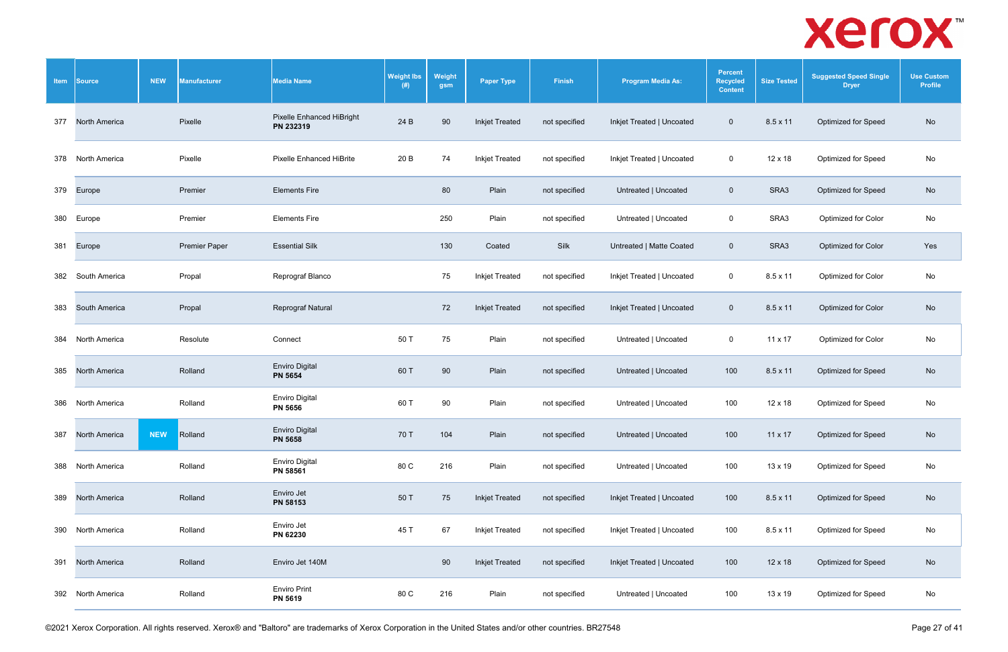| <b>Item</b> | Source            | <b>NEW</b> | Manufacturer         | <b>Media Name</b>                       | <b>Weight lbs</b><br>(#) | Weight<br>gsm | <b>Paper Type</b>     | Finish        | <b>Program Media As:</b>  | Percent<br><b>Recycled</b><br><b>Content</b> | <b>Size Tested</b> | <b>Suggested Speed Single</b><br><b>Dryer</b> | <b>Use Custom</b><br>Profile |
|-------------|-------------------|------------|----------------------|-----------------------------------------|--------------------------|---------------|-----------------------|---------------|---------------------------|----------------------------------------------|--------------------|-----------------------------------------------|------------------------------|
|             | 377 North America |            | Pixelle              | Pixelle Enhanced HiBright<br>PN 232319  | 24 B                     | 90            | <b>Inkjet Treated</b> | not specified | Inkjet Treated   Uncoated | $\overline{0}$                               | $8.5 \times 11$    | Optimized for Speed                           | No                           |
|             | 378 North America |            | Pixelle              | Pixelle Enhanced HiBrite                | 20B                      | 74            | <b>Inkjet Treated</b> | not specified | Inkjet Treated   Uncoated | $\mathbf{0}$                                 | 12 x 18            | Optimized for Speed                           | No                           |
| 379         | Europe            |            | Premier              | <b>Elements Fire</b>                    |                          | 80            | Plain                 | not specified | Untreated   Uncoated      | $\overline{0}$                               | SRA3               | <b>Optimized for Speed</b>                    | No                           |
| 380         | Europe            |            | Premier              | <b>Elements Fire</b>                    |                          | 250           | Plain                 | not specified | Untreated   Uncoated      | $\overline{0}$                               | SRA3               | Optimized for Color                           | No                           |
| 381         | Europe            |            | <b>Premier Paper</b> | <b>Essential Silk</b>                   |                          | 130           | Coated                | Silk          | Untreated   Matte Coated  | $\mathbf{0}$                                 | SRA3               | Optimized for Color                           | Yes                          |
| 382         | South America     |            | Propal               | Reprograf Blanco                        |                          | 75            | <b>Inkjet Treated</b> | not specified | Inkjet Treated   Uncoated | $\overline{0}$                               | 8.5 x 11           | Optimized for Color                           | No                           |
| 383         | South America     |            | Propal               | <b>Reprograf Natural</b>                |                          | 72            | <b>Inkjet Treated</b> | not specified | Inkjet Treated   Uncoated | $\overline{0}$                               | $8.5 \times 11$    | Optimized for Color                           | No                           |
| 384         | North America     |            | Resolute             | Connect                                 | 50 T                     | 75            | Plain                 | not specified | Untreated   Uncoated      | $\overline{0}$                               | $11 \times 17$     | Optimized for Color                           | No                           |
| 385         | North America     |            | Rolland              | <b>Enviro Digital</b><br><b>PN 5654</b> | 60 T                     | 90            | Plain                 | not specified | Untreated   Uncoated      | 100                                          | $8.5 \times 11$    | <b>Optimized for Speed</b>                    | No                           |
| 386         | North America     |            | Rolland              | <b>Enviro Digital</b><br><b>PN 5656</b> | 60 T                     | 90            | Plain                 | not specified | Untreated   Uncoated      | 100                                          | 12 x 18            | <b>Optimized for Speed</b>                    | No                           |
| 387         | North America     | <b>NEW</b> | Rolland              | <b>Enviro Digital</b><br><b>PN 5658</b> | 70 T                     | 104           | Plain                 | not specified | Untreated   Uncoated      | 100                                          | 11 x 17            | Optimized for Speed                           | No                           |
| 388         | North America     |            | Rolland              | <b>Enviro Digital</b><br>PN 58561       | 80 C                     | 216           | Plain                 | not specified | Untreated   Uncoated      | 100                                          | 13 x 19            | <b>Optimized for Speed</b>                    | No                           |
| 389         | North America     |            | Rolland              | Enviro Jet<br>PN 58153                  | 50 T                     | 75            | <b>Inkjet Treated</b> | not specified | Inkjet Treated   Uncoated | 100                                          | $8.5 \times 11$    | Optimized for Speed                           | No                           |
| 390         | North America     |            | Rolland              | Enviro Jet<br>PN 62230                  | 45 T                     | 67            | <b>Inkjet Treated</b> | not specified | Inkjet Treated   Uncoated | 100                                          | $8.5 \times 11$    | Optimized for Speed                           | No                           |
| 391         | North America     |            | Rolland              | Enviro Jet 140M                         |                          | 90            | <b>Inkjet Treated</b> | not specified | Inkjet Treated   Uncoated | 100                                          | $12 \times 18$     | Optimized for Speed                           | No                           |
|             | 392 North America |            | Rolland              | <b>Enviro Print</b><br>PN 5619          | 80 C                     | 216           | Plain                 | not specified | Untreated   Uncoated      | 100                                          | 13 x 19            | Optimized for Speed                           | No                           |

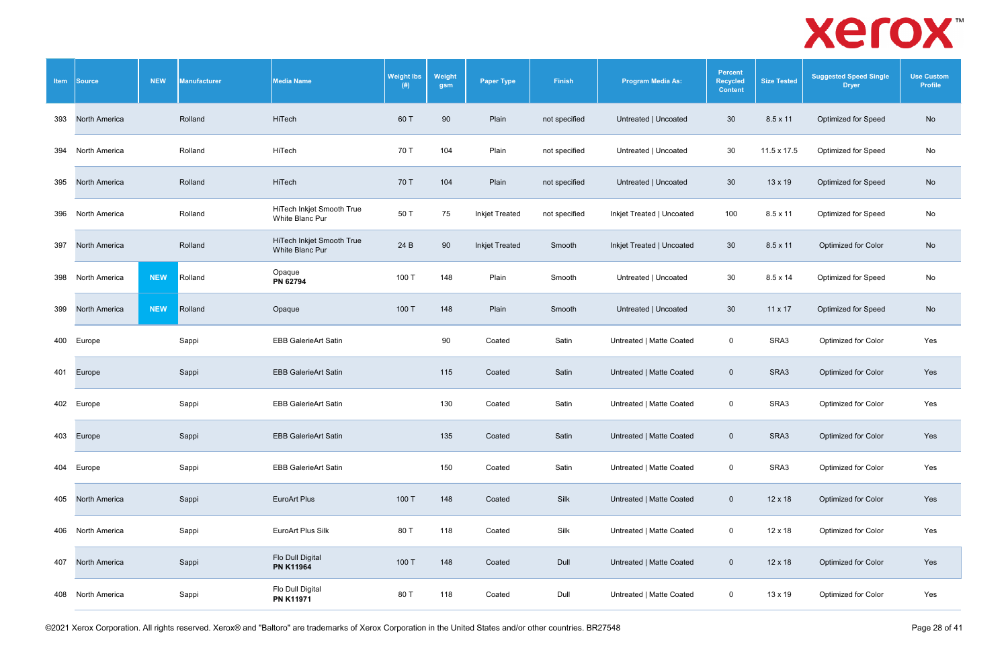|     | Item Source          | <b>NEW</b> | <b>Manufacturer</b> | <b>Media Name</b>                            | <b>Weight lbs</b><br>(#) | Weight<br>gsm | <b>Paper Type</b>     | Finish        | <b>Program Media As:</b>  | <b>Percent</b><br><b>Recycled</b><br><b>Content</b> | <b>Size Tested</b> | <b>Suggested Speed Single</b><br><b>Dryer</b> | <b>Use Custom</b><br>Profile |
|-----|----------------------|------------|---------------------|----------------------------------------------|--------------------------|---------------|-----------------------|---------------|---------------------------|-----------------------------------------------------|--------------------|-----------------------------------------------|------------------------------|
| 393 | <b>North America</b> |            | Rolland             | HiTech                                       | 60 T                     | 90            | Plain                 | not specified | Untreated   Uncoated      | 30                                                  | 8.5 x 11           | <b>Optimized for Speed</b>                    | No                           |
| 394 | North America        |            | Rolland             | HiTech                                       | 70 T                     | 104           | Plain                 | not specified | Untreated   Uncoated      | 30                                                  | $11.5 \times 17.5$ | <b>Optimized for Speed</b>                    | No                           |
| 395 | <b>North America</b> |            | Rolland             | HiTech                                       | 70 T                     | 104           | Plain                 | not specified | Untreated   Uncoated      | 30                                                  | 13 x 19            | <b>Optimized for Speed</b>                    | No                           |
| 396 | North America        |            | Rolland             | HiTech Inkjet Smooth True<br>White Blanc Pur | 50 T                     | 75            | <b>Inkjet Treated</b> | not specified | Inkjet Treated   Uncoated | 100                                                 | 8.5 x 11           | Optimized for Speed                           | No                           |
| 397 | <b>North America</b> |            | Rolland             | HiTech Inkjet Smooth True<br>White Blanc Pur | 24 B                     | 90            | <b>Inkjet Treated</b> | Smooth        | Inkjet Treated   Uncoated | 30                                                  | $8.5 \times 11$    | <b>Optimized for Color</b>                    | No                           |
| 398 | North America        | <b>NEW</b> | Rolland             | Opaque<br><b>PN 62794</b>                    | 100 T                    | 148           | Plain                 | Smooth        | Untreated   Uncoated      | 30                                                  | 8.5 x 14           | Optimized for Speed                           | No                           |
| 399 | <b>North America</b> | <b>NEW</b> | Rolland             | Opaque                                       | 100 T                    | 148           | Plain                 | Smooth        | Untreated   Uncoated      | 30                                                  | $11 \times 17$     | <b>Optimized for Speed</b>                    | No                           |
| 400 | Europe               |            | Sappi               | <b>EBB GalerieArt Satin</b>                  |                          | 90            | Coated                | Satin         | Untreated   Matte Coated  | $\mathbf 0$                                         | SRA3               | Optimized for Color                           | Yes                          |
| 401 | Europe               |            | Sappi               | <b>EBB GalerieArt Satin</b>                  |                          | 115           | Coated                | Satin         | Untreated   Matte Coated  | $\mathbf{0}$                                        | SRA3               | Optimized for Color                           | Yes                          |
|     | 402 Europe           |            | Sappi               | <b>EBB GalerieArt Satin</b>                  |                          | 130           | Coated                | Satin         | Untreated   Matte Coated  | $\overline{0}$                                      | SRA3               | Optimized for Color                           | Yes                          |
| 403 | Europe               |            | Sappi               | <b>EBB GalerieArt Satin</b>                  |                          | 135           | Coated                | Satin         | Untreated   Matte Coated  | $\overline{0}$                                      | SRA3               | Optimized for Color                           | Yes                          |
| 404 | Europe               |            | Sappi               | <b>EBB GalerieArt Satin</b>                  |                          | 150           | Coated                | Satin         | Untreated   Matte Coated  | $\mathbf 0$                                         | SRA3               | Optimized for Color                           | Yes                          |
| 405 | <b>North America</b> |            | Sappi               | EuroArt Plus                                 | 100 T                    | 148           | Coated                | Silk          | Untreated   Matte Coated  | $\overline{0}$                                      | 12 x 18            | Optimized for Color                           | Yes                          |
|     | 406 North America    |            | Sappi               | EuroArt Plus Silk                            | 80 T                     | 118           | Coated                | Silk          | Untreated   Matte Coated  | $\overline{0}$                                      | $12 \times 18$     | Optimized for Color                           | Yes                          |
| 407 | North America        |            | Sappi               | Flo Dull Digital<br><b>PN K11964</b>         | 100 T                    | 148           | Coated                | Dull          | Untreated   Matte Coated  | $\mathbf{0}$                                        | 12 x 18            | Optimized for Color                           | Yes                          |
|     | 408 North America    |            | Sappi               | Flo Dull Digital<br><b>PN K11971</b>         | 80 T                     | 118           | Coated                | Dull          | Untreated   Matte Coated  | $\overline{0}$                                      | 13 x 19            | Optimized for Color                           | Yes                          |

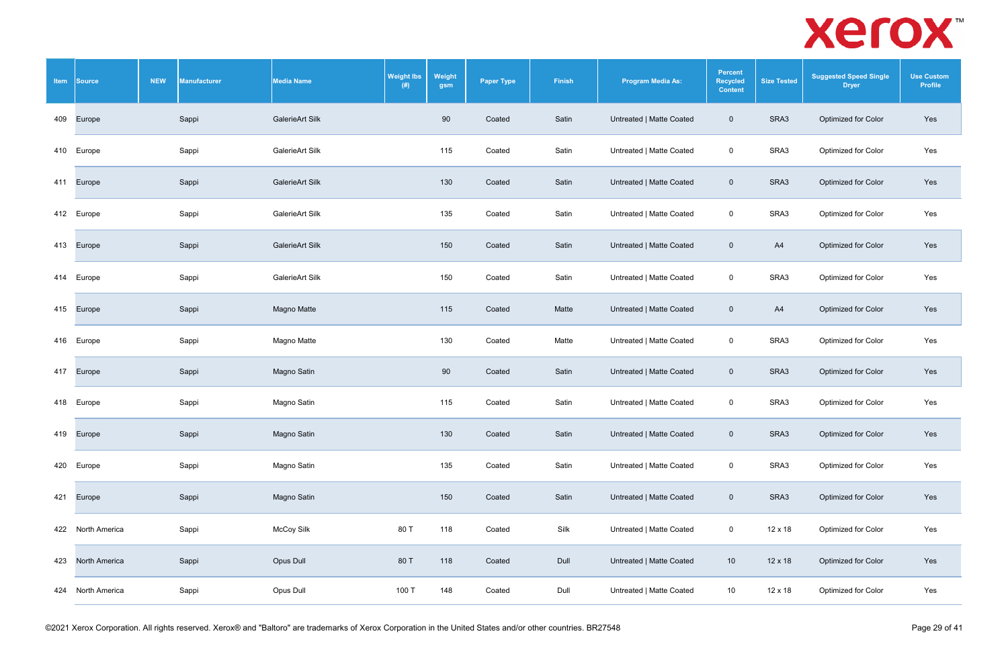| <b>Item</b> | Source            | <b>NEW</b> | <b>Manufacturer</b> | <b>Media Name</b> | <b>Weight lbs</b><br>(#) | Weight<br>gsm | <b>Paper Type</b> | Finish | <b>Program Media As:</b> | Percent<br>Recycled<br><b>Content</b> | <b>Size Tested</b> | <b>Suggested Speed Single</b><br><b>Dryer</b> | <b>Use Custom</b><br>Profile |
|-------------|-------------------|------------|---------------------|-------------------|--------------------------|---------------|-------------------|--------|--------------------------|---------------------------------------|--------------------|-----------------------------------------------|------------------------------|
| 409         | Europe            |            | Sappi               | GalerieArt Silk   |                          | 90            | Coated            | Satin  | Untreated   Matte Coated | $\overline{0}$                        | SRA3               | Optimized for Color                           | Yes                          |
|             | 410 Europe        |            | Sappi               | GalerieArt Silk   |                          | 115           | Coated            | Satin  | Untreated   Matte Coated | $\overline{0}$                        | SRA3               | Optimized for Color                           | Yes                          |
|             | 411 Europe        |            | Sappi               | GalerieArt Silk   |                          | 130           | Coated            | Satin  | Untreated   Matte Coated | $\overline{0}$                        | SRA3               | Optimized for Color                           | Yes                          |
|             | 412 Europe        |            | Sappi               | GalerieArt Silk   |                          | 135           | Coated            | Satin  | Untreated   Matte Coated | $\overline{0}$                        | SRA3               | Optimized for Color                           | Yes                          |
|             | 413 Europe        |            | Sappi               | GalerieArt Silk   |                          | 150           | Coated            | Satin  | Untreated   Matte Coated | $\overline{0}$                        | A4                 | Optimized for Color                           | Yes                          |
|             | 414 Europe        |            | Sappi               | GalerieArt Silk   |                          | 150           | Coated            | Satin  | Untreated   Matte Coated | $\overline{0}$                        | SRA3               | Optimized for Color                           | Yes                          |
|             | 415 Europe        |            | Sappi               | Magno Matte       |                          | 115           | Coated            | Matte  | Untreated   Matte Coated | $\overline{0}$                        | A4                 | Optimized for Color                           | Yes                          |
| 416         | Europe            |            | Sappi               | Magno Matte       |                          | 130           | Coated            | Matte  | Untreated   Matte Coated | $\overline{0}$                        | SRA3               | Optimized for Color                           | Yes                          |
| 417         | Europe            |            | Sappi               | Magno Satin       |                          | 90            | Coated            | Satin  | Untreated   Matte Coated | $\overline{0}$                        | SRA3               | Optimized for Color                           | Yes                          |
|             | 418 Europe        |            | Sappi               | Magno Satin       |                          | 115           | Coated            | Satin  | Untreated   Matte Coated | $\overline{0}$                        | SRA3               | Optimized for Color                           | Yes                          |
|             | 419 Europe        |            | Sappi               | Magno Satin       |                          | 130           | Coated            | Satin  | Untreated   Matte Coated | $\mathbf{0}$                          | SRA3               | Optimized for Color                           | Yes                          |
|             | 420 Europe        |            | Sappi               | Magno Satin       |                          | 135           | Coated            | Satin  | Untreated   Matte Coated | $\mathbf{0}$                          | SRA3               | Optimized for Color                           | Yes                          |
| 421         | Europe            |            | Sappi               | Magno Satin       |                          | 150           | Coated            | Satin  | Untreated   Matte Coated | $\overline{0}$                        | SRA3               | Optimized for Color                           | Yes                          |
|             | 422 North America |            | Sappi               | McCoy Silk        | 80 T                     | 118           | Coated            | Silk   | Untreated   Matte Coated | $\overline{0}$                        | 12 x 18            | Optimized for Color                           | Yes                          |
| 423         | North America     |            | Sappi               | Opus Dull         | 80 T                     | 118           | Coated            | Dull   | Untreated   Matte Coated | 10                                    | $12 \times 18$     | Optimized for Color                           | Yes                          |
|             | 424 North America |            | Sappi               | Opus Dull         | 100 T                    | 148           | Coated            | Dull   | Untreated   Matte Coated | 10                                    | $12 \times 18$     | Optimized for Color                           | Yes                          |

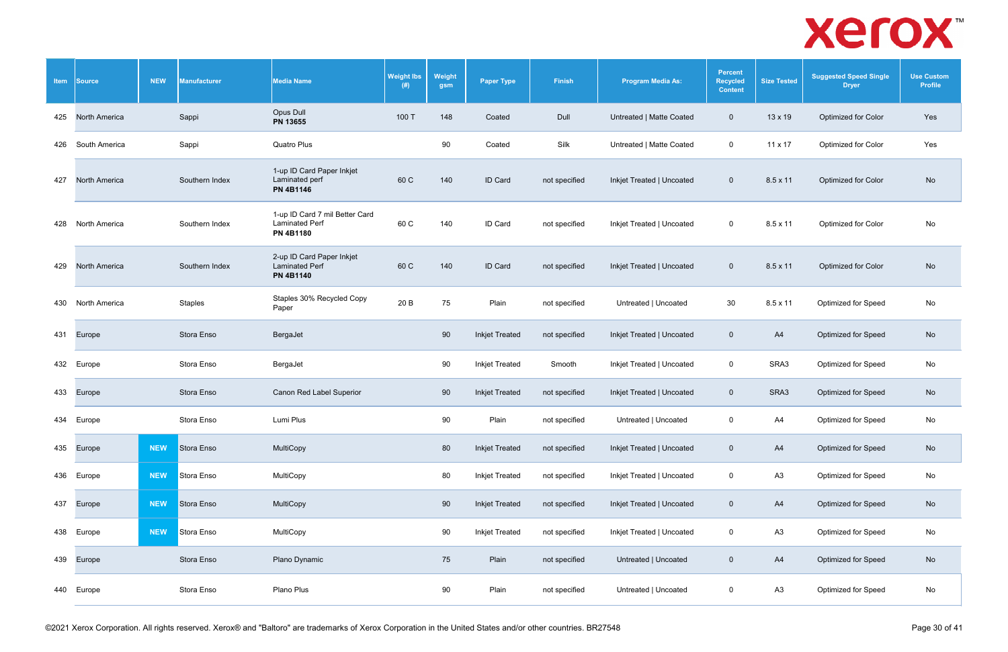|     | Item Source          | <b>NEW</b> | Manufacturer   | <b>Media Name</b>                                                      | <b>Weight lbs</b><br>(# ) | Weight<br>gsm | <b>Paper Type</b>     | Finish        | <b>Program Media As:</b>  | <b>Percent</b><br><b>Recycled</b><br><b>Content</b> | <b>Size Tested</b> | <b>Suggested Speed Single</b><br><b>Dryer</b> | <b>Use Custom</b><br>Profile |
|-----|----------------------|------------|----------------|------------------------------------------------------------------------|---------------------------|---------------|-----------------------|---------------|---------------------------|-----------------------------------------------------|--------------------|-----------------------------------------------|------------------------------|
| 425 | <b>North America</b> |            | Sappi          | Opus Dull<br><b>PN 13655</b>                                           | 100 T                     | 148           | Coated                | Dull          | Untreated   Matte Coated  | $\mathbf{0}$                                        | 13 x 19            | Optimized for Color                           | Yes                          |
| 426 | South America        |            | Sappi          | <b>Quatro Plus</b>                                                     |                           | 90            | Coated                | Silk          | Untreated   Matte Coated  | $\overline{0}$                                      | $11 \times 17$     | <b>Optimized for Color</b>                    | Yes                          |
| 427 | North America        |            | Southern Index | 1-up ID Card Paper Inkjet<br>Laminated perf<br><b>PN 4B1146</b>        | 60 C                      | 140           | ID Card               | not specified | Inkjet Treated   Uncoated | $\overline{0}$                                      | 8.5 x 11           | Optimized for Color                           | No                           |
| 428 | North America        |            | Southern Index | 1-up ID Card 7 mil Better Card<br><b>Laminated Perf</b><br>PN 4B1180   | 60 C                      | 140           | ID Card               | not specified | Inkjet Treated   Uncoated | $\overline{0}$                                      | 8.5 x 11           | <b>Optimized for Color</b>                    | No                           |
| 429 | <b>North America</b> |            | Southern Index | 2-up ID Card Paper Inkjet<br><b>Laminated Perf</b><br><b>PN 4B1140</b> | 60 C                      | 140           | ID Card               | not specified | Inkjet Treated   Uncoated | $\overline{0}$                                      | $8.5 \times 11$    | Optimized for Color                           | No                           |
| 430 | North America        |            | <b>Staples</b> | Staples 30% Recycled Copy<br>Paper                                     | 20 B                      | 75            | Plain                 | not specified | Untreated   Uncoated      | 30                                                  | 8.5 x 11           | <b>Optimized for Speed</b>                    | No                           |
| 431 | Europe               |            | Stora Enso     | BergaJet                                                               |                           | 90            | Inkjet Treated        | not specified | Inkjet Treated   Uncoated | $\mathbf{0}$                                        | A4                 | Optimized for Speed                           | No                           |
| 432 | Europe               |            | Stora Enso     | BergaJet                                                               |                           | 90            | <b>Inkjet Treated</b> | Smooth        | Inkjet Treated   Uncoated | $\mathbf{0}$                                        | SRA3               | <b>Optimized for Speed</b>                    | No                           |
| 433 | Europe               |            | Stora Enso     | Canon Red Label Superior                                               |                           | 90            | <b>Inkjet Treated</b> | not specified | Inkjet Treated   Uncoated | $\overline{0}$                                      | SRA3               | <b>Optimized for Speed</b>                    | No                           |
| 434 | Europe               |            | Stora Enso     | Lumi Plus                                                              |                           | 90            | Plain                 | not specified | Untreated   Uncoated      | $\mathbf{0}$                                        | A4                 | Optimized for Speed                           | No                           |
| 435 | Europe               | <b>NEW</b> | Stora Enso     | MultiCopy                                                              |                           | 80            | <b>Inkjet Treated</b> | not specified | Inkjet Treated   Uncoated | $\overline{0}$                                      | A4                 | Optimized for Speed                           | No                           |
| 436 | Europe               | <b>NEW</b> | Stora Enso     | MultiCopy                                                              |                           | 80            | <b>Inkjet Treated</b> | not specified | Inkjet Treated   Uncoated | $\mathbf{0}$                                        | A3                 | <b>Optimized for Speed</b>                    | No                           |
| 437 | Europe               | <b>NEW</b> | Stora Enso     | MultiCopy                                                              |                           | $90\,$        | Inkjet Treated        | not specified | Inkjet Treated   Uncoated | $\overline{0}$                                      | A4                 | <b>Optimized for Speed</b>                    | No                           |
| 438 | Europe               | <b>NEW</b> | Stora Enso     | MultiCopy                                                              |                           | 90            | <b>Inkjet Treated</b> | not specified | Inkjet Treated   Uncoated | $\mathbf{0}$                                        | A3                 | Optimized for Speed                           | No                           |
| 439 | Europe               |            | Stora Enso     | Plano Dynamic                                                          |                           | 75            | Plain                 | not specified | Untreated   Uncoated      | $\overline{0}$                                      | A4                 | <b>Optimized for Speed</b>                    | No                           |
| 440 | Europe               |            | Stora Enso     | Plano Plus                                                             |                           | 90            | Plain                 | not specified | Untreated   Uncoated      | $\mathbf{0}$                                        | A3                 | <b>Optimized for Speed</b>                    | No                           |

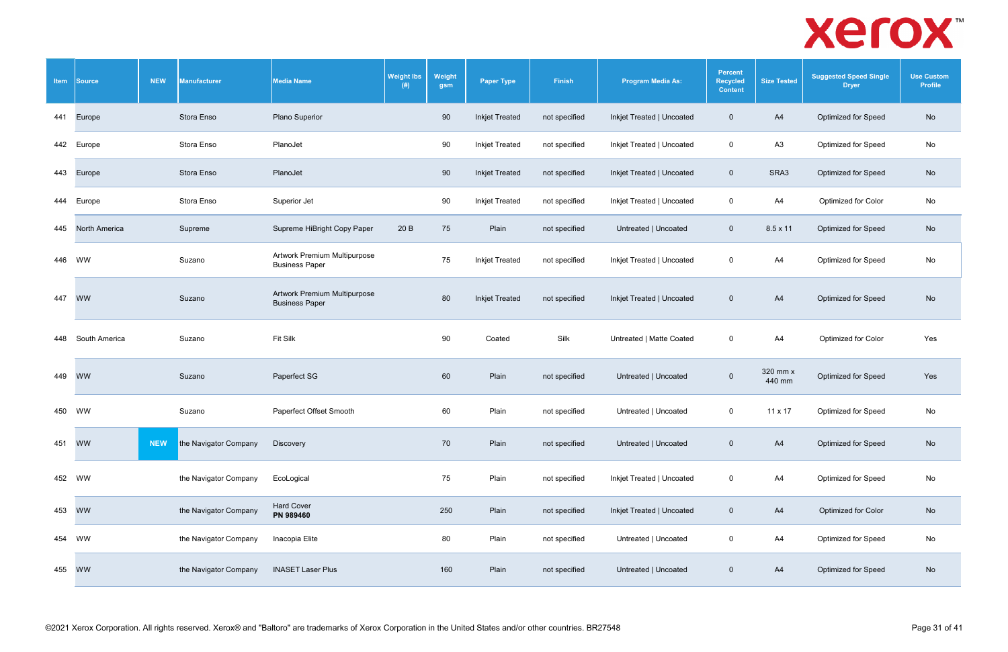| <b>Item</b> | Source               | <b>NEW</b> | <b>Manufacturer</b>   | <b>Media Name</b>                                            | <b>Weight lbs</b><br>(#) | Weight<br>gsm | <b>Paper Type</b>     | Finish        | <b>Program Media As:</b>  | <b>Percent</b><br><b>Recycled</b><br><b>Content</b> | <b>Size Tested</b> | <b>Suggested Speed Single</b><br><b>Dryer</b> | <b>Use Custom</b><br>Profile |
|-------------|----------------------|------------|-----------------------|--------------------------------------------------------------|--------------------------|---------------|-----------------------|---------------|---------------------------|-----------------------------------------------------|--------------------|-----------------------------------------------|------------------------------|
| 441         | Europe               |            | Stora Enso            | Plano Superior                                               |                          | 90            | Inkjet Treated        | not specified | Inkjet Treated   Uncoated | $\mathbf{0}$                                        | A4                 | Optimized for Speed                           | No                           |
|             | 442 Europe           |            | Stora Enso            | PlanoJet                                                     |                          | 90            | Inkjet Treated        | not specified | Inkjet Treated   Uncoated | $\overline{0}$                                      | A3                 | Optimized for Speed                           | No                           |
| 443         | Europe               |            | Stora Enso            | PlanoJet                                                     |                          | 90            | Inkjet Treated        | not specified | Inkjet Treated   Uncoated | $\mathbf{0}$                                        | SRA3               | Optimized for Speed                           | No                           |
| 444         | Europe               |            | Stora Enso            | Superior Jet                                                 |                          | 90            | <b>Inkjet Treated</b> | not specified | Inkjet Treated   Uncoated | $\mathbf 0$                                         | A4                 | Optimized for Color                           | No                           |
| 445         | <b>North America</b> |            | Supreme               | Supreme HiBright Copy Paper                                  | 20 B                     | 75            | Plain                 | not specified | Untreated   Uncoated      | $\mathbf{0}$                                        | 8.5 x 11           | <b>Optimized for Speed</b>                    | No                           |
| 446         | WW                   |            | Suzano                | <b>Artwork Premium Multipurpose</b><br><b>Business Paper</b> |                          | 75            | <b>Inkjet Treated</b> | not specified | Inkjet Treated   Uncoated | $\mathbf 0$                                         | A4                 | <b>Optimized for Speed</b>                    | No                           |
| 447         | <b>WW</b>            |            | Suzano                | Artwork Premium Multipurpose<br><b>Business Paper</b>        |                          | 80            | <b>Inkjet Treated</b> | not specified | Inkjet Treated   Uncoated | $\mathbf{0}$                                        | A4                 | Optimized for Speed                           | No                           |
| 448         | South America        |            | Suzano                | Fit Silk                                                     |                          | 90            | Coated                | Silk          | Untreated   Matte Coated  | $\mathbf 0$                                         | A4                 | Optimized for Color                           | Yes                          |
| 449         | <b>WW</b>            |            | Suzano                | Paperfect SG                                                 |                          | 60            | Plain                 | not specified | Untreated   Uncoated      | 0                                                   | 320 mm x<br>440 mm | Optimized for Speed                           | Yes                          |
| 450         | WW                   |            | Suzano                | Paperfect Offset Smooth                                      |                          | 60            | Plain                 | not specified | Untreated   Uncoated      | $\mathbf 0$                                         | $11 \times 17$     | Optimized for Speed                           | No                           |
| 451         | <b>WW</b>            | <b>NEW</b> | the Navigator Company | Discovery                                                    |                          | 70            | Plain                 | not specified | Untreated   Uncoated      | $\mathbf{0}$                                        | A4                 | Optimized for Speed                           | No                           |
| 452         | <b>WW</b>            |            | the Navigator Company | EcoLogical                                                   |                          | 75            | Plain                 | not specified | Inkjet Treated   Uncoated | $\overline{0}$                                      | A4                 | Optimized for Speed                           | No                           |
| 453         | <b>WW</b>            |            | the Navigator Company | <b>Hard Cover</b><br>PN 989460                               |                          | 250           | Plain                 | not specified | Inkjet Treated   Uncoated | $\mathbf{0}$                                        | A4                 | Optimized for Color                           | No                           |
| 454         | WW                   |            | the Navigator Company | Inacopia Elite                                               |                          | 80            | Plain                 | not specified | Untreated   Uncoated      | $\mathbf 0$                                         | A4                 | Optimized for Speed                           | No                           |
| 455         | <b>WW</b>            |            | the Navigator Company | <b>INASET Laser Plus</b>                                     |                          | 160           | Plain                 | not specified | Untreated   Uncoated      | 0                                                   | A4                 | Optimized for Speed                           | No                           |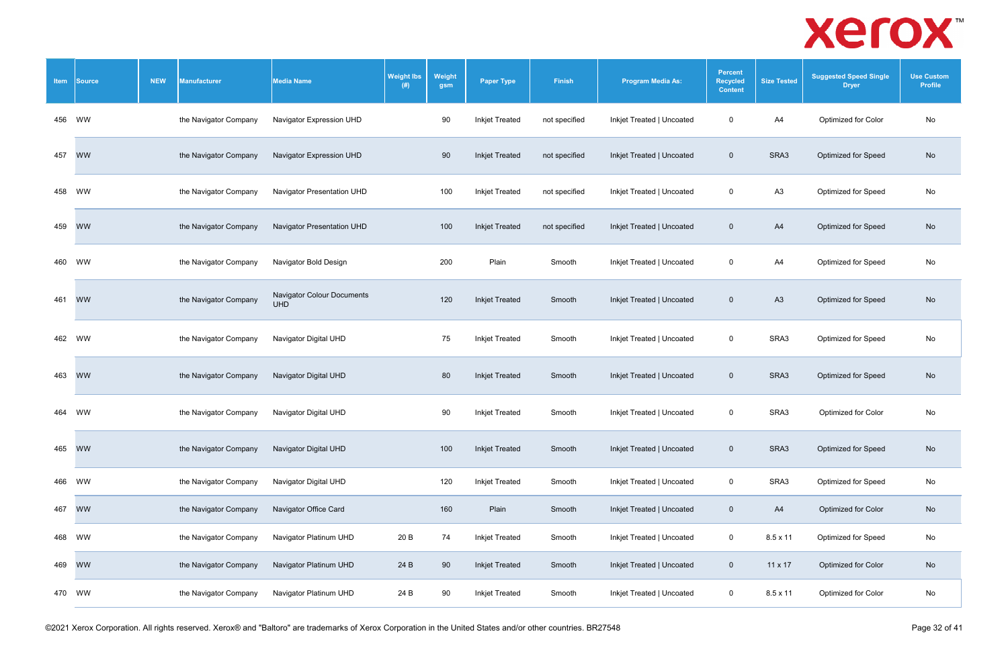| <b>Item</b> | <b>Source</b> | <b>NEW</b> | <b>Manufacturer</b>   | <b>Media Name</b>                        | <b>Weight lbs</b><br>(# ) | Weight<br>gsm | <b>Paper Type</b>     | Finish        | <b>Program Media As:</b>  | <b>Percent</b><br><b>Recycled</b><br><b>Content</b> | <b>Size Tested</b> | <b>Suggested Speed Single</b><br><b>Dryer</b> | <b>Use Custom</b><br>Profile |
|-------------|---------------|------------|-----------------------|------------------------------------------|---------------------------|---------------|-----------------------|---------------|---------------------------|-----------------------------------------------------|--------------------|-----------------------------------------------|------------------------------|
| 456         | <b>WW</b>     |            | the Navigator Company | Navigator Expression UHD                 |                           | 90            | <b>Inkjet Treated</b> | not specified | Inkjet Treated   Uncoated | $\mathbf 0$                                         | A4                 | Optimized for Color                           | No                           |
| 457         | <b>WW</b>     |            | the Navigator Company | Navigator Expression UHD                 |                           | 90            | <b>Inkjet Treated</b> | not specified | Inkjet Treated   Uncoated | $\overline{0}$                                      | SRA3               | <b>Optimized for Speed</b>                    | No                           |
| 458         | <b>WW</b>     |            | the Navigator Company | Navigator Presentation UHD               |                           | 100           | <b>Inkjet Treated</b> | not specified | Inkjet Treated   Uncoated | $\mathbf 0$                                         | A3                 | Optimized for Speed                           | No                           |
| 459         | <b>WW</b>     |            | the Navigator Company | Navigator Presentation UHD               |                           | 100           | <b>Inkjet Treated</b> | not specified | Inkjet Treated   Uncoated | $\overline{0}$                                      | A4                 | <b>Optimized for Speed</b>                    | No                           |
| 460         | WW            |            | the Navigator Company | Navigator Bold Design                    |                           | 200           | Plain                 | Smooth        | Inkjet Treated   Uncoated | $\overline{0}$                                      | A4                 | <b>Optimized for Speed</b>                    | No                           |
| 461         | <b>WW</b>     |            | the Navigator Company | Navigator Colour Documents<br><b>UHD</b> |                           | 120           | <b>Inkjet Treated</b> | Smooth        | Inkjet Treated   Uncoated | $\overline{0}$                                      | A3                 | <b>Optimized for Speed</b>                    | No                           |
| 462 WW      |               |            | the Navigator Company | Navigator Digital UHD                    |                           | 75            | <b>Inkjet Treated</b> | Smooth        | Inkjet Treated   Uncoated | $\mathbf 0$                                         | SRA3               | <b>Optimized for Speed</b>                    | No                           |
| 463         | <b>WW</b>     |            | the Navigator Company | Navigator Digital UHD                    |                           | 80            | <b>Inkjet Treated</b> | Smooth        | Inkjet Treated   Uncoated | $\overline{0}$                                      | SRA3               | <b>Optimized for Speed</b>                    | No                           |
| 464         | WW            |            | the Navigator Company | Navigator Digital UHD                    |                           | 90            | <b>Inkjet Treated</b> | Smooth        | Inkjet Treated   Uncoated | $\overline{0}$                                      | SRA3               | Optimized for Color                           | No                           |
| 465         | <b>WW</b>     |            | the Navigator Company | Navigator Digital UHD                    |                           | 100           | Inkjet Treated        | Smooth        | Inkjet Treated   Uncoated | $\overline{0}$                                      | SRA3               | Optimized for Speed                           | No                           |
| 466         | WW            |            | the Navigator Company | Navigator Digital UHD                    |                           | 120           | Inkjet Treated        | Smooth        | Inkjet Treated   Uncoated | $\mathbf 0$                                         | SRA3               | Optimized for Speed                           | No                           |
| 467         | <b>WW</b>     |            | the Navigator Company | Navigator Office Card                    |                           | 160           | Plain                 | Smooth        | Inkjet Treated   Uncoated | $\overline{0}$                                      | A4                 | Optimized for Color                           | No                           |
| 468         | WW            |            | the Navigator Company | Navigator Platinum UHD                   | 20 B                      | $74\,$        | <b>Inkjet Treated</b> | Smooth        | Inkjet Treated   Uncoated | $\overline{0}$                                      | 8.5 x 11           | <b>Optimized for Speed</b>                    | No                           |
| 469         | <b>WW</b>     |            | the Navigator Company | Navigator Platinum UHD                   | 24 B                      | $90\,$        | <b>Inkjet Treated</b> | Smooth        | Inkjet Treated   Uncoated | $\overline{0}$                                      | $11 \times 17$     | Optimized for Color                           | No                           |
| 470 WW      |               |            | the Navigator Company | Navigator Platinum UHD                   | 24 B                      | $90\,$        | <b>Inkjet Treated</b> | Smooth        | Inkjet Treated   Uncoated | $\mathbf 0$                                         | 8.5 x 11           | Optimized for Color                           | No                           |

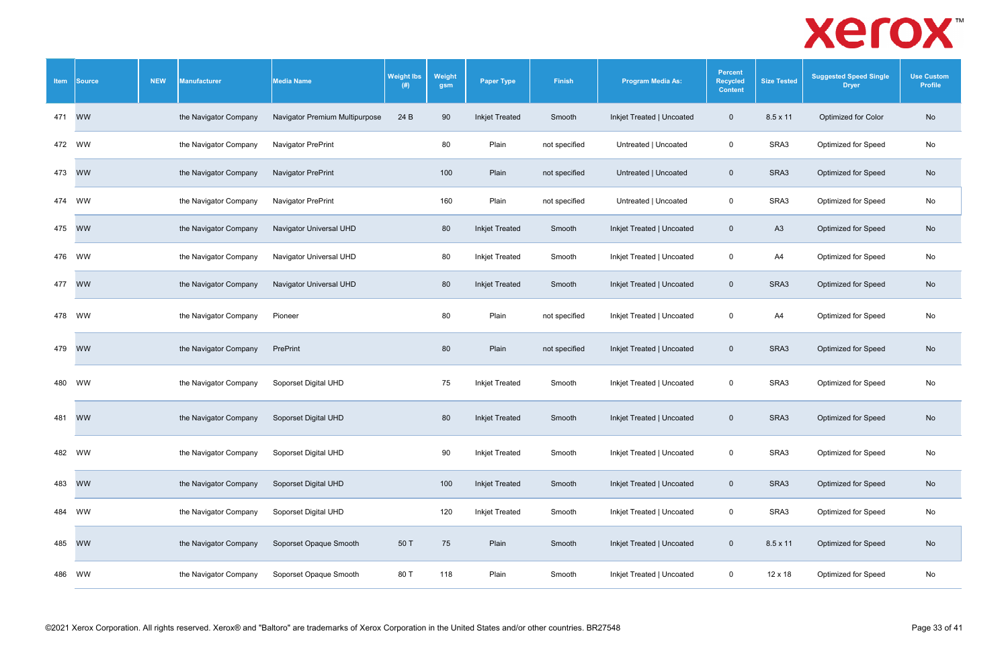|        | <b>Item Source</b> | <b>NEW</b> | Manufacturer          | <b>Media Name</b>              | <b>Weight lbs</b><br>(#) | Weight<br>gsm | <b>Paper Type</b>     | Finish        | <b>Program Media As:</b>  | <b>Percent</b><br><b>Recycled</b><br><b>Content</b> | <b>Size Tested</b> | <b>Suggested Speed Single</b><br><b>Dryer</b> | <b>Use Custom</b><br><b>Profile</b> |
|--------|--------------------|------------|-----------------------|--------------------------------|--------------------------|---------------|-----------------------|---------------|---------------------------|-----------------------------------------------------|--------------------|-----------------------------------------------|-------------------------------------|
| 471 WW |                    |            | the Navigator Company | Navigator Premium Multipurpose | 24 B                     | 90            | <b>Inkjet Treated</b> | Smooth        | Inkjet Treated   Uncoated | $\mathbf{0}$                                        | 8.5 x 11           | Optimized for Color                           | No                                  |
| 472    | WW                 |            | the Navigator Company | Navigator PrePrint             |                          | 80            | Plain                 | not specified | Untreated   Uncoated      | $\mathbf 0$                                         | SRA3               | Optimized for Speed                           | No                                  |
| 473    | <b>WW</b>          |            | the Navigator Company | Navigator PrePrint             |                          | 100           | Plain                 | not specified | Untreated   Uncoated      | $\mathbf{0}$                                        | SRA3               | <b>Optimized for Speed</b>                    | No                                  |
| 474 WW |                    |            | the Navigator Company | Navigator PrePrint             |                          | 160           | Plain                 | not specified | Untreated   Uncoated      | $\mathbf 0$                                         | SRA3               | Optimized for Speed                           | No                                  |
| 475    | <b>WW</b>          |            | the Navigator Company | Navigator Universal UHD        |                          | 80            | <b>Inkjet Treated</b> | Smooth        | Inkjet Treated   Uncoated | $\overline{0}$                                      | A3                 | <b>Optimized for Speed</b>                    | No                                  |
| 476    | WW                 |            | the Navigator Company | Navigator Universal UHD        |                          | 80            | <b>Inkjet Treated</b> | Smooth        | Inkjet Treated   Uncoated | $\mathbf 0$                                         | A4                 | <b>Optimized for Speed</b>                    | No                                  |
| 477    | <b>WW</b>          |            | the Navigator Company | Navigator Universal UHD        |                          | 80            | <b>Inkjet Treated</b> | Smooth        | Inkjet Treated   Uncoated | $\mathbf{0}$                                        | SRA3               | <b>Optimized for Speed</b>                    | No                                  |
| 478 WW |                    |            | the Navigator Company | Pioneer                        |                          | 80            | Plain                 | not specified | Inkjet Treated   Uncoated | $\mathbf 0$                                         | A4                 | <b>Optimized for Speed</b>                    | No                                  |
| 479 WW |                    |            | the Navigator Company | PrePrint                       |                          | 80            | Plain                 | not specified | Inkjet Treated   Uncoated | $\mathbf{0}$                                        | SRA3               | <b>Optimized for Speed</b>                    | No                                  |
| 480    | WW                 |            | the Navigator Company | Soporset Digital UHD           |                          | 75            | <b>Inkjet Treated</b> | Smooth        | Inkjet Treated   Uncoated | $\mathbf{0}$                                        | SRA3               | <b>Optimized for Speed</b>                    | No                                  |
| 481    | <b>WW</b>          |            | the Navigator Company | Soporset Digital UHD           |                          | 80            | <b>Inkjet Treated</b> | Smooth        | Inkjet Treated   Uncoated | $\mathbf{0}$                                        | SRA3               | <b>Optimized for Speed</b>                    | No                                  |
| 482 WW |                    |            | the Navigator Company | Soporset Digital UHD           |                          | 90            | <b>Inkjet Treated</b> | Smooth        | Inkjet Treated   Uncoated | $\mathbf 0$                                         | SRA3               | <b>Optimized for Speed</b>                    | No                                  |
| 483    | <b>WW</b>          |            | the Navigator Company | Soporset Digital UHD           |                          | 100           | Inkjet Treated        | Smooth        | Inkjet Treated   Uncoated | $\mathbf{0}$                                        | SRA3               | Optimized for Speed                           | No                                  |
| 484    | WW                 |            | the Navigator Company | Soporset Digital UHD           |                          | 120           | Inkjet Treated        | Smooth        | Inkjet Treated   Uncoated | $\mathbf 0$                                         | SRA3               | Optimized for Speed                           | No                                  |
| 485    | <b>WW</b>          |            | the Navigator Company | Soporset Opaque Smooth         | 50 T                     | 75            | Plain                 | Smooth        | Inkjet Treated   Uncoated | $\mathbf{0}$                                        | 8.5 x 11           | Optimized for Speed                           | $\operatorname{\mathsf{No}}$        |
| 486    | WW                 |            | the Navigator Company | Soporset Opaque Smooth         | 80 T                     | 118           | Plain                 | Smooth        | Inkjet Treated   Uncoated | $\mathbf 0$                                         | 12 x 18            | Optimized for Speed                           | No                                  |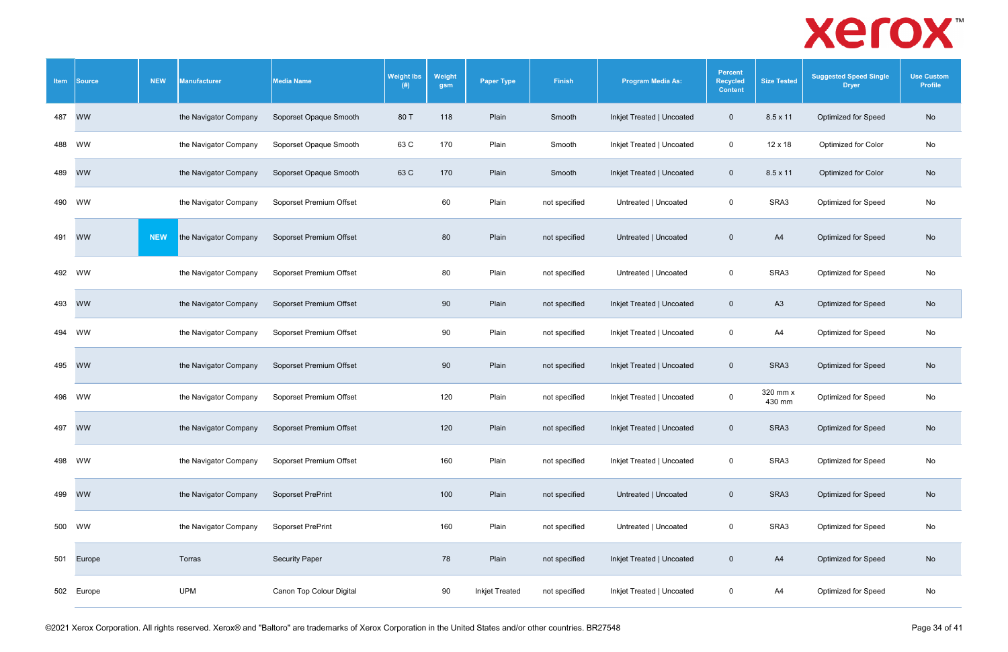|        | Item Source | <b>NEW</b> | Manufacturer          | <b>Media Name</b>        | <b>Weight lbs</b><br>(# ) | Weight<br>gsm | <b>Paper Type</b> | Finish        | <b>Program Media As:</b>  | <b>Percent</b><br><b>Recycled</b><br><b>Content</b> | <b>Size Tested</b> | <b>Suggested Speed Single</b><br><b>Dryer</b> | <b>Use Custom</b><br>Profile |
|--------|-------------|------------|-----------------------|--------------------------|---------------------------|---------------|-------------------|---------------|---------------------------|-----------------------------------------------------|--------------------|-----------------------------------------------|------------------------------|
| 487    | <b>WW</b>   |            | the Navigator Company | Soporset Opaque Smooth   | 80 T                      | 118           | Plain             | Smooth        | Inkjet Treated   Uncoated | $\overline{0}$                                      | 8.5 x 11           | <b>Optimized for Speed</b>                    | No                           |
| 488    | WW          |            | the Navigator Company | Soporset Opaque Smooth   | 63 C                      | 170           | Plain             | Smooth        | Inkjet Treated   Uncoated | $\mathbf{0}$                                        | $12 \times 18$     | Optimized for Color                           | No                           |
| 489    | <b>WW</b>   |            | the Navigator Company | Soporset Opaque Smooth   | 63 C                      | 170           | Plain             | Smooth        | Inkjet Treated   Uncoated | $\mathbf{0}$                                        | 8.5 x 11           | Optimized for Color                           | No                           |
| 490    | <b>WW</b>   |            | the Navigator Company | Soporset Premium Offset  |                           | 60            | Plain             | not specified | Untreated   Uncoated      | $\overline{0}$                                      | SRA3               | Optimized for Speed                           | No                           |
| 491    | <b>WW</b>   | <b>NEW</b> | the Navigator Company | Soporset Premium Offset  |                           | 80            | Plain             | not specified | Untreated   Uncoated      | $\overline{0}$                                      | A4                 | <b>Optimized for Speed</b>                    | No                           |
| 492    | WW          |            | the Navigator Company | Soporset Premium Offset  |                           | 80            | Plain             | not specified | Untreated   Uncoated      | $\overline{0}$                                      | SRA3               | <b>Optimized for Speed</b>                    | No                           |
| 493    | <b>WW</b>   |            | the Navigator Company | Soporset Premium Offset  |                           | 90            | Plain             | not specified | Inkjet Treated   Uncoated | $\overline{0}$                                      | A3                 | <b>Optimized for Speed</b>                    | No                           |
| 494    | WW          |            | the Navigator Company | Soporset Premium Offset  |                           | 90            | Plain             | not specified | Inkjet Treated   Uncoated | $\overline{0}$                                      | A4                 | Optimized for Speed                           | No                           |
| 495    | <b>WW</b>   |            | the Navigator Company | Soporset Premium Offset  |                           | 90            | Plain             | not specified | Inkjet Treated   Uncoated | $\overline{0}$                                      | SRA3               | <b>Optimized for Speed</b>                    | No                           |
| 496    | WW          |            | the Navigator Company | Soporset Premium Offset  |                           | 120           | Plain             | not specified | Inkjet Treated   Uncoated | $\mathbf 0$                                         | 320 mm x<br>430 mm | Optimized for Speed                           | No                           |
| 497 WW |             |            | the Navigator Company | Soporset Premium Offset  |                           | 120           | Plain             | not specified | Inkjet Treated   Uncoated | $\overline{0}$                                      | SRA3               | Optimized for Speed                           | No                           |
| 498    | WW          |            | the Navigator Company | Soporset Premium Offset  |                           | 160           | Plain             | not specified | Inkjet Treated   Uncoated | $\mathbf 0$                                         | SRA3               | <b>Optimized for Speed</b>                    | No                           |
| 499    | <b>WW</b>   |            | the Navigator Company | Soporset PrePrint        |                           | 100           | Plain             | not specified | Untreated   Uncoated      | $\overline{0}$                                      | SRA3               | Optimized for Speed                           | No                           |
| 500 WW |             |            | the Navigator Company | Soporset PrePrint        |                           | 160           | Plain             | not specified | Untreated   Uncoated      | $\overline{0}$                                      | SRA3               | <b>Optimized for Speed</b>                    | No                           |
| 501    | Europe      |            | Torras                | <b>Security Paper</b>    |                           | 78            | Plain             | not specified | Inkjet Treated   Uncoated | $\overline{0}$                                      | A4                 | Optimized for Speed                           | No                           |
|        | 502 Europe  |            | <b>UPM</b>            | Canon Top Colour Digital |                           | 90            | Inkjet Treated    | not specified | Inkjet Treated   Uncoated | $\mathbf{0}$                                        | A4                 | Optimized for Speed                           | No                           |

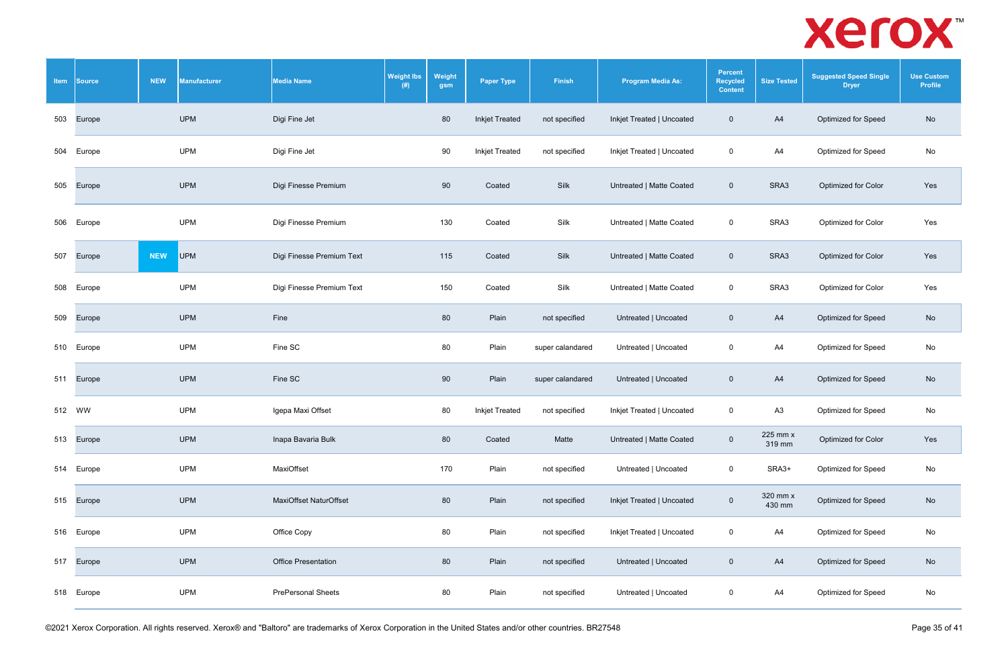| <b>Item</b> | Source     | <b>NEW</b> | Manufacturer | <b>Media Name</b>         | <b>Weight lbs</b><br>(#) | Weight<br>gsm | Paper Type            | Finish           | <b>Program Media As:</b>  | <b>Percent</b><br>Recycled<br><b>Content</b> | <b>Size Tested</b> | <b>Suggested Speed Single</b><br><b>Dryer</b> | <b>Use Custom</b><br>Profile |
|-------------|------------|------------|--------------|---------------------------|--------------------------|---------------|-----------------------|------------------|---------------------------|----------------------------------------------|--------------------|-----------------------------------------------|------------------------------|
| 503         | Europe     |            | <b>UPM</b>   | Digi Fine Jet             |                          | 80            | Inkjet Treated        | not specified    | Inkjet Treated   Uncoated | $\overline{0}$                               | A4                 | Optimized for Speed                           | No                           |
|             | 504 Europe |            | <b>UPM</b>   | Digi Fine Jet             |                          | 90            | <b>Inkjet Treated</b> | not specified    | Inkjet Treated   Uncoated | $\overline{0}$                               | A4                 | Optimized for Speed                           | No                           |
| 505         | Europe     |            | <b>UPM</b>   | Digi Finesse Premium      |                          | 90            | Coated                | Silk             | Untreated   Matte Coated  | $\overline{0}$                               | SRA3               | Optimized for Color                           | Yes                          |
|             | 506 Europe |            | <b>UPM</b>   | Digi Finesse Premium      |                          | 130           | Coated                | Silk             | Untreated   Matte Coated  | $\overline{0}$                               | SRA3               | Optimized for Color                           | Yes                          |
| 507         | Europe     | <b>NEW</b> | UPM          | Digi Finesse Premium Text |                          | 115           | Coated                | Silk             | Untreated   Matte Coated  | $\overline{0}$                               | SRA3               | Optimized for Color                           | Yes                          |
|             | 508 Europe |            | <b>UPM</b>   | Digi Finesse Premium Text |                          | 150           | Coated                | Silk             | Untreated   Matte Coated  | $\mathbf 0$                                  | SRA3               | Optimized for Color                           | Yes                          |
| 509         | Europe     |            | <b>UPM</b>   | Fine                      |                          | 80            | Plain                 | not specified    | Untreated   Uncoated      | $\overline{0}$                               | A4                 | <b>Optimized for Speed</b>                    | No                           |
|             | 510 Europe |            | <b>UPM</b>   | Fine SC                   |                          | 80            | Plain                 | super calandared | Untreated   Uncoated      | $\overline{0}$                               | A4                 | Optimized for Speed                           | No                           |
|             | 511 Europe |            | <b>UPM</b>   | Fine SC                   |                          | 90            | Plain                 | super calandared | Untreated   Uncoated      | $\overline{0}$                               | A4                 | Optimized for Speed                           | No                           |
| 512 WW      |            |            | <b>UPM</b>   | Igepa Maxi Offset         |                          | 80            | Inkjet Treated        | not specified    | Inkjet Treated   Uncoated | $\overline{0}$                               | A3                 | <b>Optimized for Speed</b>                    | No                           |
|             | 513 Europe |            | <b>UPM</b>   | Inapa Bavaria Bulk        |                          | 80            | Coated                | Matte            | Untreated   Matte Coated  | $\pmb{0}$                                    | 225 mm x<br>319 mm | Optimized for Color                           | Yes                          |
|             | 514 Europe |            | <b>UPM</b>   | MaxiOffset                |                          | 170           | Plain                 | not specified    | Untreated   Uncoated      | $\mathbf{0}$                                 | SRA3+              | Optimized for Speed                           | No                           |
|             | 515 Europe |            | <b>UPM</b>   | MaxiOffset NaturOffset    |                          | 80            | Plain                 | not specified    | Inkjet Treated   Uncoated | $\overline{0}$                               | 320 mm x<br>430 mm | Optimized for Speed                           | No                           |
|             | 516 Europe |            | <b>UPM</b>   | Office Copy               |                          | 80            | Plain                 | not specified    | Inkjet Treated   Uncoated | $\mathbf{0}$                                 | A4                 | Optimized for Speed                           | No                           |
| 517         | Europe     |            | <b>UPM</b>   | Office Presentation       |                          | 80            | Plain                 | not specified    | Untreated   Uncoated      | $\mathbf{0}$                                 | A4                 | Optimized for Speed                           | No                           |
|             | 518 Europe |            | <b>UPM</b>   | PrePersonal Sheets        |                          | 80            | Plain                 | not specified    | Untreated   Uncoated      | $\overline{0}$                               | A4                 | Optimized for Speed                           | No                           |

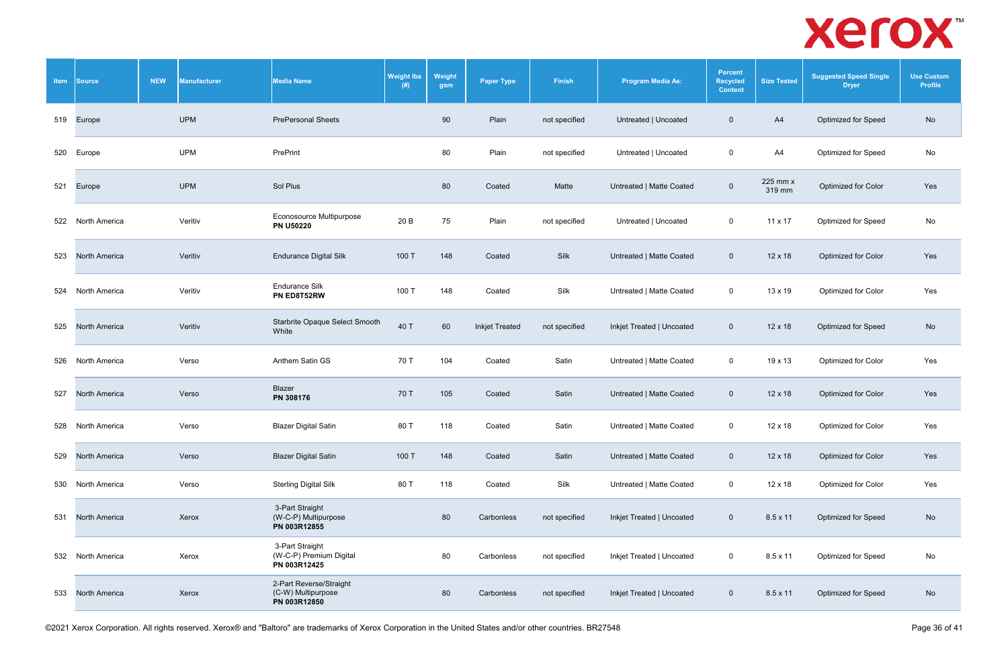|     | <b>Item Source</b> | <b>NEW</b> | Manufacturer | <b>Media Name</b>                                             | <b>Weight lbs</b><br>(# ) | Weight<br>gsm | <b>Paper Type</b>     | Finish        | <b>Program Media As:</b>  | <b>Percent</b><br><b>Recycled</b><br><b>Content</b> | <b>Size Tested</b> | <b>Suggested Speed Single</b><br><b>Dryer</b> | <b>Use Custom</b><br>Profile |
|-----|--------------------|------------|--------------|---------------------------------------------------------------|---------------------------|---------------|-----------------------|---------------|---------------------------|-----------------------------------------------------|--------------------|-----------------------------------------------|------------------------------|
|     | 519 Europe         |            | <b>UPM</b>   | <b>PrePersonal Sheets</b>                                     |                           | 90            | Plain                 | not specified | Untreated   Uncoated      | $\overline{0}$                                      | A4                 | <b>Optimized for Speed</b>                    | No                           |
|     | 520 Europe         |            | <b>UPM</b>   | PrePrint                                                      |                           | 80            | Plain                 | not specified | Untreated   Uncoated      | $\overline{0}$                                      | A4                 | <b>Optimized for Speed</b>                    | No                           |
| 521 | Europe             |            | <b>UPM</b>   | Sol Plus                                                      |                           | 80            | Coated                | Matte         | Untreated   Matte Coated  | $\overline{0}$                                      | 225 mm x<br>319 mm | Optimized for Color                           | Yes                          |
|     | 522 North America  |            | Veritiv      | Econosource Multipurpose<br><b>PN U50220</b>                  | 20 B                      | 75            | Plain                 | not specified | Untreated   Uncoated      | $\overline{0}$                                      | $11 \times 17$     | <b>Optimized for Speed</b>                    | No                           |
|     | 523 North America  |            | Veritiv      | <b>Endurance Digital Silk</b>                                 | 100 T                     | 148           | Coated                | Silk          | Untreated   Matte Coated  | $\overline{0}$                                      | 12 x 18            | Optimized for Color                           | Yes                          |
|     | 524 North America  |            | Veritiv      | <b>Endurance Silk</b><br>PN ED8T52RW                          | 100 T                     | 148           | Coated                | Silk          | Untreated   Matte Coated  | $\overline{0}$                                      | 13 x 19            | Optimized for Color                           | Yes                          |
|     | 525 North America  |            | Veritiv      | Starbrite Opaque Select Smooth<br>White                       | 40 T                      | 60            | <b>Inkjet Treated</b> | not specified | Inkjet Treated   Uncoated | $\overline{0}$                                      | $12 \times 18$     | <b>Optimized for Speed</b>                    | No                           |
|     | 526 North America  |            | Verso        | Anthem Satin GS                                               | 70 T                      | 104           | Coated                | Satin         | Untreated   Matte Coated  | $\overline{0}$                                      | 19 x 13            | Optimized for Color                           | Yes                          |
|     | 527 North America  |            | Verso        | Blazer<br>PN 308176                                           | 70 T                      | 105           | Coated                | Satin         | Untreated   Matte Coated  | $\overline{0}$                                      | $12 \times 18$     | Optimized for Color                           | Yes                          |
|     | 528 North America  |            | Verso        | <b>Blazer Digital Satin</b>                                   | 80 T                      | 118           | Coated                | Satin         | Untreated   Matte Coated  | $\overline{0}$                                      | $12 \times 18$     | Optimized for Color                           | Yes                          |
|     | 529 North America  |            | Verso        | <b>Blazer Digital Satin</b>                                   | 100 T                     | 148           | Coated                | Satin         | Untreated   Matte Coated  | $\overline{0}$                                      | 12 x 18            | Optimized for Color                           | Yes                          |
|     | 530 North America  |            | Verso        | <b>Sterling Digital Silk</b>                                  | 80 T                      | 118           | Coated                | Silk          | Untreated   Matte Coated  | $\mathbf{0}$                                        | 12 x 18            | Optimized for Color                           | Yes                          |
| 531 | North America      |            | Xerox        | 3-Part Straight<br>(W-C-P) Multipurpose<br>PN 003R12855       |                           | 80            | Carbonless            | not specified | Inkjet Treated   Uncoated | $\overline{0}$                                      | 8.5 x 11           | <b>Optimized for Speed</b>                    | No                           |
|     | 532 North America  |            | Xerox        | 3-Part Straight<br>(W-C-P) Premium Digital<br>PN 003R12425    |                           | 80            | Carbonless            | not specified | Inkjet Treated   Uncoated | $\overline{0}$                                      | 8.5 x 11           | Optimized for Speed                           | No                           |
|     | 533 North America  |            | Xerox        | 2-Part Reverse/Straight<br>(C-W) Multipurpose<br>PN 003R12850 |                           | 80            | Carbonless            | not specified | Inkjet Treated   Uncoated | $\overline{0}$                                      | 8.5 x 11           | Optimized for Speed                           | No                           |

©2021 Xerox Corporation. All rights reserved. Xerox® and "Baltoro" are trademarks of Xerox Corporation in the United States and/or other countries. BR27548 Page 36 of 41

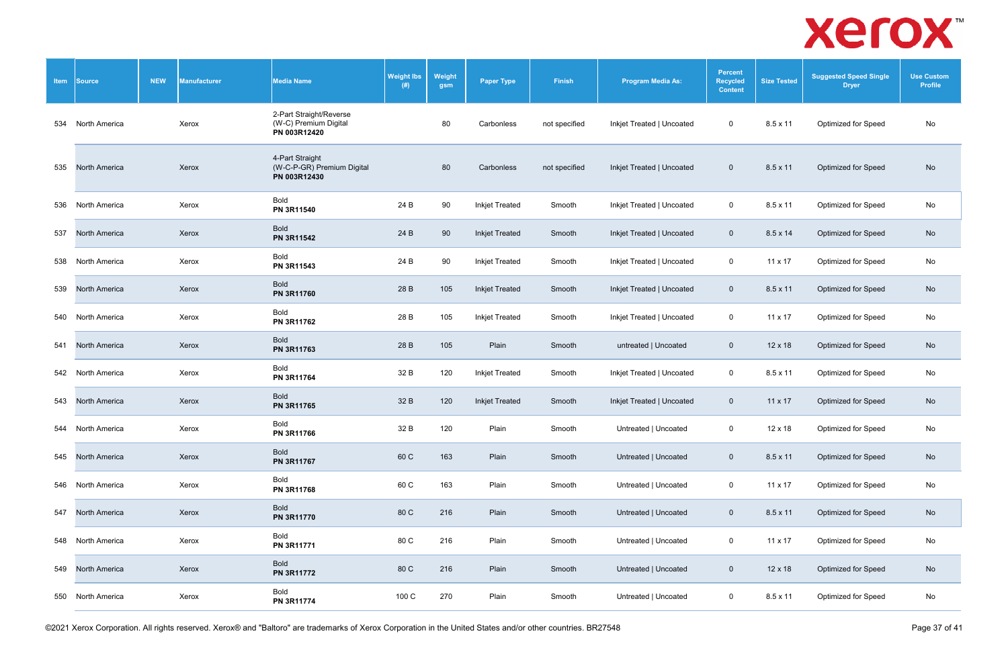|     | <b>Item Source</b>   | <b>NEW</b> | Manufacturer | <b>Media Name</b>                                                | <b>Weight lbs</b><br>(# ) | Weight<br>gsm | <b>Paper Type</b>     | Finish        | <b>Program Media As:</b>  | <b>Percent</b><br><b>Recycled</b><br><b>Content</b> | <b>Size Tested</b> | <b>Suggested Speed Single</b><br><b>Dryer</b> | <b>Use Custom</b><br>Profile |
|-----|----------------------|------------|--------------|------------------------------------------------------------------|---------------------------|---------------|-----------------------|---------------|---------------------------|-----------------------------------------------------|--------------------|-----------------------------------------------|------------------------------|
|     | 534 North America    |            | Xerox        | 2-Part Straight/Reverse<br>(W-C) Premium Digital<br>PN 003R12420 |                           | 80            | Carbonless            | not specified | Inkjet Treated   Uncoated | $\mathbf 0$                                         | 8.5 x 11           | Optimized for Speed                           | No                           |
| 535 | <b>North America</b> |            | Xerox        | 4-Part Straight<br>(W-C-P-GR) Premium Digital<br>PN 003R12430    |                           | 80            | Carbonless            | not specified | Inkjet Treated   Uncoated | $\overline{0}$                                      | 8.5 x 11           | Optimized for Speed                           | No                           |
| 536 | North America        |            | Xerox        | <b>Bold</b><br>PN 3R11540                                        | 24 B                      | 90            | <b>Inkjet Treated</b> | Smooth        | Inkjet Treated   Uncoated | $\overline{0}$                                      | 8.5 x 11           | Optimized for Speed                           | No                           |
| 537 | <b>North America</b> |            | Xerox        | <b>Bold</b><br><b>PN 3R11542</b>                                 | 24 B                      | 90            | Inkjet Treated        | Smooth        | Inkjet Treated   Uncoated | $\overline{0}$                                      | $8.5 \times 14$    | <b>Optimized for Speed</b>                    | No                           |
| 538 | North America        |            | Xerox        | <b>Bold</b><br>PN 3R11543                                        | 24 B                      | 90            | <b>Inkjet Treated</b> | Smooth        | Inkjet Treated   Uncoated | $\mathbf 0$                                         | $11 \times 17$     | <b>Optimized for Speed</b>                    | No                           |
| 539 | <b>North America</b> |            | Xerox        | <b>Bold</b><br><b>PN 3R11760</b>                                 | 28 B                      | 105           | <b>Inkjet Treated</b> | Smooth        | Inkjet Treated   Uncoated | $\overline{0}$                                      | $8.5 \times 11$    | Optimized for Speed                           | No                           |
| 540 | North America        |            | Xerox        | <b>Bold</b><br>PN 3R11762                                        | 28 B                      | 105           | <b>Inkjet Treated</b> | Smooth        | Inkjet Treated   Uncoated | $\overline{0}$                                      | $11 \times 17$     | <b>Optimized for Speed</b>                    | No                           |
| 541 | <b>North America</b> |            | Xerox        | <b>Bold</b><br>PN 3R11763                                        | 28 B                      | 105           | Plain                 | Smooth        | untreated   Uncoated      | $\overline{0}$                                      | $12 \times 18$     | <b>Optimized for Speed</b>                    | No                           |
|     | 542 North America    |            | Xerox        | Bold<br>PN 3R11764                                               | 32 B                      | 120           | Inkjet Treated        | Smooth        | Inkjet Treated   Uncoated | $\mathbf 0$                                         | 8.5 x 11           | Optimized for Speed                           | No                           |
| 543 | <b>North America</b> |            | Xerox        | <b>Bold</b><br><b>PN 3R11765</b>                                 | 32 B                      | 120           | <b>Inkjet Treated</b> | Smooth        | Inkjet Treated   Uncoated | $\overline{0}$                                      | 11 x 17            | <b>Optimized for Speed</b>                    | No                           |
|     | 544 North America    |            | Xerox        | Bold<br><b>PN 3R11766</b>                                        | 32 B                      | 120           | Plain                 | Smooth        | Untreated   Uncoated      | $\overline{0}$                                      | $12 \times 18$     | Optimized for Speed                           | No                           |
|     | 545 North America    |            | Xerox        | <b>Bold</b><br><b>PN 3R11767</b>                                 | 60 C                      | 163           | Plain                 | Smooth        | Untreated   Uncoated      | $\overline{0}$                                      | 8.5 x 11           | <b>Optimized for Speed</b>                    | No                           |
|     | 546 North America    |            | Xerox        | Bold<br>PN 3R11768                                               | 60 C                      | 163           | Plain                 | Smooth        | Untreated   Uncoated      | $\overline{0}$                                      | $11 \times 17$     | <b>Optimized for Speed</b>                    | No                           |
|     | 547 North America    |            | Xerox        | <b>Bold</b><br><b>PN 3R11770</b>                                 | 80 C                      | 216           | Plain                 | Smooth        | Untreated   Uncoated      | $\overline{0}$                                      | $8.5 \times 11$    | <b>Optimized for Speed</b>                    | No                           |
|     | 548 North America    |            | Xerox        | Bold<br><b>PN 3R11771</b>                                        | 80 C                      | 216           | Plain                 | Smooth        | Untreated   Uncoated      | $\overline{0}$                                      | $11 \times 17$     | <b>Optimized for Speed</b>                    | No                           |
|     | 549 North America    |            | Xerox        | <b>Bold</b><br><b>PN 3R11772</b>                                 | 80 C                      | 216           | Plain                 | Smooth        | Untreated   Uncoated      | $\overline{0}$                                      | $12 \times 18$     | <b>Optimized for Speed</b>                    | No                           |
|     | 550 North America    |            | Xerox        | Bold<br><b>PN 3R11774</b>                                        | 100 C                     | 270           | Plain                 | Smooth        | Untreated   Uncoated      | $\overline{0}$                                      | $8.5 \times 11$    | <b>Optimized for Speed</b>                    | No                           |

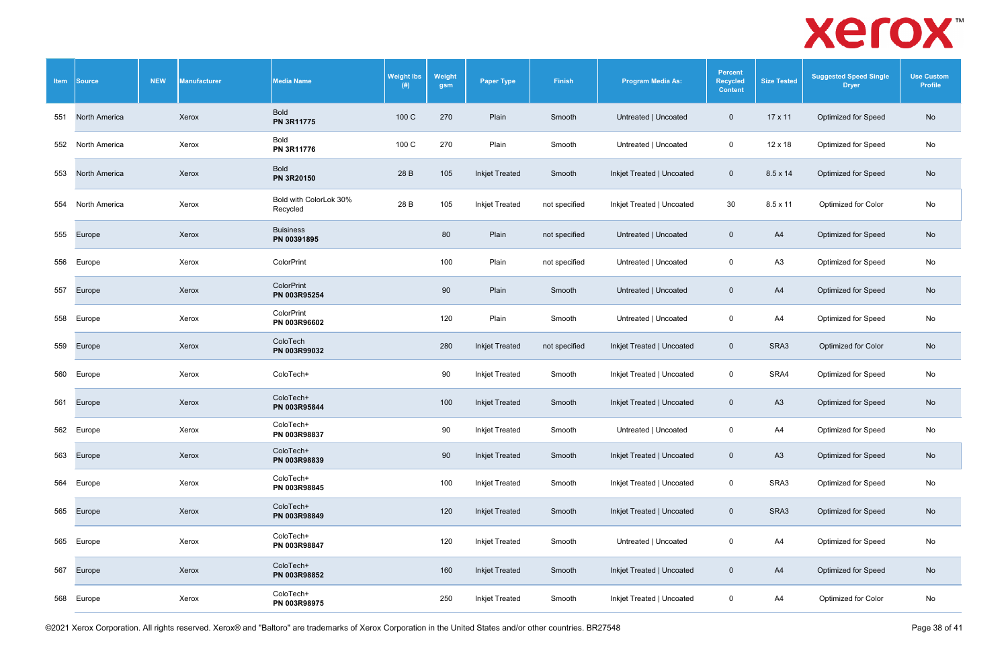| <b>Item</b> | Source               | <b>NEW</b> | Manufacturer | <b>Media Name</b>                  | <b>Weight lbs</b><br>(#) | Weight<br>gsm | <b>Paper Type</b>     | Finish        | <b>Program Media As:</b>  | <b>Percent</b><br><b>Recycled</b><br><b>Content</b> | <b>Size Tested</b> | <b>Suggested Speed Single</b><br><b>Dryer</b> | <b>Use Custom</b><br>Profile |
|-------------|----------------------|------------|--------------|------------------------------------|--------------------------|---------------|-----------------------|---------------|---------------------------|-----------------------------------------------------|--------------------|-----------------------------------------------|------------------------------|
| 551         | <b>North America</b> |            | Xerox        | <b>Bold</b><br>PN 3R11775          | 100 C                    | 270           | Plain                 | Smooth        | Untreated   Uncoated      | $\mathbf{0}$                                        | $17 \times 11$     | Optimized for Speed                           | No                           |
| 552         | North America        |            | Xerox        | <b>Bold</b><br>PN 3R11776          | 100 C                    | 270           | Plain                 | Smooth        | Untreated   Uncoated      | $\overline{0}$                                      | 12 x 18            | Optimized for Speed                           | No                           |
| 553         | <b>North America</b> |            | Xerox        | <b>Bold</b><br><b>PN 3R20150</b>   | 28 B                     | 105           | <b>Inkjet Treated</b> | Smooth        | Inkjet Treated   Uncoated | $\overline{0}$                                      | 8.5 x 14           | Optimized for Speed                           | No                           |
| 554         | North America        |            | Xerox        | Bold with ColorLok 30%<br>Recycled | 28 B                     | 105           | <b>Inkjet Treated</b> | not specified | Inkjet Treated   Uncoated | 30                                                  | 8.5 x 11           | Optimized for Color                           | No                           |
| 555         | Europe               |            | Xerox        | <b>Buisiness</b><br>PN 00391895    |                          | 80            | Plain                 | not specified | Untreated   Uncoated      | $\mathbf{0}$                                        | A4                 | <b>Optimized for Speed</b>                    | No                           |
| 556         | Europe               |            | Xerox        | ColorPrint                         |                          | 100           | Plain                 | not specified | Untreated   Uncoated      | $\mathbf 0$                                         | A3                 | Optimized for Speed                           | No                           |
| 557         | Europe               |            | Xerox        | ColorPrint<br>PN 003R95254         |                          | 90            | Plain                 | Smooth        | Untreated   Uncoated      | $\overline{0}$                                      | A4                 | <b>Optimized for Speed</b>                    | No                           |
| 558         | Europe               |            | Xerox        | ColorPrint<br>PN 003R96602         |                          | 120           | Plain                 | Smooth        | Untreated   Uncoated      | $\mathbf 0$                                         | A4                 | <b>Optimized for Speed</b>                    | No                           |
| 559         | Europe               |            | Xerox        | ColoTech<br>PN 003R99032           |                          | 280           | <b>Inkjet Treated</b> | not specified | Inkjet Treated   Uncoated | $\overline{0}$                                      | SRA3               | Optimized for Color                           | No                           |
| 560         | Europe               |            | Xerox        | ColoTech+                          |                          | 90            | <b>Inkjet Treated</b> | Smooth        | Inkjet Treated   Uncoated | $\overline{0}$                                      | SRA4               | <b>Optimized for Speed</b>                    | No                           |
| 561         | Europe               |            | Xerox        | ColoTech+<br>PN 003R95844          |                          | 100           | <b>Inkjet Treated</b> | Smooth        | Inkjet Treated   Uncoated | $\overline{0}$                                      | A3                 | Optimized for Speed                           | No                           |
|             | 562 Europe           |            | Xerox        | ColoTech+<br>PN 003R98837          |                          | $90\,$        | Inkjet Treated        | Smooth        | Untreated   Uncoated      | $\mathbf 0$                                         | A4                 | Optimized for Speed                           | No                           |
|             | 563 Europe           |            | Xerox        | ColoTech+<br>PN 003R98839          |                          | $90\,$        | <b>Inkjet Treated</b> | Smooth        | Inkjet Treated   Uncoated | $\overline{0}$                                      | A3                 | Optimized for Speed                           | No                           |
| 564         | Europe               |            | Xerox        | ColoTech+<br>PN 003R98845          |                          | 100           | <b>Inkjet Treated</b> | Smooth        | Inkjet Treated   Uncoated | $\mathbf 0$                                         | SRA3               | <b>Optimized for Speed</b>                    | No                           |
| 565         | Europe               |            | Xerox        | ColoTech+<br>PN 003R98849          |                          | 120           | <b>Inkjet Treated</b> | Smooth        | Inkjet Treated   Uncoated | $\overline{0}$                                      | SRA3               | <b>Optimized for Speed</b>                    | No                           |
| 565         | Europe               |            | Xerox        | ColoTech+<br>PN 003R98847          |                          | 120           | Inkjet Treated        | Smooth        | Untreated   Uncoated      | $\mathbf 0$                                         | A4                 | <b>Optimized for Speed</b>                    | No                           |
| 567         | Europe               |            | Xerox        | ColoTech+<br>PN 003R98852          |                          | 160           | <b>Inkjet Treated</b> | Smooth        | Inkjet Treated   Uncoated | $\mathbf{0}$                                        | A4                 | Optimized for Speed                           | No                           |
|             | 568 Europe           |            | Xerox        | ColoTech+<br>PN 003R98975          |                          | 250           | <b>Inkjet Treated</b> | Smooth        | Inkjet Treated   Uncoated | $\overline{0}$                                      | A4                 | Optimized for Color                           | No                           |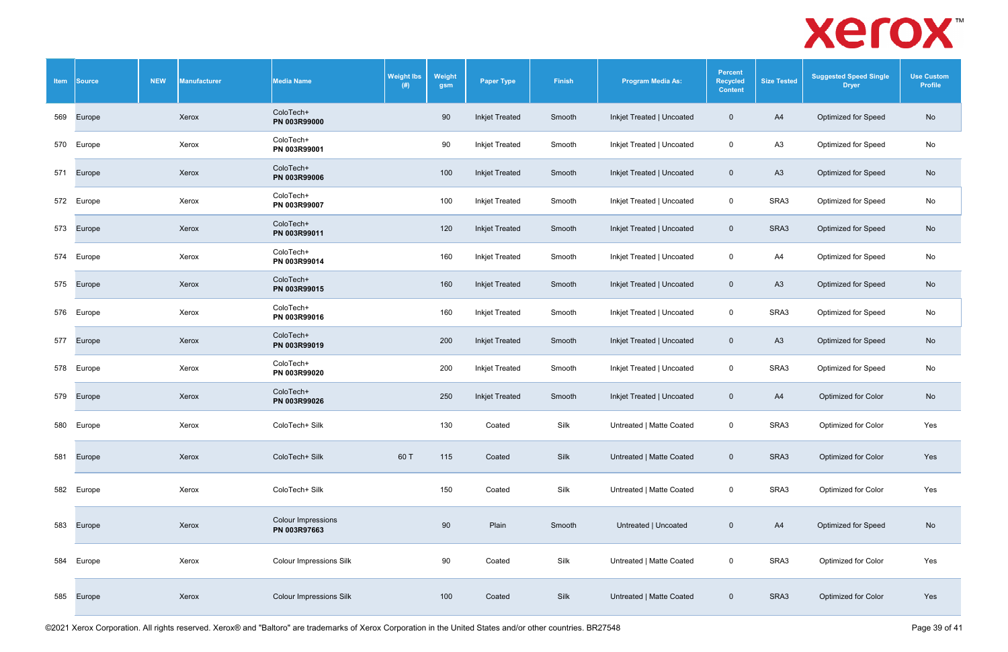|     | Item Source | <b>NEW</b> | <b>Manufacturer</b> | <b>Media Name</b>                         | <b>Weight lbs</b><br>(#) | Weight<br>gsm | <b>Paper Type</b>     | Finish | <b>Program Media As:</b>  | Percent<br><b>Recycled</b><br><b>Content</b> | <b>Size Tested</b> | <b>Suggested Speed Single</b><br><b>Dryer</b> | <b>Use Custom</b><br>Profile |
|-----|-------------|------------|---------------------|-------------------------------------------|--------------------------|---------------|-----------------------|--------|---------------------------|----------------------------------------------|--------------------|-----------------------------------------------|------------------------------|
| 569 | Europe      |            | Xerox               | ColoTech+<br>PN 003R99000                 |                          | 90            | <b>Inkjet Treated</b> | Smooth | Inkjet Treated   Uncoated | $\overline{0}$                               | A4                 | <b>Optimized for Speed</b>                    | No                           |
|     | 570 Europe  |            | Xerox               | ColoTech+<br>PN 003R99001                 |                          | 90            | Inkjet Treated        | Smooth | Inkjet Treated   Uncoated | $\overline{0}$                               | A3                 | <b>Optimized for Speed</b>                    | No                           |
|     | 571 Europe  |            | Xerox               | ColoTech+<br>PN 003R99006                 |                          | 100           | <b>Inkjet Treated</b> | Smooth | Inkjet Treated   Uncoated | $\overline{0}$                               | A3                 | <b>Optimized for Speed</b>                    | No                           |
|     | 572 Europe  |            | Xerox               | ColoTech+<br>PN 003R99007                 |                          | 100           | <b>Inkjet Treated</b> | Smooth | Inkjet Treated   Uncoated | $\mathbf 0$                                  | SRA3               | <b>Optimized for Speed</b>                    | No                           |
|     | 573 Europe  |            | Xerox               | ColoTech+<br>PN 003R99011                 |                          | 120           | Inkjet Treated        | Smooth | Inkjet Treated   Uncoated | $\overline{0}$                               | SRA3               | <b>Optimized for Speed</b>                    | No                           |
|     | 574 Europe  |            | Xerox               | ColoTech+<br>PN 003R99014                 |                          | 160           | Inkjet Treated        | Smooth | Inkjet Treated   Uncoated | $\overline{0}$                               | A4                 | <b>Optimized for Speed</b>                    | No                           |
|     | 575 Europe  |            | Xerox               | ColoTech+<br>PN 003R99015                 |                          | 160           | <b>Inkjet Treated</b> | Smooth | Inkjet Treated   Uncoated | $\overline{0}$                               | A3                 | <b>Optimized for Speed</b>                    | No                           |
|     | 576 Europe  |            | Xerox               | ColoTech+<br>PN 003R99016                 |                          | 160           | Inkjet Treated        | Smooth | Inkjet Treated   Uncoated | $\overline{0}$                               | SRA3               | <b>Optimized for Speed</b>                    | No                           |
| 577 | Europe      |            | Xerox               | ColoTech+<br>PN 003R99019                 |                          | 200           | <b>Inkjet Treated</b> | Smooth | Inkjet Treated   Uncoated | $\overline{0}$                               | A3                 | <b>Optimized for Speed</b>                    | No                           |
|     | 578 Europe  |            | Xerox               | ColoTech+<br>PN 003R99020                 |                          | 200           | <b>Inkjet Treated</b> | Smooth | Inkjet Treated   Uncoated | $\overline{0}$                               | SRA3               | <b>Optimized for Speed</b>                    | No                           |
|     | 579 Europe  |            | Xerox               | ColoTech+<br>PN 003R99026                 |                          | 250           | Inkjet Treated        | Smooth | Inkjet Treated   Uncoated | $\overline{0}$                               | A4                 | Optimized for Color                           | No                           |
|     | 580 Europe  |            | Xerox               | ColoTech+ Silk                            |                          | 130           | Coated                | Silk   | Untreated   Matte Coated  | $\mathbf{0}$                                 | SRA3               | Optimized for Color                           | Yes                          |
| 581 | Europe      |            | Xerox               | ColoTech+ Silk                            | 60 T                     | 115           | Coated                | Silk   | Untreated   Matte Coated  | $\overline{0}$                               | SRA3               | Optimized for Color                           | Yes                          |
| 582 | Europe      |            | Xerox               | ColoTech+ Silk                            |                          | 150           | Coated                | Silk   | Untreated   Matte Coated  | $\overline{0}$                               | SRA3               | Optimized for Color                           | Yes                          |
|     | 583 Europe  |            | Xerox               | <b>Colour Impressions</b><br>PN 003R97663 |                          | $90\,$        | Plain                 | Smooth | Untreated   Uncoated      | $\overline{0}$                               | A4                 | Optimized for Speed                           | No                           |
| 584 | Europe      |            | Xerox               | <b>Colour Impressions Silk</b>            |                          | 90            | Coated                | Silk   | Untreated   Matte Coated  | $\mathbf 0$                                  | SRA3               | Optimized for Color                           | Yes                          |
| 585 | Europe      |            | Xerox               | <b>Colour Impressions Silk</b>            |                          | 100           | Coated                | Silk   | Untreated   Matte Coated  | $\overline{0}$                               | SRA3               | Optimized for Color                           | Yes                          |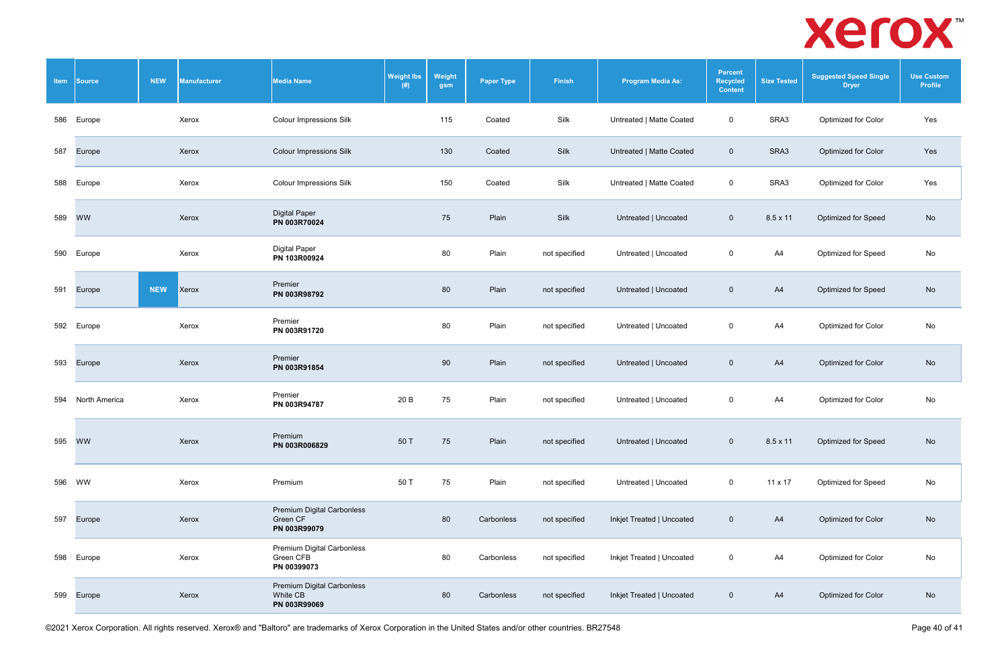| <b>Item</b> | Source        | <b>NEW</b> | Manufacturer | <b>Media Name</b>                                             | <b>Weight lbs</b><br>(#) | Weight<br>gsm | Paper Type | Finish        | <b>Program Media As:</b>  | Percent<br><b>Recycled</b><br><b>Content</b> | <b>Size Tested</b> | <b>Suggested Speed Single</b><br><b>Dryer</b> | <b>Use Custom</b><br>Profile |
|-------------|---------------|------------|--------------|---------------------------------------------------------------|--------------------------|---------------|------------|---------------|---------------------------|----------------------------------------------|--------------------|-----------------------------------------------|------------------------------|
| 586         | Europe        |            | Xerox        | <b>Colour Impressions Silk</b>                                |                          | 115           | Coated     | Silk          | Untreated   Matte Coated  | $\overline{0}$                               | SRA3               | Optimized for Color                           | Yes                          |
| 587         | Europe        |            | Xerox        | <b>Colour Impressions Silk</b>                                |                          | 130           | Coated     | Silk          | Untreated   Matte Coated  | $\overline{0}$                               | SRA3               | Optimized for Color                           | Yes                          |
| 588         | Europe        |            | Xerox        | <b>Colour Impressions Silk</b>                                |                          | 150           | Coated     | Silk          | Untreated   Matte Coated  | $\overline{0}$                               | SRA3               | Optimized for Color                           | Yes                          |
| 589         | <b>WW</b>     |            | Xerox        | <b>Digital Paper</b><br>PN 003R70024                          |                          | 75            | Plain      | Silk          | Untreated   Uncoated      | $\overline{0}$                               | 8.5 x 11           | Optimized for Speed                           | No                           |
| 590         | Europe        |            | Xerox        | <b>Digital Paper</b><br>PN 103R00924                          |                          | 80            | Plain      | not specified | Untreated   Uncoated      | $\overline{0}$                               | A4                 | <b>Optimized for Speed</b>                    | No                           |
| 591         | Europe        | <b>NEW</b> | Xerox        | Premier<br>PN 003R98792                                       |                          | 80            | Plain      | not specified | Untreated   Uncoated      | $\overline{0}$                               | A4                 | <b>Optimized for Speed</b>                    | No                           |
|             | 592 Europe    |            | Xerox        | Premier<br>PN 003R91720                                       |                          | 80            | Plain      | not specified | Untreated   Uncoated      | $\overline{0}$                               | A4                 | Optimized for Color                           | No                           |
| 593         | Europe        |            | Xerox        | Premier<br>PN 003R91854                                       |                          | 90            | Plain      | not specified | Untreated   Uncoated      | $\overline{0}$                               | A4                 | Optimized for Color                           | No                           |
| 594         | North America |            | Xerox        | Premier<br>PN 003R94787                                       | 20 B                     | 75            | Plain      | not specified | Untreated   Uncoated      | $\overline{0}$                               | A4                 | Optimized for Color                           | No                           |
| 595         | <b>WW</b>     |            | Xerox        | Premium<br>PN 003R006829                                      | 50 T                     | 75            | Plain      | not specified | Untreated   Uncoated      | $\overline{0}$                               | 8.5 x 11           | <b>Optimized for Speed</b>                    | No                           |
| 596         | WW            |            | Xerox        | Premium                                                       | 50 T                     | 75            | Plain      | not specified | Untreated   Uncoated      | $\mathbf 0$                                  | $11 \times 17$     | Optimized for Speed                           | No                           |
| 597         | Europe        |            | Xerox        | <b>Premium Digital Carbonless</b><br>Green CF<br>PN 003R99079 |                          | 80            | Carbonless | not specified | Inkjet Treated   Uncoated | $\overline{0}$                               | A4                 | Optimized for Color                           | No                           |
| 598         | Europe        |            | Xerox        | Premium Digital Carbonless<br>Green CFB<br>PN 00399073        |                          | 80            | Carbonless | not specified | Inkjet Treated   Uncoated | $\overline{0}$                               | A4                 | Optimized for Color                           | No                           |
| 599         | Europe        |            | Xerox        | Premium Digital Carbonless<br>White CB<br>PN 003R99069        |                          | 80            | Carbonless | not specified | Inkjet Treated   Uncoated | $\overline{0}$                               | A4                 | Optimized for Color                           | No                           |

©2021 Xerox Corporation. All rights reserved. Xerox® and "Baltoro" are trademarks of Xerox Corporation in the United States and/or other countries. BR27548 Page 40 of 41